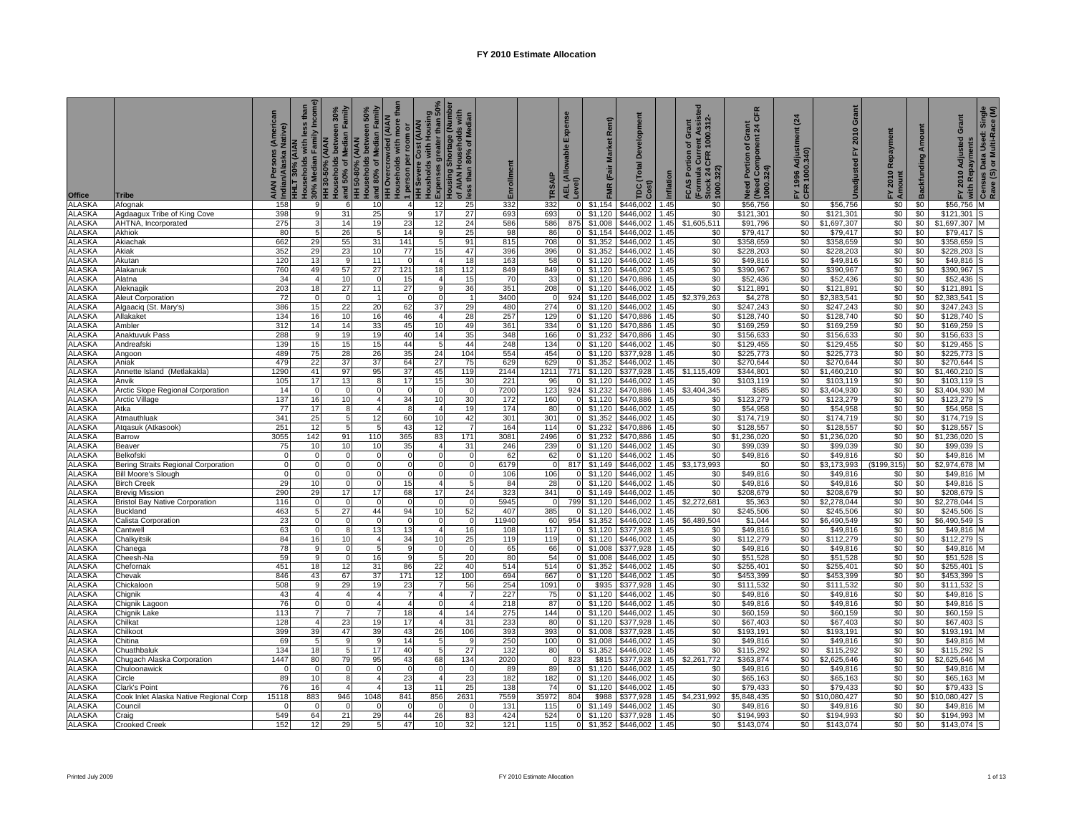|                                |                                                   | Native)<br>AIAN<br>Indiar | HHLT 30% (AIAN<br>Households with less than<br>_ 30% Median Family Income)<br>HH 30-50% (AIAN | and 50% of Median Family<br>louseholds between 30% | Households between 50%<br>and 80% of Median Family<br><b>HH 50-80% (AIAN</b> | <b>HH Overcrowded (AIAN<br/>Households with more tha</b> | <u>∖</u> 1 person per room or<br>HH Severe Cost (AIAN<br>Housholds with Housing<br>ÖExpenses greater than 50%<br>Housing Shortage (Number | Ids with<br>of AIAN Households with<br>less than 80% of Median | Enrollment  | SAIP         | Expense<br>AEL (Allowable I<br>Level) | Rent)<br>FMR (Fair Market  | ۵<br>TDC (Total I<br>Cost) | Inflation    | 1000.312<br>Grant<br>৳<br>FCAS Portion<br>(Formula Curre<br>Stock 24 CFR<br>1000.322) | CFR<br>Grant<br>nt 24 (<br>Need Portion of Gra<br>(Need Component 2<br>1000.324) | $\overline{a}$<br>FY 1996 Adjustn<br>CFR 1000.340) | Grant<br>2010<br>놊<br>Unadjusted | Repayment<br>2010<br>من<br>⊾ ≰ | <b>Backfunding Amount</b> | Grant<br>FY 2010 Adjusted | <sup>3</sup> with Repayments<br><sup>5</sup> Census Data Used: Single<br>Rave (S) or Multi-Race (M) |
|--------------------------------|---------------------------------------------------|---------------------------|-----------------------------------------------------------------------------------------------|----------------------------------------------------|------------------------------------------------------------------------------|----------------------------------------------------------|-------------------------------------------------------------------------------------------------------------------------------------------|----------------------------------------------------------------|-------------|--------------|---------------------------------------|----------------------------|----------------------------|--------------|---------------------------------------------------------------------------------------|----------------------------------------------------------------------------------|----------------------------------------------------|----------------------------------|--------------------------------|---------------------------|---------------------------|-----------------------------------------------------------------------------------------------------|
| Office<br><b>ALASKA</b>        | Tribe<br>Afognak                                  | 158                       | 9                                                                                             | 6                                                  | 10                                                                           | 4                                                        | 12                                                                                                                                        | 25                                                             | 332         | 332          | $\Omega$                              | \$1,154                    | \$446,002                  | 1.45         | \$0                                                                                   | \$56,756                                                                         | \$0                                                | \$56,756                         | \$0                            | \$0                       | \$56,756 M                |                                                                                                     |
| <b>ALASKA</b>                  | Agdaagux Tribe of King Cove                       | 398                       | 9                                                                                             | 31                                                 | 25                                                                           | 9                                                        | 17                                                                                                                                        | 27                                                             | 693         | 693          | $\Omega$                              | \$1,120                    | \$446,002                  | 1.45         | \$0                                                                                   | \$121,301                                                                        | \$0                                                | \$121,301                        | \$0                            | \$0                       | \$121,301                 |                                                                                                     |
| <b>ALASKA</b>                  | AHTNA, Incorporated                               | 275                       | 3                                                                                             | 14                                                 | 19                                                                           | 23                                                       | 12                                                                                                                                        | 24                                                             | 586         | 586          | 875                                   | \$1,008                    | \$446,002                  | 1.45         | \$1,605,511                                                                           | \$91,796                                                                         | \$0                                                | \$1,697,307                      | \$0                            | \$0                       | \$1,697,307               |                                                                                                     |
| <b>ALASKA</b>                  | Akhiok                                            | 80                        | 5                                                                                             | 26                                                 | -5                                                                           | 14                                                       |                                                                                                                                           | 25                                                             | 98          | 86           | $\overline{0}$                        | \$1,154                    | \$446,002                  | 1.45         | \$0                                                                                   | \$79,417                                                                         | \$0                                                | \$79,417                         | \$0                            | \$0                       | \$79,417                  |                                                                                                     |
| <b>ALASKA</b>                  | Akiachak                                          | 662                       | 29                                                                                            | 55                                                 | 31                                                                           | 141                                                      | 5                                                                                                                                         | 91                                                             | 815         | 708          | $\overline{0}$                        | \$1,352                    | \$446,002                  | 1.45         | \$0                                                                                   | \$358,659                                                                        | \$0                                                | \$358,659                        | \$0                            | \$0                       | \$358,659                 |                                                                                                     |
| <b>ALASKA</b><br><b>ALASKA</b> | Akiak<br>Akutan                                   | 352<br>120                | 29<br>13                                                                                      | 23<br>-9                                           | 10<br>11                                                                     | $\overline{77}$<br>$\Omega$                              | 15                                                                                                                                        | 47<br>18                                                       | 396<br>163  | 396<br>58    |                                       | $0$ \$1,352<br>$0$ \$1,120 | \$446,002<br>\$446,002     | 1.45<br>1.45 | \$0<br>\$0                                                                            | \$228,203<br>\$49,816                                                            | \$0<br>\$0                                         | \$228,203<br>\$49,816            | \$0<br>\$0                     | \$0<br>\$0                | \$228,203<br>\$49,816     |                                                                                                     |
| <b>ALASKA</b>                  | Alakanuk                                          | 760                       | 49                                                                                            | 57                                                 | 27                                                                           | 121                                                      | 18                                                                                                                                        | 112                                                            | 849         | 849          |                                       | $0$ \$1,120                | \$446,002                  | 1.45         | \$0                                                                                   | \$390,967                                                                        | \$0                                                | \$390,967                        | \$0                            | \$0                       | \$390,967                 |                                                                                                     |
| <b>ALASKA</b>                  | Alatna                                            | 34                        | 4                                                                                             | 10                                                 | $\overline{0}$                                                               | 15                                                       |                                                                                                                                           | 15                                                             | 70          | 33           |                                       | $0$ \$1,120                | \$470,886                  | 1.45         | \$0                                                                                   | \$52,436                                                                         | \$0                                                | \$52,436                         | \$0                            | \$0                       | \$52,436                  |                                                                                                     |
| <b>ALASKA</b>                  | Aleknagik                                         | 203                       | 18                                                                                            | 27                                                 | 11                                                                           | 27                                                       |                                                                                                                                           | 36                                                             | 351         | 208          |                                       | $0$ \$1,120                | \$446,002                  | 1.45         | \$0                                                                                   | \$121,891                                                                        | \$0                                                | \$121,891                        | \$0                            | \$0                       | \$121,891                 |                                                                                                     |
| <b>ALASKA</b>                  | <b>Aleut Corporation</b>                          | 72                        | $\Omega$                                                                                      | $\Omega$                                           |                                                                              | $\circ$                                                  | $\Omega$                                                                                                                                  | $\overline{1}$                                                 | 3400        |              |                                       | 924 \$1,120                | \$446,002                  | 1.45         | \$2,379,263                                                                           | \$4,278                                                                          | \$0                                                | \$2,383,541                      | \$0                            | \$0                       | \$2,383,541               |                                                                                                     |
| <b>ALASKA</b>                  | Algaaciq (St. Mary's)                             | 386                       | 15                                                                                            | 22                                                 | 20                                                                           | 62                                                       | 37                                                                                                                                        | 29                                                             | 480         | 274          |                                       | \$1,120                    | \$446,002                  | 1.45         | \$0                                                                                   | \$247,243                                                                        | \$0                                                | \$247,243                        | \$0                            | \$0                       | \$247,243                 |                                                                                                     |
| <b>ALASKA</b>                  | Allakaket                                         | 134                       | 16                                                                                            | 10                                                 | 16                                                                           | 46                                                       |                                                                                                                                           | 28                                                             | 257         | 129          | $\Omega$                              | \$1,120                    | \$470,886                  | 1.45         | \$0                                                                                   | \$128,740                                                                        | \$0                                                | \$128,740                        | \$0                            | \$0                       | \$128,740                 |                                                                                                     |
| <b>ALASKA</b><br><b>ALASKA</b> | Ambler<br>Anaktuvuk Pass                          | 312<br>288                | 14                                                                                            | 14<br>19                                           | 33<br>19                                                                     | 45<br>40                                                 | 10<br>14                                                                                                                                  | 49<br>35                                                       | 361<br>348  | 334<br>166   | $\overline{0}$<br>$\overline{0}$      | \$1,120<br>\$1,232         | \$470,886<br>\$470,886     | 1.45<br>1.45 | \$0<br>\$0                                                                            | \$169,259<br>\$156,633                                                           | \$0<br>\$0                                         | \$169,259<br>\$156,633           | \$0<br>\$0                     | \$0<br>\$0                | \$169,259<br>\$156,633    |                                                                                                     |
| <b>ALASKA</b>                  | Andreafsk                                         | 139                       | 15                                                                                            | 15                                                 | 15                                                                           | 44                                                       | -5                                                                                                                                        | 44                                                             | 248         | 134          |                                       | $0$ \$1,120                | \$446,002                  | .45          | \$0                                                                                   | \$129,455                                                                        | \$0                                                | \$129,455                        | \$0                            | \$0                       | \$129.455                 |                                                                                                     |
| <b>ALASKA</b>                  | Angoon                                            | 489                       | 75                                                                                            | 28                                                 | 26                                                                           | 35                                                       | 24                                                                                                                                        | 104                                                            | 554         | 454          |                                       | $0$ \$1,120                | \$377,928                  | 1.45         | \$0                                                                                   | \$225,773                                                                        | \$0                                                | \$225,773                        | \$0                            | \$0                       | \$225,773                 |                                                                                                     |
| <b>ALASKA</b>                  | Aniak                                             | 479                       | 22                                                                                            | 37                                                 | 37                                                                           | 64                                                       | 27                                                                                                                                        | 75                                                             | 629         | 629          | $\overline{0}$                        | \$1,352                    | \$446,002                  | 1.45         | \$0                                                                                   | \$270,644                                                                        | \$0                                                | \$270,644                        | \$0                            | \$0                       | \$270,644                 |                                                                                                     |
| <b>ALASKA</b>                  | Annette Island (Metlakakla)                       | 1290                      | 41                                                                                            | 97                                                 | 95                                                                           | 37                                                       | 45                                                                                                                                        | 119                                                            | 2144        | 1211         |                                       | 771 \$1,120                | \$377,928                  | 1.45         | \$1,115,409                                                                           | \$344,801                                                                        | \$0                                                | \$1,460,210                      | \$0                            | \$0                       | \$1,460,210               |                                                                                                     |
| <b>ALASKA</b>                  | Anvik                                             | 105                       | 17                                                                                            | 13                                                 | 8                                                                            | 17                                                       | 15                                                                                                                                        | 30                                                             | 221         | 96           | $\overline{0}$                        | \$1,120                    | \$446,002                  | .45          | \$0                                                                                   | \$103,119                                                                        | \$0                                                | \$103,119                        | \$0                            | \$0                       | \$103,119                 |                                                                                                     |
| <b>ALASKA</b>                  | Arctic Slope Regional Corporation                 | 14                        | $\Omega$                                                                                      | $\Omega$                                           | $\Omega$                                                                     | $\overline{0}$                                           | 10                                                                                                                                        | $\Omega$                                                       | 7200        | 123          |                                       | 924 \$1,232                | \$470,886                  | 1.45         | \$3,404,345                                                                           | \$585                                                                            | \$0                                                | \$3,404,930                      | \$0                            | \$0                       | \$3,404,930               |                                                                                                     |
| <b>ALASKA</b><br><b>ALASKA</b> | Arctic Village<br>Atka                            | 137<br>77                 | 16<br>17                                                                                      | 10<br>8                                            | $\overline{4}$<br>$\overline{4}$                                             | 34<br>R                                                  |                                                                                                                                           | 30<br>19                                                       | 172<br>174  | 160<br>80    | 0                                     | \$1,120<br>\$1,120         | \$470,886<br>\$446,002     | 1.45<br>1.45 | \$0<br>\$0                                                                            | \$123,279<br>\$54,958                                                            | \$0<br>\$0                                         | \$123,279<br>\$54,958            | \$0<br>\$0                     | \$0<br>\$0                | \$123,279<br>\$54,958     |                                                                                                     |
| <b>ALASKA</b>                  | Atmauthluak                                       | 341                       | 25                                                                                            | 5                                                  | 12                                                                           | 60                                                       | 10                                                                                                                                        | 42                                                             | 301         | 301          | $\overline{0}$                        | \$1,352                    | \$446.002                  | 1.45         | \$0                                                                                   | \$174,719                                                                        | \$0                                                | \$174,719                        | \$0                            | \$0                       | \$174,719                 |                                                                                                     |
| <b>ALASKA</b>                  | Atgasuk (Atkasook)                                | 251                       | 12                                                                                            | 5                                                  | 5                                                                            | 43                                                       | 12                                                                                                                                        | 7                                                              | 164         | 114          |                                       | $0$ \$1,232                | \$470,886                  | 1.45         | \$0                                                                                   | \$128,557                                                                        | \$0                                                | \$128,557                        | \$0                            | \$0                       | \$128,557                 |                                                                                                     |
| <b>ALASKA</b>                  | Barrow                                            | 3055                      | 142                                                                                           | 91                                                 | 110                                                                          | 365                                                      | 83                                                                                                                                        | 171                                                            | 3081        | 2496         |                                       | $0$ \$1,232                | \$470,886                  | 1.45         | \$0                                                                                   | \$1,236,020                                                                      | \$0                                                | \$1,236,020                      | \$0                            | \$0                       | \$1,236,020               |                                                                                                     |
| <b>ALASKA</b>                  | <b>Beaver</b>                                     | 75                        | 10                                                                                            | 10                                                 | 10                                                                           | 35                                                       |                                                                                                                                           | 31                                                             | 246         | 239          |                                       | $0$ \$1,120                | \$446,002                  | 1.45         | \$0                                                                                   | \$99,039                                                                         | \$0                                                | \$99,039                         | \$0                            | \$0                       | \$99,039                  |                                                                                                     |
| <b>ALASKA</b>                  | Belkofski                                         | $\Omega$                  | $\Omega$                                                                                      | $\Omega$                                           | $\Omega$                                                                     | $\Omega$                                                 |                                                                                                                                           | $\Omega$                                                       | 62          | 62           |                                       | $0$ \$1,120                | \$446,002                  | 1.45         | \$0                                                                                   | \$49,816                                                                         | \$0                                                | \$49,816                         | \$0                            | \$0                       | \$49,816                  |                                                                                                     |
| <b>ALASKA</b>                  | Bering Straits Regional Corporation               | $\overline{0}$            | 0                                                                                             | $\mathbf{0}$                                       | $\Omega$                                                                     | $\Omega$                                                 |                                                                                                                                           | $\Omega$                                                       | 6179        | $\Omega$     | 817                                   | \$1,149                    | \$446,002                  | 1.45         | \$3,173,993                                                                           | \$0                                                                              | \$0                                                | \$3,173,993                      | (\$199,315)                    | \$0                       | \$2,974,678               |                                                                                                     |
| <b>ALASKA</b><br><b>ALASKA</b> | Bill Moore's Slough<br><b>Birch Creek</b>         | $\mathbf 0$<br>29         | $\Omega$<br>10                                                                                | $\mathbf 0$<br>$\Omega$                            | $\overline{0}$<br>$\Omega$                                                   | $\Omega$<br>15                                           |                                                                                                                                           | $\Omega$<br>-51                                                | 106<br>84   | 106<br>28    |                                       | $0$ \$1.120<br>$0$ \$1,120 | \$446,002<br>\$446,002     | 1.45<br>1.45 | \$0<br>\$0                                                                            | \$49,816<br>\$49,816                                                             | \$0<br>\$0                                         | \$49,816<br>\$49,816             | \$0<br>\$0                     | \$0<br>\$0                | \$49,816<br>\$49,816      |                                                                                                     |
| <b>ALASKA</b>                  | <b>Brevig Mission</b>                             | 290                       | 29                                                                                            | 17                                                 | 17                                                                           | 68                                                       | 17                                                                                                                                        | 24                                                             | 323         | 341          | $\overline{0}$                        | \$1,149                    | \$446,002                  | 1.45         | \$0                                                                                   | \$208,679                                                                        | \$0                                                | \$208,679                        | \$0                            | \$0                       | \$208,679                 |                                                                                                     |
| <b>ALASKA</b>                  | <b>Bristol Bay Native Corporation</b>             | 116                       | $\mathbf 0$                                                                                   | $\mathbf 0$                                        | $\Omega$                                                                     | $\Omega$                                                 |                                                                                                                                           | $\overline{0}$                                                 | 5945        |              | 799                                   | \$1,120                    | \$446,002                  | 1.45         | \$2,272,681                                                                           | \$5,363                                                                          | \$0                                                | \$2,278,044                      | \$0                            | \$0                       | \$2,278,044               |                                                                                                     |
| <b>ALASKA</b>                  | Buckland                                          | 463                       | 5                                                                                             | 27                                                 | 44                                                                           | 94                                                       | 10                                                                                                                                        | 52                                                             | 407         | 385          | $\Omega$                              | \$1,120                    | \$446,002                  | 1.45         | \$0                                                                                   | \$245,506                                                                        | \$0                                                | \$245,506                        | \$0                            | \$0                       | \$245,506                 |                                                                                                     |
| <b>ALASKA</b>                  | Calista Corporation                               | 23                        | $\Omega$                                                                                      | $\Omega$                                           | $\Omega$                                                                     | $\Omega$                                                 |                                                                                                                                           | $\Omega$                                                       | 11940       | 60           |                                       | 954 \$1,352                | \$446,002                  | 1.45         | \$6,489,504                                                                           | \$1,044                                                                          | \$0                                                | \$6,490,549                      | \$0                            | \$0                       | \$6,490,549               |                                                                                                     |
| <b>ALASKA</b>                  | Cantwell                                          | 63                        | 0                                                                                             | 8                                                  | 13                                                                           | 13                                                       |                                                                                                                                           | 16                                                             | 108         | 117          |                                       | $0$ \$1,120                | \$377,928                  | 1.45         | \$0                                                                                   | \$49,816                                                                         | \$0                                                | \$49,816                         | \$0                            | \$0                       | \$49,816                  |                                                                                                     |
| <b>ALASKA</b>                  | Chalkyitsik                                       | 84                        | 16                                                                                            | 10                                                 | 4 <sup>1</sup>                                                               | 34                                                       | 10                                                                                                                                        | 25                                                             | 119         | 119          |                                       | $0$ \$1,120                | \$446,002                  | 1.45         | \$0                                                                                   | \$112,279                                                                        | \$0                                                | \$112,279                        | \$0                            | \$0                       | \$112,279                 |                                                                                                     |
| <b>ALASKA</b><br><b>ALASKA</b> | Chanega<br>Cheesh-Na                              | 78<br>59                  | 9<br>9                                                                                        | $\Omega$<br>$\Omega$                               | 5<br>16                                                                      | 9                                                        |                                                                                                                                           | $\overline{0}$<br>20                                           | 65<br>80    | 66<br>54     |                                       | $0$ \$1,008<br>$0$ \$1,008 | \$377,928<br>\$446,002     | 1.45<br>1.45 | \$0<br>\$0                                                                            | \$49,816<br>\$51,528                                                             | \$0<br>\$0                                         | \$49,816<br>\$51,528             | \$0<br>\$0                     | \$0<br>\$0                | \$49,816<br>\$51,528      |                                                                                                     |
| <b>ALASKA</b>                  | Chefornak                                         | 451                       | 18                                                                                            | 12                                                 | 31                                                                           | 86                                                       | 22                                                                                                                                        | 40                                                             | 514         | 514          |                                       | $0$ \$1,352                | \$446,002                  | 1.45         | \$0                                                                                   | \$255,401                                                                        | \$0                                                | \$255,401                        | \$0                            | \$0                       | \$255,401                 |                                                                                                     |
| <b>ALASKA</b>                  | Chevak                                            | 846                       | 43                                                                                            | 67                                                 | 37                                                                           | 171                                                      | 12                                                                                                                                        | 100                                                            | 694         | 667          | $\overline{0}$                        | \$1.120                    | \$446,002                  | 1.45         | \$0                                                                                   | \$453,399                                                                        | \$0                                                | \$453,399                        | \$0                            | \$0                       | \$453,399                 |                                                                                                     |
| <b>ALASKA</b>                  | Chickaloon                                        | 508                       | 9                                                                                             | 29                                                 | 19                                                                           | 23                                                       |                                                                                                                                           | 56                                                             | 254         | 1091         |                                       | \$935                      | \$377,928                  | 1.45         | \$0                                                                                   | \$111,532                                                                        | \$0                                                | \$111,532                        | \$0                            | \$0                       | \$111,532                 |                                                                                                     |
| <b>ALASKA</b>                  | Chignik                                           | 43                        | 4                                                                                             | $\overline{4}$                                     | $\overline{4}$                                                               |                                                          |                                                                                                                                           | $\overline{7}$                                                 | 227         | 75           | $\overline{0}$                        | \$1,120                    | \$446,002                  | 1.45         | \$0                                                                                   | \$49,816                                                                         | \$0                                                | \$49,816                         | \$0                            | \$0                       | \$49,816                  |                                                                                                     |
| <b>ALASKA</b>                  | Chignik Lagoon                                    | 76                        | $\mathbf 0$                                                                                   | $\Omega$                                           | $\overline{4}$                                                               |                                                          |                                                                                                                                           |                                                                | 218         | 87           | $\mathbf 0$                           | \$1,120                    | \$446,002                  | 1.45         | \$0                                                                                   | \$49,816                                                                         | \$0                                                | \$49,816                         | \$0                            | \$0                       | \$49,816                  |                                                                                                     |
| <b>ALASKA</b>                  | Chignik Lake                                      | 113                       | $\overline{7}$                                                                                | $\overline{7}$                                     | $\overline{7}$                                                               | 18                                                       |                                                                                                                                           | 14                                                             | 275         | 144          |                                       | $0$ \$1,120                | \$446,002                  | 1.45         | \$0                                                                                   | \$60,159                                                                         | \$0                                                | \$60,159                         | \$0                            | \$0                       | \$60,159                  |                                                                                                     |
| <b>ALASKA</b><br><b>ALASKA</b> | Chilkat<br>Chilkoot                               | 128<br>399                | 4<br>39                                                                                       | 23<br>47                                           | 19<br>39                                                                     | 17<br>43                                                 | 26                                                                                                                                        | 31<br>106                                                      | 233<br>393  | 80<br>393    |                                       | $0$ \$1,120<br>$0$ \$1,008 | \$377.928<br>\$377,928     | 1.45<br>1.45 | \$0<br>\$0                                                                            | \$67,403<br>\$193,191                                                            | \$0<br>\$0                                         | \$67,403<br>\$193,191            | \$0<br>\$0                     | \$0<br>\$0                | \$67,403<br>\$193,191     |                                                                                                     |
| <b>ALASKA</b>                  | Chitina                                           | 69                        | 5                                                                                             | 9                                                  | 9                                                                            | 14                                                       |                                                                                                                                           | 9                                                              | 250         | 100          |                                       | $0$ \$1,008                | \$446,002                  | 1.45         | \$0                                                                                   | \$49,816                                                                         | \$0                                                | \$49,816                         | \$0                            | \$0                       | \$49,816                  |                                                                                                     |
| <b>ALASKA</b>                  | Chuathbaluk                                       | 134                       | 18                                                                                            | 5                                                  | 17                                                                           | 40                                                       |                                                                                                                                           | 27                                                             | 132         | 80           |                                       | 0 \$1,352                  | \$446,002                  | .45          | \$0                                                                                   | \$115,292                                                                        | \$0                                                | \$115,292                        | \$0                            | \$0                       | \$115,292                 |                                                                                                     |
| <b>ALASKA</b>                  | Chugach Alaska Corporation                        | 1447                      | 80                                                                                            | 79                                                 | 95                                                                           | 43                                                       | 68                                                                                                                                        | 134                                                            | 2020        |              | 823                                   | \$815                      | \$377,928                  | 1.45         | \$2,261,772                                                                           | \$363,874                                                                        | \$0                                                | \$2,625,646                      | \$0                            | \$0                       | \$2,625,646               |                                                                                                     |
| <b>ALASKA</b>                  | Chuloonawick                                      | $\Omega$                  |                                                                                               | $\Omega$                                           | O                                                                            | $\Omega$                                                 |                                                                                                                                           |                                                                | 89          | 89           |                                       | \$1,120                    | \$446,002                  | 1.45         | \$0                                                                                   | \$49,816                                                                         | \$0                                                | \$49,816                         | \$0                            | \$0                       | \$49,816                  |                                                                                                     |
| <b>ALASKA</b>                  | Circle                                            | 89                        | 10                                                                                            | 8                                                  | $\Delta$                                                                     | 23                                                       |                                                                                                                                           | 23                                                             | 182         | 182          |                                       | \$1,120                    | \$446,002                  | 1.45         | \$0                                                                                   | \$65,163                                                                         | \$0                                                | \$65,163                         | \$0                            | \$0                       | \$65,163                  |                                                                                                     |
| <b>ALASKA</b><br><b>ALASKA</b> | Clark's Point                                     | 76<br>15118               | 16<br>883                                                                                     | 4                                                  |                                                                              | 13<br>841                                                |                                                                                                                                           | 25<br>2631                                                     | 138<br>7559 | 74           | $\Omega$<br>804                       | \$1,120                    | \$446,002<br>\$377,928     | 1.45<br>1.45 | \$0<br>\$4,231,992                                                                    | \$79,433<br>\$5,848,435                                                          | \$0                                                | \$79,433<br>10,080,427           | \$0<br>\$0                     | \$0<br>\$0                | \$79,433<br>\$10,080,427  |                                                                                                     |
| <b>ALASKA</b>                  | Cook Inlet Alaska Native Regional Corp<br>Council |                           |                                                                                               | 946                                                | 1048                                                                         |                                                          | 856                                                                                                                                       | $\Omega$                                                       | 131         | 35972<br>115 |                                       | \$988<br>$0$ \$1,149       | \$446,002                  | 1.45         | \$0                                                                                   | \$49,816                                                                         | \$0<br>\$0                                         | \$49,816                         | \$0                            | \$0                       | \$49,816                  |                                                                                                     |
| <b>ALASKA</b>                  | Craig                                             | 549                       | 64                                                                                            | 21                                                 | 29                                                                           | 44                                                       | 26                                                                                                                                        | 83                                                             | 424         | 524          |                                       | $0$ \$1,120                | \$377,928                  | 1.45         | \$0                                                                                   | \$194,993                                                                        | \$0                                                | \$194,993                        | \$0                            | \$0                       | \$194,993                 |                                                                                                     |
| <b>ALASKA</b>                  | <b>Crooked Creek</b>                              | 152                       | 12                                                                                            | 29                                                 |                                                                              | 47                                                       | 10                                                                                                                                        | 32                                                             | 121         | 115          |                                       | $0$ \$1,352                | \$446,002                  | 1.45         | \$0                                                                                   | \$143,074                                                                        | \$0                                                | \$143,074                        | \$0                            | \$0                       | \$143,074                 |                                                                                                     |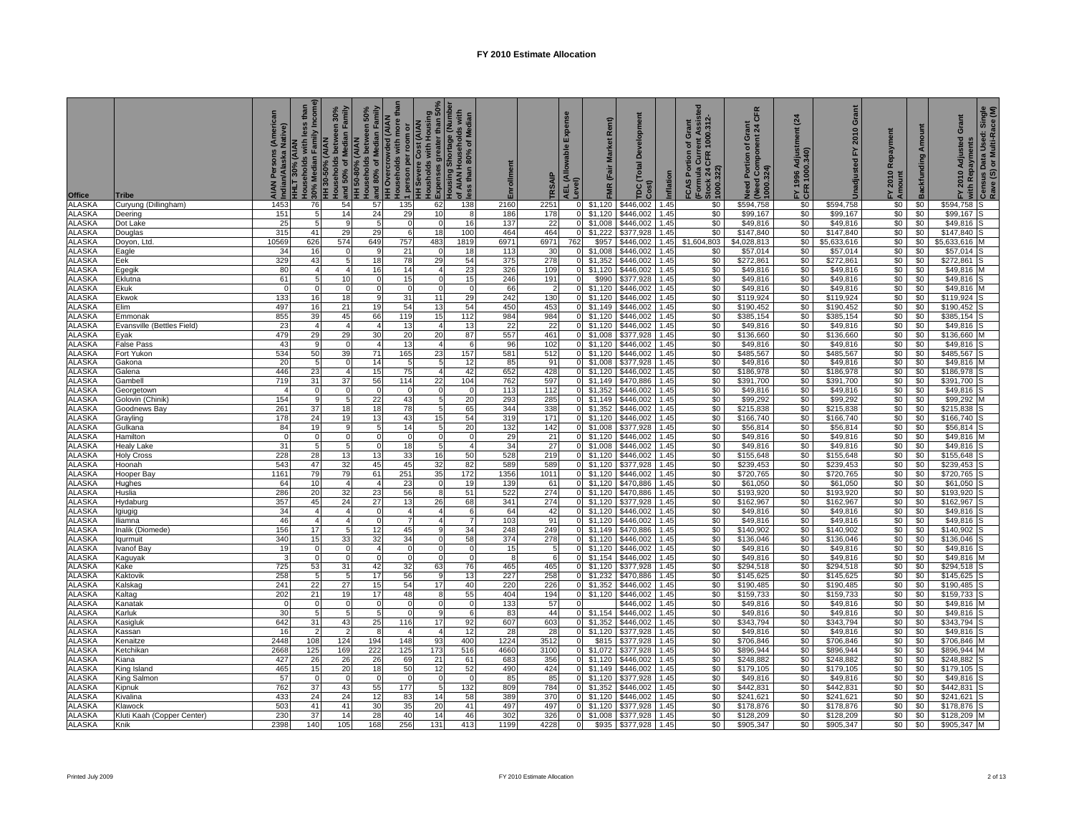| Office                         | Tribe                                                                                                                                                                                                                                                                                                                                                                                                                                                                                                                                                    | AIAN Persons (American<br>Native)<br>laska<br>Indian/Ala | HHLT 30% (AIAN<br>Households with less than | 30% Median Family Income<br>HH 30-50% (AIAN<br>louseholds between 30% | Households between 50%<br>] and 80% of Median Family<br>HH Overcrowded (AIAN<br>_Households with more than<br>and 50% of Median Family<br>HH 50-80% (AIAN | person per                   | HH Severe Cost (AIAN<br>Housholds with Housing<br>Expenses greater than 50%<br>of Ausing Shortage (wither<br>of Ausing 80% of Median<br>gless than 80% of Median |                | Enrollment  | RSAIP          | Expense<br>AEL (Allowable I<br>Level) | Market Rent)<br>FMR (Fair  | Development<br>TDC (Total I<br>Cost) | Inflation    | (Formula Current Assiste<br> Stock 24 CFR 1000.312-<br> 1000.322)<br>Grant<br>FCAS Portion of | <b>CFR</b><br>Need Portion of Grant<br>(Need Component 24 Cl<br>1000.324) | $\overline{a}$<br>FY 1996 Adjustment<br>CFR 1000.340) | Grant<br>2010<br>놊<br>Unadjusted | FY 2010 Repayment<br>Amount | <b>Backfunding Amount</b> | FY 2010 Adjusted Grant<br>with Repayments | Census Data Used: Single<br>Rave (S) or Multi-Race (M) |
|--------------------------------|----------------------------------------------------------------------------------------------------------------------------------------------------------------------------------------------------------------------------------------------------------------------------------------------------------------------------------------------------------------------------------------------------------------------------------------------------------------------------------------------------------------------------------------------------------|----------------------------------------------------------|---------------------------------------------|-----------------------------------------------------------------------|-----------------------------------------------------------------------------------------------------------------------------------------------------------|------------------------------|------------------------------------------------------------------------------------------------------------------------------------------------------------------|----------------|-------------|----------------|---------------------------------------|----------------------------|--------------------------------------|--------------|-----------------------------------------------------------------------------------------------|---------------------------------------------------------------------------|-------------------------------------------------------|----------------------------------|-----------------------------|---------------------------|-------------------------------------------|--------------------------------------------------------|
| <b>ALASKA</b>                  | Curyung (Dillingham)                                                                                                                                                                                                                                                                                                                                                                                                                                                                                                                                     | 1453                                                     | 76                                          | 54                                                                    | 57                                                                                                                                                        | 135                          | 62                                                                                                                                                               | 138            | 2160        | 2251           |                                       | \$1,120                    | \$446,002                            | 1.45         | \$0                                                                                           | \$594,758                                                                 | \$0                                                   | \$594,758                        | \$0                         | \$0                       | \$594,758                                 | s                                                      |
| ALASKA                         | Deering                                                                                                                                                                                                                                                                                                                                                                                                                                                                                                                                                  | 151                                                      | 5                                           | 14                                                                    | 24                                                                                                                                                        | 29                           | 10 <sup>1</sup>                                                                                                                                                  | 8              | 186         | 178            |                                       | \$1,120                    | \$446,002                            | .45          | \$0                                                                                           | \$99,167                                                                  | \$0                                                   | \$99,167                         | \$0                         | \$0                       | \$99,167                                  |                                                        |
| <b>ALASKA</b>                  | Dot Lake                                                                                                                                                                                                                                                                                                                                                                                                                                                                                                                                                 | 25                                                       | 5                                           | 9                                                                     | 5                                                                                                                                                         | $\Omega$                     |                                                                                                                                                                  | 16             | 137         | 22             | $\overline{0}$                        | \$1,008                    | \$446,002                            | 1.45         | \$0                                                                                           | \$49,816                                                                  | \$0                                                   | \$49,816                         | \$0                         | \$0                       | \$49,816                                  |                                                        |
| <b>ALASKA</b>                  | Douglas                                                                                                                                                                                                                                                                                                                                                                                                                                                                                                                                                  | 315                                                      | 41                                          | 29                                                                    | 29                                                                                                                                                        | 6                            | 18                                                                                                                                                               | 100            | 464         | 464            |                                       | \$1,222                    | \$377,928                            | .45          | \$0                                                                                           | \$147,840                                                                 | \$0                                                   | \$147,840                        | \$0                         | \$0                       | \$147,840                                 |                                                        |
| <b>ALASKA</b><br><b>ALASKA</b> | Doyon, Ltd.                                                                                                                                                                                                                                                                                                                                                                                                                                                                                                                                              | 10569<br>34                                              | 626<br>16                                   | 574<br>$\Omega$                                                       | 649<br>9                                                                                                                                                  | 757<br>21                    | 483                                                                                                                                                              | 1819<br>18     | 6971<br>113 | 6971<br>30     | 762                                   | \$957<br>\$1,008           | \$446,002<br>\$446,002               | 1.45<br>.45  | \$1,604,803<br>\$0                                                                            | \$4,028,813<br>\$57,014                                                   | \$0<br>\$0                                            | \$5,633,616<br>\$57,014          | \$0<br>\$0                  | \$0<br>\$0                | \$5,633,616<br>\$57,014                   | M                                                      |
| <b>ALASKA</b>                  | Eagle<br>Eek                                                                                                                                                                                                                                                                                                                                                                                                                                                                                                                                             | 329                                                      | 43                                          | $5\phantom{.0}$                                                       | 18                                                                                                                                                        | 78                           | 29                                                                                                                                                               | 54             | 375         | 278            | $\overline{0}$                        | \$1,352                    | \$446,002                            | .45          | \$0                                                                                           | \$272,861                                                                 | \$0                                                   | \$272,861                        | \$0                         | \$0                       | \$272,861                                 |                                                        |
| <b>ALASKA</b>                  | Egegik                                                                                                                                                                                                                                                                                                                                                                                                                                                                                                                                                   | 80                                                       | 4                                           | $\overline{4}$                                                        | 16                                                                                                                                                        | 14                           | 4                                                                                                                                                                | 23             | 326         | 109            | $\overline{0}$                        | \$1,120                    | \$446,002                            | 1.45         | \$0                                                                                           | \$49,816                                                                  | \$0                                                   | \$49,816                         | \$0                         | \$0                       | \$49,816 M                                |                                                        |
| <b>ALASKA</b>                  | Eklutna                                                                                                                                                                                                                                                                                                                                                                                                                                                                                                                                                  | 61                                                       | 5 <sub>1</sub>                              | 10                                                                    | $\mathbf 0$                                                                                                                                               | 15                           | $\Omega$                                                                                                                                                         | 15             | 246         | 191            | $\overline{0}$                        | \$990                      | \$377,928                            | 1.45         | \$0                                                                                           | \$49,816                                                                  | \$0                                                   | \$49,816                         | \$0                         | \$0                       | \$49,816                                  |                                                        |
| <b>ALASKA</b>                  | Ekuk                                                                                                                                                                                                                                                                                                                                                                                                                                                                                                                                                     | $\mathbf 0$                                              | $\mathbf 0$                                 | $\mathbf{0}$                                                          | $\mathbf 0$                                                                                                                                               | $\Omega$                     | <sup>n</sup>                                                                                                                                                     | $\circ$        | 66          | $\overline{2}$ | $\overline{0}$                        | \$1,120                    | \$446,002                            | 1.45         | \$0                                                                                           | \$49,816                                                                  | \$0                                                   | \$49,816                         | \$0                         | \$0                       | \$49,816                                  | M                                                      |
| <b>ALASKA</b>                  | Ekwok                                                                                                                                                                                                                                                                                                                                                                                                                                                                                                                                                    | 133                                                      | 16                                          | 18                                                                    | 9                                                                                                                                                         | 31                           | 11                                                                                                                                                               | 29             | 242         | 130            |                                       | $0$ \$1,120                | \$446,002                            | 1.45         | \$0                                                                                           | \$119,924                                                                 | \$0                                                   | \$119,924                        | \$0                         | \$0                       | \$119,924                                 |                                                        |
| <b>ALASKA</b>                  | Elim                                                                                                                                                                                                                                                                                                                                                                                                                                                                                                                                                     | 497                                                      | 16                                          | 21                                                                    | 19                                                                                                                                                        | 54                           | 13                                                                                                                                                               | 54             | 450         | 453            |                                       | \$1,149                    | \$446,002                            | 1.45         | \$0                                                                                           | \$190,452                                                                 | \$0                                                   | \$190,452                        | \$0                         | \$0                       | \$190,452                                 |                                                        |
| <b>ALASKA</b>                  | Emmonak                                                                                                                                                                                                                                                                                                                                                                                                                                                                                                                                                  | 855                                                      | 39                                          | 45                                                                    | 66                                                                                                                                                        | 119                          | 15                                                                                                                                                               | 112            | 984         | 984            | $\overline{0}$                        | \$1,120                    | \$446,002                            | 1.45         | \$0                                                                                           | \$385,154                                                                 | \$0                                                   | \$385,154                        | \$0                         | \$0                       | \$385,154                                 |                                                        |
| <b>ALASKA</b><br><b>ALASKA</b> | Evansville (Bettles Field)                                                                                                                                                                                                                                                                                                                                                                                                                                                                                                                               | 23<br>479                                                | $\overline{4}$<br>29                        | $\overline{4}$<br>29                                                  | 4<br>30                                                                                                                                                   | 13<br>20                     | 20                                                                                                                                                               | 13<br>87       | 22<br>557   | 22<br>461      | $\overline{0}$<br>$\overline{0}$      | \$1<br>,120<br>\$1,008     | \$446,002<br>\$377,928               | .45<br>.45   | \$0<br>\$0                                                                                    | \$49,816<br>\$136,660                                                     | \$0<br>\$0                                            | \$49,816<br>\$136,660            | \$0<br>\$0                  | \$0<br>\$0                | \$49,816<br>\$136,660                     | М                                                      |
| <b>ALASKA</b>                  | Eyak<br>False Pass                                                                                                                                                                                                                                                                                                                                                                                                                                                                                                                                       | 43                                                       | 9                                           | $\Omega$                                                              | $\overline{4}$                                                                                                                                            | 13                           |                                                                                                                                                                  | 6              | 96          | 102            | $\overline{0}$                        | \$1,120                    | \$446,002                            | .45          | \$0                                                                                           | \$49,816                                                                  | \$0                                                   | \$49,816                         | \$0                         | \$0                       | \$49,816                                  |                                                        |
| <b>ALASKA</b>                  | Fort Yukon                                                                                                                                                                                                                                                                                                                                                                                                                                                                                                                                               | 534                                                      | 50                                          | 39                                                                    | 71                                                                                                                                                        | 165                          | 23                                                                                                                                                               | 157            | 581         | 512            | $\overline{0}$                        | \$1,120                    | \$446,002                            | .45          | \$0                                                                                           | \$485,567                                                                 | \$0                                                   | \$485,567                        | \$0                         | \$0                       | \$485,567                                 |                                                        |
| <b>ALASKA</b>                  | Gakona                                                                                                                                                                                                                                                                                                                                                                                                                                                                                                                                                   | 20                                                       | $\overline{5}$                              | $\mathbf{0}$                                                          | 14                                                                                                                                                        | -5                           | 5                                                                                                                                                                | 12             | 85          | 91             |                                       | $0$ \$1,008                | \$377,928                            | .45          | \$0                                                                                           | \$49,816                                                                  | \$0                                                   | \$49,816                         | \$0                         | \$0                       | \$49,816 M                                |                                                        |
| <b>ALASKA</b>                  | Galena                                                                                                                                                                                                                                                                                                                                                                                                                                                                                                                                                   | 446                                                      | 23                                          | $\overline{4}$                                                        | 15                                                                                                                                                        | 75                           | 4                                                                                                                                                                | 42             | 652         | 428            |                                       | $0$ \$1,120                | \$446,002                            | 1.45         | \$0                                                                                           | \$186,978                                                                 | \$0                                                   | \$186,978                        | \$0                         | \$0                       | \$186,978                                 |                                                        |
| <b>ALASKA</b>                  | Gambell                                                                                                                                                                                                                                                                                                                                                                                                                                                                                                                                                  | 719                                                      | 31                                          | 37                                                                    | 56                                                                                                                                                        | 114                          | 22                                                                                                                                                               | 104            | 762         | 597            |                                       | $0$ \$1,149                | \$470,886                            | 1.45         | \$0                                                                                           | \$391,700                                                                 | \$0                                                   | \$391,700                        | \$0                         | \$0                       | \$391,700                                 |                                                        |
| <b>ALASKA</b>                  | Georgetown                                                                                                                                                                                                                                                                                                                                                                                                                                                                                                                                               | $\overline{4}$                                           | 0                                           | $\Omega$                                                              | $\Omega$                                                                                                                                                  | $\Omega$                     |                                                                                                                                                                  | $\Omega$       | 113         | 112            | $\overline{0}$                        | \$1,352                    | \$446,002                            | 1.45         | \$0                                                                                           | \$49,816                                                                  | \$0                                                   | \$49,816                         | \$0                         | \$0                       | \$49,816                                  |                                                        |
| <b>ALASKA</b>                  | Golovin (Chinik)                                                                                                                                                                                                                                                                                                                                                                                                                                                                                                                                         | 154                                                      | 9                                           | 5                                                                     | 22                                                                                                                                                        | 43                           | 5                                                                                                                                                                | 20             | 293         | 285            | $\overline{0}$                        | \$1,149                    | \$446,002                            | 1.45         | \$0                                                                                           | \$99,292                                                                  | \$0                                                   | \$99,292                         | \$0                         | \$0                       | \$99,292                                  | M                                                      |
| <b>ALASKA</b>                  | Goodnews Bay                                                                                                                                                                                                                                                                                                                                                                                                                                                                                                                                             | 261                                                      | 37                                          | 18                                                                    | 18                                                                                                                                                        | 78                           |                                                                                                                                                                  | 65             | 344         | 338            | $\overline{0}$                        | \$1,352                    | \$446,002                            | .45          | \$0                                                                                           | \$215,838                                                                 | \$0                                                   | \$215,838                        | \$0                         | \$0                       | \$215,838                                 |                                                        |
| <b>ALASKA</b>                  | Grayling                                                                                                                                                                                                                                                                                                                                                                                                                                                                                                                                                 | 178                                                      | 24                                          | 19                                                                    | 13                                                                                                                                                        | 43                           | 15                                                                                                                                                               | 54             | 319         | 171            | $\overline{0}$                        | \$1,120                    | \$446,002                            | .45          | \$0                                                                                           | \$166,740                                                                 | \$0                                                   | \$166,740                        | \$0                         | \$0                       | \$166,740                                 |                                                        |
| <b>ALASKA</b><br><b>ALASKA</b> | Gulkana<br>Hamilton                                                                                                                                                                                                                                                                                                                                                                                                                                                                                                                                      | 84<br>$\mathbf 0$                                        | 19<br>$\Omega$                              | 9<br>$\Omega$                                                         | $5\phantom{.0}$<br>$\overline{0}$                                                                                                                         | 14<br>$\Omega$               | 5<br>$\Omega$                                                                                                                                                    | 20<br>$\Omega$ | 132<br>29   | 142<br>21      | $\overline{0}$<br>$\overline{0}$      | \$1,008<br>\$1,120         | \$377,928<br>\$446,002               | .45<br>.45   | \$0<br>\$0                                                                                    | \$56,814<br>\$49,816                                                      | \$0<br>\$0                                            | \$56,814<br>\$49,816             | \$0<br>\$0                  | \$0<br>\$0                | \$56,814<br>\$49,816                      | M                                                      |
| <b>ALASKA</b>                  | <b>Healy Lake</b>                                                                                                                                                                                                                                                                                                                                                                                                                                                                                                                                        | 31                                                       | 5                                           | 5                                                                     | $\overline{0}$                                                                                                                                            | 18                           | 5                                                                                                                                                                | $\overline{A}$ | 34          | 27             | $\overline{0}$                        | \$1,008                    | \$446,002                            | .45          | \$0                                                                                           | \$49,816                                                                  | \$0                                                   | \$49,816                         | \$0                         | \$0                       | \$49,816                                  |                                                        |
| <b>ALASKA</b>                  | Holy Cross                                                                                                                                                                                                                                                                                                                                                                                                                                                                                                                                               | 228                                                      | 28                                          | 13                                                                    | 13                                                                                                                                                        | 33                           | 16                                                                                                                                                               | 50             | 528         | 219            |                                       | $0$ \$1,120                | \$446,002                            | .45          | \$0                                                                                           | \$155,648                                                                 | \$0                                                   | \$155,648                        | \$0                         | \$0                       | \$155,648                                 |                                                        |
| <b>ALASKA</b>                  | Hoonah                                                                                                                                                                                                                                                                                                                                                                                                                                                                                                                                                   | 543                                                      | 47                                          | 32                                                                    | 45                                                                                                                                                        | 45                           | 32                                                                                                                                                               | 82             | 589         | 589            |                                       | $0$ \$1,120                | \$377,928                            | .45          | \$0                                                                                           | \$239,453                                                                 | \$0                                                   | \$239,453                        | \$0                         | \$0                       | \$239,453                                 |                                                        |
| <b>ALASKA</b>                  | Hooper Bay                                                                                                                                                                                                                                                                                                                                                                                                                                                                                                                                               | 1161                                                     | 79                                          | 79                                                                    | 61                                                                                                                                                        | 251                          | 35                                                                                                                                                               | 172            | 1356        | 1011           |                                       | $0$ \$1,120                | \$446,002                            | .45          | \$0                                                                                           | \$720,765                                                                 | \$0                                                   | \$720,765                        | \$0                         | \$0                       | \$720,765                                 |                                                        |
| <b>ALASKA</b>                  | Hughes                                                                                                                                                                                                                                                                                                                                                                                                                                                                                                                                                   | 64                                                       | 10                                          | $\overline{4}$                                                        | 4                                                                                                                                                         | 23                           | $\Omega$                                                                                                                                                         | 19             | 139         | 61             | $\Omega$                              | \$1,120                    | \$470,886                            | 1.45         | \$0                                                                                           | \$61,050                                                                  | \$0                                                   | \$61,050                         | \$0                         | \$0                       | \$61,050                                  |                                                        |
| <b>ALASKA</b>                  | Huslia                                                                                                                                                                                                                                                                                                                                                                                                                                                                                                                                                   | 286                                                      | 20                                          | 32                                                                    | 23                                                                                                                                                        | 56                           | 8                                                                                                                                                                | 51             | 522         | 274            |                                       | \$1,120                    | \$470,886                            | 1.45         | \$0                                                                                           | \$193,920                                                                 | \$0                                                   | \$193,920                        | \$0                         | \$0                       | \$193,920                                 |                                                        |
| <b>ALASKA</b>                  | Hydaburg                                                                                                                                                                                                                                                                                                                                                                                                                                                                                                                                                 | 357                                                      | 45                                          | 24                                                                    | 27                                                                                                                                                        | 13                           | 26                                                                                                                                                               | 68             | 341         | 274            | $\overline{0}$                        | \$1,120                    | \$377,928                            | 1.45         | \$0                                                                                           | \$162,967                                                                 | \$0                                                   | \$162,967                        | \$0                         | \$0                       | \$162,967                                 |                                                        |
| <b>ALASKA</b>                  | lgiugig                                                                                                                                                                                                                                                                                                                                                                                                                                                                                                                                                  | 34                                                       | $\overline{4}$                              | $\overline{4}$                                                        | $\mathbf 0$                                                                                                                                               | 4                            |                                                                                                                                                                  | 6              | 64          | 42             | $\mathbf{0}$                          | \$1,120                    | \$446,002                            | .45          | \$0                                                                                           | \$49,816                                                                  | \$0                                                   | \$49,816                         | \$0                         | \$0                       | \$49,816                                  |                                                        |
| <b>ALASKA</b>                  | lliamna                                                                                                                                                                                                                                                                                                                                                                                                                                                                                                                                                  | 46<br>156                                                | $\overline{4}$<br>17                        | $\overline{4}$<br>5                                                   | $\mathbf 0$<br>12                                                                                                                                         | 7<br>45                      | 4<br>$\mathbf{Q}$                                                                                                                                                | 7              | 103<br>248  | 91             | $\overline{0}$                        | \$1,120                    | \$446,002                            | .45          | \$0<br>\$0                                                                                    | \$49,816                                                                  | \$0<br>\$0                                            | \$49,816                         | \$0                         | \$0                       | \$49,816                                  |                                                        |
| <b>ALASKA</b><br><b>ALASKA</b> | inalik (Diomede)                                                                                                                                                                                                                                                                                                                                                                                                                                                                                                                                         | 340                                                      | 15                                          | 33                                                                    | 32                                                                                                                                                        | 34                           |                                                                                                                                                                  | 34<br>58       | 374         | 249<br>278     |                                       | $0$ \$1,149<br>$0$ \$1,120 | \$470,886<br>\$446,002               | 1.45<br>1.45 | \$0                                                                                           | \$140,902<br>\$136,046                                                    | \$0                                                   | \$140,902<br>\$136,046           | \$0<br>\$0                  | \$0<br>\$0                | \$140,902<br>\$136,046                    |                                                        |
| <b>ALASKA</b>                  | qurmuit<br>vanof Ba                                                                                                                                                                                                                                                                                                                                                                                                                                                                                                                                      | 19                                                       | $\overline{0}$                              | $\mathbf 0$                                                           | 4                                                                                                                                                         | $\mathbf 0$                  |                                                                                                                                                                  |                | 15          | 5              | $\overline{\mathbf{0}}$               | \$1,120                    | \$446,002                            | 1.45         | \$0                                                                                           | \$49,816                                                                  | \$0                                                   | \$49,816                         | \$0                         | \$0                       | \$49,816                                  |                                                        |
| <b>ALASKA</b>                  | Kaguyak                                                                                                                                                                                                                                                                                                                                                                                                                                                                                                                                                  | 3                                                        | $\mathbf 0$                                 | $\mathbf{0}$                                                          | $\mathbf 0$                                                                                                                                               | $\Omega$                     | $\Omega$                                                                                                                                                         | $\mathbf{0}$   | 8           | 6              |                                       | $0$ \$1,154                | \$446,002                            | .45          | \$0                                                                                           | \$49,816                                                                  | \$0                                                   | \$49,816                         | \$0                         | \$0                       | \$49,816                                  |                                                        |
| <b>ALASKA</b>                  | Kake                                                                                                                                                                                                                                                                                                                                                                                                                                                                                                                                                     | 725                                                      | 53                                          | 31                                                                    | 42                                                                                                                                                        | 32                           | 63                                                                                                                                                               | 76             | 465         | 465            |                                       | $0$ \$1,120                | \$377,928                            | .45          | \$0                                                                                           | \$294,518                                                                 | \$0                                                   | \$294,518                        | \$0                         | \$0                       | \$294,518                                 |                                                        |
| <b>ALASKA</b>                  | Kaktovik                                                                                                                                                                                                                                                                                                                                                                                                                                                                                                                                                 | 258                                                      | 5                                           | 5                                                                     | 17                                                                                                                                                        | 56                           |                                                                                                                                                                  | 13             | 227         | 258            |                                       | \$1,232                    | \$470,886                            | .45          | \$0                                                                                           | \$145,625                                                                 | \$0                                                   | \$145,625                        | \$0                         | \$0                       | \$145,625                                 |                                                        |
| <b>ALASKA</b>                  | Kalskag                                                                                                                                                                                                                                                                                                                                                                                                                                                                                                                                                  | 241                                                      | 22                                          | 27                                                                    | 15                                                                                                                                                        | 54                           | 17                                                                                                                                                               | 40             | 220         | 226            | $\overline{0}$                        | \$1,352                    | \$446,002                            | 1.45         | \$0                                                                                           | \$190,485                                                                 | \$0                                                   | \$190,485                        | \$0                         | \$0                       | \$190,485                                 |                                                        |
| <b>ALASKA</b>                  | Kaltag                                                                                                                                                                                                                                                                                                                                                                                                                                                                                                                                                   | 202                                                      | 21                                          | 19                                                                    | 17                                                                                                                                                        | 48                           |                                                                                                                                                                  | 55             | 404         | 194            | $\overline{0}$                        | \$1,120                    | \$446,002                            | 1.45         | \$0                                                                                           | \$159,733                                                                 | \$0                                                   | \$159,733                        | \$0                         | \$0                       | \$159,733                                 |                                                        |
| <b>ALASKA</b>                  | Kanatak                                                                                                                                                                                                                                                                                                                                                                                                                                                                                                                                                  | $\mathbf 0$                                              | 0                                           | $\Omega$                                                              | $\mathbf 0$                                                                                                                                               | n                            | <sup>0</sup>                                                                                                                                                     | $\Omega$       | 133         | 57             |                                       |                            | \$446,002                            | .45          | \$0                                                                                           | \$49,816                                                                  | \$0                                                   | \$49,816                         | \$0                         | \$0                       | \$49,816                                  | M                                                      |
| ALASKA                         | Karluk                                                                                                                                                                                                                                                                                                                                                                                                                                                                                                                                                   | 30                                                       | 5                                           | 5                                                                     | 5                                                                                                                                                         | $\Omega$                     | 9                                                                                                                                                                | 6              | 83          | 44             | $\overline{0}$                        | \$1,154                    | \$446,002                            | .45          | \$0                                                                                           | \$49,816                                                                  | \$0                                                   | \$49,816                         | \$0                         | \$0                       | \$49,816                                  |                                                        |
| <b>ALASKA</b>                  | Kasigluk                                                                                                                                                                                                                                                                                                                                                                                                                                                                                                                                                 | 642                                                      | 31                                          | 43<br>$\overline{2}$                                                  | 25                                                                                                                                                        | 116<br>$\boldsymbol{\Delta}$ | 17                                                                                                                                                               | 92             | 607         | 603            | $\overline{0}$                        | \$1,352                    | \$446,002                            | .45          | \$0                                                                                           | \$343,794                                                                 | \$0                                                   | \$343,794                        | \$0                         | \$0                       | \$343,794                                 |                                                        |
| <b>ALASKA</b><br><b>ALASKA</b> | Kassan<br><enaitze< td=""><td>16<br/>2448</td><td><math>\overline{2}</math><br/>108</td><td>124</td><td>8<br/>194</td><td>148</td><td>93</td><td>12<br/>400</td><td>28<br/>1224</td><td>28<br/>3512</td><td><math>\overline{0}</math><br/><math>\overline{0}</math></td><td>\$1,120<br/>\$815</td><td>\$377,928<br/>\$377,928</td><td>1.45<br/>.45</td><td>\$0<br/>\$0</td><td>\$49,816<br/>\$706,846</td><td>\$0<br/>\$0</td><td>\$49,816<br/>\$706,846</td><td>\$0<br/>\$0</td><td>\$0<br/>\$0</td><td>\$49,816<br/>\$706,846</td><td></td></enaitze<> | 16<br>2448                                               | $\overline{2}$<br>108                       | 124                                                                   | 8<br>194                                                                                                                                                  | 148                          | 93                                                                                                                                                               | 12<br>400      | 28<br>1224  | 28<br>3512     | $\overline{0}$<br>$\overline{0}$      | \$1,120<br>\$815           | \$377,928<br>\$377,928               | 1.45<br>.45  | \$0<br>\$0                                                                                    | \$49,816<br>\$706,846                                                     | \$0<br>\$0                                            | \$49,816<br>\$706,846            | \$0<br>\$0                  | \$0<br>\$0                | \$49,816<br>\$706,846                     |                                                        |
| <b>ALASKA</b>                  | Ketchikan                                                                                                                                                                                                                                                                                                                                                                                                                                                                                                                                                | 2668                                                     | 125                                         | 169                                                                   | 222                                                                                                                                                       | 125                          | 173                                                                                                                                                              | 516            | 4660        | 3100           | $\overline{0}$                        | \$1,072                    | \$377,928                            | .45          | \$0                                                                                           | \$896,944                                                                 | \$0                                                   | \$896,944                        | \$0                         | \$0                       | \$896,944                                 |                                                        |
| <b>ALASKA</b>                  | Kiana                                                                                                                                                                                                                                                                                                                                                                                                                                                                                                                                                    | 427                                                      | 26                                          | 26                                                                    | 26                                                                                                                                                        | 69                           | 21                                                                                                                                                               | 61             | 683         | 356            | $\overline{0}$                        | \$1,120                    | \$446,002                            | .45          | \$0                                                                                           | \$248,882                                                                 | \$0                                                   | \$248,882                        | \$0                         | \$0                       | \$248,882                                 |                                                        |
| <b>ALASKA</b>                  | King Island                                                                                                                                                                                                                                                                                                                                                                                                                                                                                                                                              | 465                                                      | 15                                          | 20                                                                    | 18                                                                                                                                                        | 50                           | 12                                                                                                                                                               | 52             | 490         | 424            |                                       | \$1,149                    | \$446,002                            | .45          | \$0                                                                                           | \$179,105                                                                 | \$0                                                   | \$179,105                        | \$0                         | \$0                       | \$179,105                                 |                                                        |
| <b>ALASKA</b>                  | King Salmon                                                                                                                                                                                                                                                                                                                                                                                                                                                                                                                                              | 57                                                       | $\Omega$                                    | $\Omega$                                                              | $\Omega$                                                                                                                                                  | $\Omega$                     |                                                                                                                                                                  | $\Omega$       | 85          | 85             | $\overline{0}$                        | \$1,120                    | \$377,928                            | 1.45         | \$0                                                                                           | \$49,816                                                                  | \$0                                                   | \$49,816                         | \$0                         | \$0                       | \$49,816                                  |                                                        |
| <b>ALASKA</b>                  | Kipnuk                                                                                                                                                                                                                                                                                                                                                                                                                                                                                                                                                   | 762                                                      | 37                                          | 43                                                                    | 55                                                                                                                                                        | 177                          |                                                                                                                                                                  | 132            | 809         | 784            |                                       | \$1,352                    | \$446,002                            | 1.45         | \$0                                                                                           | \$442,831                                                                 | \$0                                                   | \$442,831                        | \$0                         | \$0                       | \$442,831                                 |                                                        |
| <b>ALASKA</b>                  | Kivalina                                                                                                                                                                                                                                                                                                                                                                                                                                                                                                                                                 | 433                                                      | 24                                          | 24                                                                    | 12                                                                                                                                                        | 83                           | 14                                                                                                                                                               | 58             | 389         | 370            | $\overline{0}$                        | $\overline{1,120}$         | \$446,002                            | 1.45         | \$0                                                                                           | \$241,621                                                                 | \$0                                                   | \$241,621                        | \$0                         | \$0                       | \$241,621                                 |                                                        |
| <b>ALASKA</b>                  | Klawock                                                                                                                                                                                                                                                                                                                                                                                                                                                                                                                                                  | 503                                                      | 41                                          | 41                                                                    | 30                                                                                                                                                        | 35                           | 20                                                                                                                                                               | 41             | 497         | 497            |                                       | \$1,120                    | \$377.928                            | .45          | \$0                                                                                           | \$178,876                                                                 | \$0                                                   | \$178,876                        | \$0                         | \$0                       | \$178.876                                 |                                                        |
| <b>ALASKA</b>                  | Kluti Kaah (Copper Center)                                                                                                                                                                                                                                                                                                                                                                                                                                                                                                                               | 230                                                      | 37                                          | 14                                                                    | 28                                                                                                                                                        | 40                           | 14                                                                                                                                                               | 46             | 302         | 326            | $\overline{0}$                        | \$1,008                    | \$377,928                            | 1.45         | \$0                                                                                           | \$128,209                                                                 | \$0                                                   | \$128,209                        | \$0                         | \$0                       | \$128,209                                 | M                                                      |
| <b>ALASKA</b>                  | Knik                                                                                                                                                                                                                                                                                                                                                                                                                                                                                                                                                     | 2398                                                     | 140                                         | 105                                                                   | 168                                                                                                                                                       | 256                          | 131                                                                                                                                                              | 413            | 1199        | 4228           | $\overline{0}$                        |                            | \$935 \$377,928                      | 1.45         | \$0                                                                                           | \$905,347                                                                 | \$0                                                   | \$905,347                        | \$0                         | \$0                       | \$905,347 M                               |                                                        |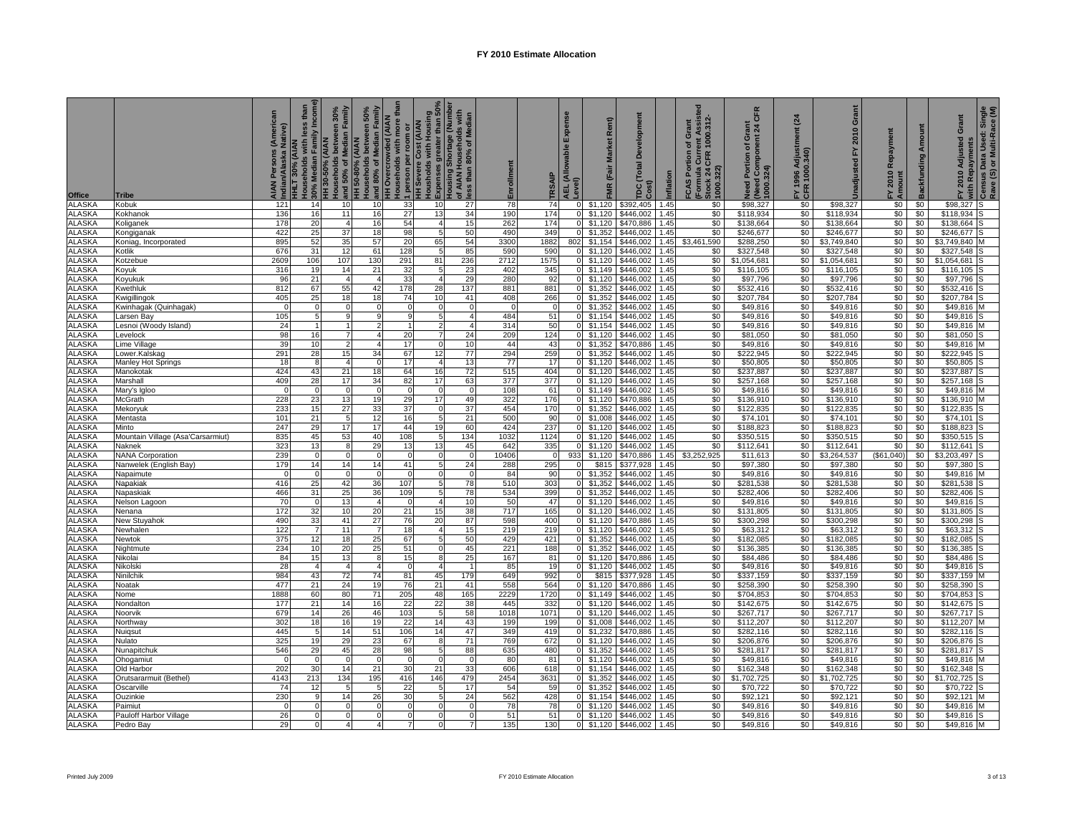|                                |                                             | (American<br>Native)<br>AIAN I<br>Indian | HHLT 30% (AIAN<br>Households with less than<br>- 30% Median Family Income) | and 50% of Median Family<br>iouseholds between $30\%$<br>HH 30-50% (AIAN | HH 50-80% (AIAN)<br>Households between 50%<br>Sand 80% of Median Family | <b>HH Overcrowded (AIAN</b><br>Households with more than | Housholds with Housing<br>5 Expenses greater than 50%<br>Housing Shortage (Number<br>1 person per room or<br>HH Severe Cost (AIAN | of AIAN Households with<br>less than 80% of Median | Enrollment  | TRSAIP      | Expense<br>AEL (Allowable I<br>Level) | Rent)<br>FMR (Fair Market | ă<br><b>TDC</b> (Total<br>Cost) | Inflation    | ent Assisted<br>1000.312<br>of Grant<br>FCAS Portion<br>(Formula Curre<br>Stock 24 CFR<br>1000.322) | <b>CFR</b><br>Grant<br>snt 24 (<br>Need Portion of Gra<br>(Need Component 2<br>1000.324) | $\overline{a}$<br>FY 1996 Adjustr<br>CFR 1000.340) | Grant<br>2010<br>집<br>Unadjusted | FY 2010 Repayment<br>Amount | <b>Backfunding Amount</b> | FY 2010 Adjusted Grant | ∛with Repayments<br>º Census Data Used: Single<br>Rave (S) or Multi-Race (M) |
|--------------------------------|---------------------------------------------|------------------------------------------|----------------------------------------------------------------------------|--------------------------------------------------------------------------|-------------------------------------------------------------------------|----------------------------------------------------------|-----------------------------------------------------------------------------------------------------------------------------------|----------------------------------------------------|-------------|-------------|---------------------------------------|---------------------------|---------------------------------|--------------|-----------------------------------------------------------------------------------------------------|------------------------------------------------------------------------------------------|----------------------------------------------------|----------------------------------|-----------------------------|---------------------------|------------------------|------------------------------------------------------------------------------|
| <b>Office</b><br><b>ALASKA</b> | <b>Tribe</b>                                |                                          | 14                                                                         |                                                                          |                                                                         |                                                          | 10 <sup>1</sup>                                                                                                                   |                                                    |             | 74          | $\Omega$                              | \$1,120                   | \$392,405                       | 1.45         | \$0                                                                                                 | \$98,327                                                                                 |                                                    |                                  | \$0                         | \$0                       | \$98,327               |                                                                              |
| <b>ALASKA</b>                  | Kobuk<br>Kokhanol                           | 121<br>136                               | 16                                                                         | 10<br>11                                                                 | 10 <sup>1</sup><br>16                                                   | 33<br>27                                                 | 13                                                                                                                                | 27<br>34                                           | 78<br>190   | 174         | $\Omega$                              | \$1,120                   | \$446,002                       | 1.45         | \$0                                                                                                 | \$118,934                                                                                | \$0<br>\$0                                         | \$98,327<br>\$118,934            | \$0                         | \$0                       | \$118,934              |                                                                              |
| ALASKA                         | Koliganek                                   | 178                                      | 20                                                                         | $\overline{4}$                                                           | 16                                                                      | 54                                                       |                                                                                                                                   | 15                                                 | 262         | 174         | $\Omega$                              | \$1,120                   | \$470,886                       | .45          | \$0                                                                                                 | \$138,664                                                                                | \$0                                                | \$138,664                        | \$0                         | \$0                       | \$138,664              |                                                                              |
| ALASKA                         | Kongiganak                                  | 422                                      | 25                                                                         | 37                                                                       | 18                                                                      | 98                                                       | 5                                                                                                                                 | 50                                                 | 490         | 349         | $\Omega$                              | \$1,352                   | \$446,002                       | 1.45         | \$0                                                                                                 | \$246,677                                                                                | \$0                                                | \$246,677                        | \$0                         | \$0                       | \$246,677              |                                                                              |
| ALASKA                         | Koniag, Incorporated                        | 895                                      | 52                                                                         | 35                                                                       | 57                                                                      | 20                                                       | 65                                                                                                                                | 54                                                 | 3300        | 1882        | 802                                   | \$1,154                   | \$446,002                       | 1.45         | \$3,461,590                                                                                         | \$288,250                                                                                | \$0                                                | \$3,749,840                      | \$0                         | \$0                       | \$3,749,840            |                                                                              |
| ALASKA                         | Kotlik                                      | 676                                      | 31                                                                         | 12                                                                       | 61                                                                      | 128                                                      | 5                                                                                                                                 | 85                                                 | 590         | 590         |                                       | $0$ \$1,120               | \$446,002                       | 1.45         | \$0                                                                                                 | \$327,548                                                                                | \$0                                                | \$327,548                        | \$0                         | \$0                       | \$327,548              |                                                                              |
| ALASKA                         | Kotzebue                                    | 2609                                     | 106                                                                        | 107                                                                      | 130                                                                     | 291                                                      | 81                                                                                                                                | 236                                                | 2712        | 1575        |                                       | $0$ \$1,120               | \$446,002                       | 1.45         | \$0                                                                                                 | \$1,054,681                                                                              | \$0                                                | \$1,054,681                      | \$0                         | \$0                       | \$1,054,681            |                                                                              |
| <b>ALASKA</b>                  | Koyuk                                       | 316                                      | 19                                                                         | 14                                                                       | 21                                                                      | 32                                                       |                                                                                                                                   | 23                                                 | 402         | 345         |                                       | $0$ \$1,149               | \$446,002                       | 1.45         | \$0                                                                                                 | \$116,105                                                                                | \$0                                                | \$116,105                        | \$0                         | \$0                       | \$116,105              |                                                                              |
| <b>ALASKA</b>                  | Koyukuk                                     | 96                                       | 21                                                                         | $\overline{4}$                                                           | $\overline{4}$                                                          | 33                                                       |                                                                                                                                   | 29                                                 | 280         | 92          |                                       | $0$ \$1,120               | \$446,002                       | 1.45         | \$0                                                                                                 | \$97,796                                                                                 | \$0                                                | \$97,796                         | \$0                         | \$0                       | \$97,796               |                                                                              |
| <b>ALASKA</b>                  | Kwethluk                                    | 812                                      | 67                                                                         | 55                                                                       | 42                                                                      | 178                                                      | 28                                                                                                                                | 137                                                | 881         | 881         |                                       | 0 \$1,352                 | \$446,002                       | 1.45         | \$0                                                                                                 | \$532,416                                                                                | \$0                                                | \$532,416                        | \$0                         | \$0                       | \$532,416              |                                                                              |
| ALASKA                         | Kwigillingok                                | 405                                      | 25                                                                         | 18                                                                       | 18                                                                      | 74                                                       | 10                                                                                                                                | 41                                                 | 408         | 266         |                                       | 0 \$1,352                 | \$446,002                       | 1.45         | \$0                                                                                                 | \$207,784                                                                                | \$0                                                | \$207,784                        | \$0                         | \$0                       | \$207,784              |                                                                              |
| ALASKA                         | Kwinhagak (Quinhagak)                       | $\Omega$                                 | 5                                                                          | $\Omega$<br>$\alpha$                                                     | $\Omega$<br>a                                                           | a                                                        |                                                                                                                                   | $\Omega$                                           | $\sqrt{ }$  |             | $\Omega$                              | \$1,352                   | \$446,002                       | 1.45         | \$0                                                                                                 | \$49,816                                                                                 | \$0                                                | \$49,816                         | \$0                         | \$0                       | \$49,816               |                                                                              |
| <b>ALASKA</b><br><b>ALASKA</b> | Larsen Bay                                  | 105<br>24                                |                                                                            |                                                                          |                                                                         |                                                          |                                                                                                                                   | $\overline{4}$<br>$\overline{4}$                   | 484<br>314  | 51<br>50    | $\Omega$                              | \$1,154<br>\$1,154        | \$446,002<br>\$446,002          | 1.45<br>1.45 | \$0<br>\$0                                                                                          | \$49,816<br>\$49,816                                                                     | \$0<br>\$0                                         | \$49,816<br>\$49,816             | \$0<br>\$0                  | \$0<br>\$0                | \$49,816<br>\$49,816   |                                                                              |
| <b>ALASKA</b>                  | Lesnoi (Woody Island)<br>Levelock           | 98                                       | 16                                                                         |                                                                          | 4                                                                       | 20                                                       |                                                                                                                                   | 24                                                 | 209         | 124         | $\overline{0}$<br>$\Omega$            | \$1,120                   | \$446,002                       | 1.45         | \$0                                                                                                 | \$81,050                                                                                 | \$0                                                | \$81,050                         | \$0                         | \$0                       | \$81,050               |                                                                              |
| ALASKA                         | Lime Village                                | 39                                       | 10                                                                         | $\overline{2}$                                                           | $\overline{4}$                                                          | 17                                                       | $\overline{0}$                                                                                                                    | 10                                                 | 44          | 43          |                                       | 0 \$1,352                 | \$470,886                       | .45          | \$0                                                                                                 | \$49,816                                                                                 | \$0                                                | \$49,816                         | \$0                         | \$0                       | \$49,816               |                                                                              |
| <b>ALASKA</b>                  | Lower.Kalskag                               | 291                                      | 28                                                                         | 15                                                                       | 34                                                                      | 67                                                       | 12                                                                                                                                | 77                                                 | 294         | 259         |                                       | $0$ \$1,352               | \$446,002                       | 1.45         | \$0                                                                                                 | \$222,945                                                                                | \$0                                                | \$222,945                        | \$0                         | \$0                       | \$222,945              |                                                                              |
| <b>ALASKA</b>                  | Manley Hot Springs                          | 18                                       | 8                                                                          | $\boldsymbol{\Delta}$                                                    | $\Omega$                                                                | 17                                                       |                                                                                                                                   | 13                                                 | 77          | 17          |                                       | $0$ \$1,120               | \$446,002                       | 1.45         | \$0                                                                                                 | \$50,805                                                                                 | \$0                                                | \$50,805                         | \$0                         | \$0                       | \$50,805               |                                                                              |
| <b>ALASKA</b>                  | Manokotak                                   | 424                                      | 43                                                                         | 21                                                                       | 18                                                                      | 64                                                       | 16                                                                                                                                | 72                                                 | 515         | 404         |                                       | $0$ \$1,120               | \$446,002                       | 1.45         | \$0                                                                                                 | \$237,887                                                                                | \$0                                                | \$237,887                        | \$0                         | \$0                       | \$237,887              |                                                                              |
| ALASKA                         | Marshall                                    | 409                                      | 28                                                                         | 17                                                                       | 34                                                                      | 82                                                       | 17                                                                                                                                | 63                                                 | 377         | 377         |                                       | $0$ \$1,120               | \$446,002                       | .45          | \$0                                                                                                 | \$257,168                                                                                | \$0                                                | \$257,168                        | \$0                         | \$0                       | \$257,168              |                                                                              |
| ALASKA                         | Mary's Igloo                                | - 0                                      |                                                                            | $\mathbf 0$                                                              | $\Omega$                                                                | $\overline{0}$                                           |                                                                                                                                   | $\Omega$                                           | 108         | 61          |                                       | $0$ \$1,149               | \$446,002                       | 1.45         | \$0                                                                                                 | \$49,816                                                                                 | \$0                                                | \$49,816                         | \$0                         | \$0                       | \$49,816               |                                                                              |
| ALASKA                         | McGrath                                     | 228                                      | 23                                                                         | 13                                                                       | 19                                                                      | 29                                                       | 17                                                                                                                                | 49                                                 | 322         | 176         | $\overline{0}$                        | \$1,120                   | \$470,886                       | 1.45         | \$0                                                                                                 | \$136,910                                                                                | \$0                                                | \$136,910                        | \$0                         | \$0                       | \$136,910              |                                                                              |
| <b>ALASKA</b>                  | Mekoryuk                                    | 233                                      | 15                                                                         | 27                                                                       | 33                                                                      | 37                                                       |                                                                                                                                   | 37                                                 | 454         | 170         | $\overline{0}$                        | \$1,352                   | \$446,002                       | 1.45         | \$0                                                                                                 | \$122,835                                                                                | \$0                                                | \$122,835                        | \$0                         | \$0                       | \$122,835              |                                                                              |
| <b>ALASKA</b>                  | Mentasta                                    | 101                                      | 21                                                                         | 5                                                                        | 12                                                                      | 16                                                       |                                                                                                                                   | 21                                                 | 500         | 90          | $\overline{0}$                        | \$1,008                   | \$446,002                       | 1.45         | \$0                                                                                                 | \$74,101                                                                                 | \$0                                                | \$74,101                         | \$0                         | \$0                       | \$74,101               |                                                                              |
| ALASKA                         | Minto                                       | 247                                      | 29                                                                         | 17                                                                       | 17                                                                      | 44                                                       | 19                                                                                                                                | 60                                                 | 424         | 237         | $\overline{0}$                        | \$1,120                   | \$446,002                       | 1.45         | \$0                                                                                                 | \$188,823                                                                                | \$0                                                | \$188,823                        | \$0                         | \$0                       | \$188,823              |                                                                              |
| ALASKA<br>ALASKA               | Mountain Village (Asa'Carsarmiut)<br>Naknek | 835<br>323                               | 45<br>13                                                                   | 53<br>8                                                                  | 40<br>29                                                                | 108<br>13                                                | -5<br>13                                                                                                                          | 134<br>45                                          | 1032<br>642 | 1124<br>335 | $\Omega$                              | $0$ \$1,120<br>\$1,120    | \$446,002<br>\$446,002          | .45<br>1.45  | \$0<br>\$0                                                                                          | \$350,515<br>\$112,641                                                                   | \$0<br>\$0                                         | \$350,515<br>\$112,641           | \$0<br>\$0                  | \$0<br>\$0                | \$350,515<br>\$112,641 |                                                                              |
| ALASKA                         | <b>NANA Corporation</b>                     | 239                                      | $\Omega$                                                                   | $\Omega$                                                                 | $\Omega$                                                                | $\Omega$                                                 |                                                                                                                                   | $\overline{0}$                                     | 10406       |             | 933                                   | \$1,120                   | \$470,886                       | 1.45         | \$3,252,925                                                                                         | \$11,613                                                                                 | \$0                                                | \$3,264,537                      | (\$61,040)                  | \$0                       | \$3,203,497            |                                                                              |
| <b>ALASKA</b>                  | Nanwelek (English Bay)                      | 179                                      | 14                                                                         | 14                                                                       | 14                                                                      | 41                                                       | 5                                                                                                                                 | 24                                                 | 288         | 295         | $\mathbf{0}$                          | \$815                     | \$377,928                       | 1.45         | \$0                                                                                                 | \$97,380                                                                                 | \$0                                                | \$97,380                         | \$0                         | \$0                       | \$97,380               |                                                                              |
| <b>ALASKA</b>                  | Napaimute                                   | $\sqrt{ }$                               | $\Omega$                                                                   | $\Omega$                                                                 | $\Omega$                                                                | $\Omega$                                                 | n                                                                                                                                 | $\Omega$                                           | 84          | 90          |                                       | 0 \$1,352                 | \$446,002                       | 1.45         | \$0                                                                                                 | \$49,816                                                                                 | \$0                                                | \$49,816                         | \$0                         | \$0                       | \$49,816               |                                                                              |
| ALASKA                         | Napakiak                                    | 416                                      | 25                                                                         | 42                                                                       | 36                                                                      | 107                                                      | 51                                                                                                                                | 78                                                 | 510         | 303         |                                       | $0$ \$1,352               | \$446,002                       | 1.45         | \$0                                                                                                 | \$281,538                                                                                | \$0                                                | \$281,538                        | \$0                         | \$0                       | \$281,538              |                                                                              |
| ALASKA                         | Napaskiak                                   | 466                                      | 31                                                                         | 25                                                                       | 36                                                                      | 109                                                      | 5 <sup>1</sup>                                                                                                                    | 78                                                 | 534         | 399         | $\overline{0}$                        | \$1,352                   | \$446,002                       | 1.45         | \$0                                                                                                 | \$282,406                                                                                | \$0                                                | \$282,406                        | \$0                         | \$0                       | \$282,406              |                                                                              |
| ALASKA                         | Nelson Lagoon                               | 70                                       | $\Omega$                                                                   | 13                                                                       | $\overline{4}$                                                          | $\Omega$                                                 |                                                                                                                                   | 10                                                 | 50          | 47          | $\overline{0}$                        | \$1,120                   | \$446,002                       | 1.45         | \$0                                                                                                 | \$49,816                                                                                 | \$0                                                | \$49,816                         | \$0                         | \$0                       | \$49,816               |                                                                              |
| <b>ALASKA</b>                  | Nenana                                      | 172                                      | 32                                                                         | 10                                                                       | 20                                                                      | 21                                                       | 15                                                                                                                                | 38                                                 | 717         | 165         | $\overline{0}$                        | \$1,120                   | \$446,002                       | 1.45         | \$0                                                                                                 | \$131,805                                                                                | \$0                                                | \$131,805                        | \$0                         | \$0                       | \$131,805              |                                                                              |
| ALASKA                         | New Stuyahok                                | 490                                      | 33                                                                         | 41                                                                       | 27                                                                      | 76                                                       | 20                                                                                                                                | 87                                                 | 598         | 400         |                                       | $0$ \$1,120               | \$470,886                       | 1.45         | \$0                                                                                                 | \$300,298                                                                                | \$0                                                | \$300,298                        | \$0                         | \$0                       | \$300,298              |                                                                              |
| ALASKA                         | Newhalen                                    | 122                                      | 7                                                                          | 11                                                                       |                                                                         | 18                                                       |                                                                                                                                   | 15                                                 | 219         | 219         |                                       | $0$ \$1,120               | \$446,002                       | 1.45         | \$0                                                                                                 | \$63,312                                                                                 | \$0                                                | \$63,312                         | \$0                         | \$0                       | \$63,312               |                                                                              |
| ALASKA                         | Newtok                                      | 375                                      | 12                                                                         | 18                                                                       | 25                                                                      | 67                                                       |                                                                                                                                   | 50                                                 | 429         | 421         |                                       | $0$ \$1,352               | \$446,002                       | 1.45         | \$0                                                                                                 | \$182,085                                                                                | \$0                                                | \$182,085                        | \$0                         | \$0                       | \$182,085              |                                                                              |
| <b>ALASKA</b><br><b>ALASKA</b> | Nightmute<br>Nikolai                        | 234<br>84                                | 10<br>15                                                                   | 20<br>13                                                                 | 25<br>8                                                                 | 51<br>15                                                 |                                                                                                                                   | 45<br>25                                           | 221<br>167  | 188<br>81   | $\overline{0}$                        | $0$ \$1,352<br>\$1,120    | \$446,002<br>\$470,886          | 1.45<br>1.45 | \$0<br>\$0                                                                                          | \$136,385<br>\$84,486                                                                    | \$0<br>\$0                                         | \$136,385<br>\$84,486            | \$0<br>\$0                  | \$0<br>\$0                | \$136,385<br>\$84,486  |                                                                              |
| ALASKA                         | Nikolski                                    | 28                                       | 4                                                                          | $\overline{4}$                                                           | $\overline{4}$                                                          | $\overline{0}$                                           |                                                                                                                                   | $\overline{1}$                                     | 85          | 19          | $\Omega$                              | \$1,120                   | \$446,002                       | 1.45         | \$0                                                                                                 | \$49,816                                                                                 | \$0                                                | \$49,816                         | \$0                         | \$0                       | \$49,816               |                                                                              |
| ALASKA                         | Ninilchik                                   | 984                                      | 43                                                                         | 72                                                                       | 74                                                                      | 81                                                       | 45                                                                                                                                | 179                                                | 649         | 992         | $\Omega$                              | \$815                     | \$377,928                       | 1.45         | \$0                                                                                                 | \$337,159                                                                                | \$0                                                | \$337,159                        | \$0                         | \$0                       | \$337,159              |                                                                              |
| <b>ALASKA</b>                  | Noatak                                      | 477                                      | 21                                                                         | 24                                                                       | 19                                                                      | 76                                                       | 21                                                                                                                                | 41                                                 | 558         | 564         | $\Omega$                              | \$1,120                   | \$470,886                       | 1.45         | \$0                                                                                                 | \$258,390                                                                                | \$0                                                | \$258,390                        | \$0                         | \$0                       | \$258,390              |                                                                              |
| <b>ALASKA</b>                  | Nome                                        | 1888                                     | 60                                                                         | 80                                                                       | 71                                                                      | 205                                                      | 48                                                                                                                                | 165                                                | 2229        | 1720        | $\mathbf{0}$                          | \$1,149                   | \$446,002                       | 1.45         | \$0                                                                                                 | \$704,853                                                                                | \$0                                                | \$704,853                        | \$0                         | \$0                       | \$704,853              |                                                                              |
| <b>ALASKA</b>                  | Nondalton                                   | 177                                      | 21                                                                         | 14                                                                       | 16                                                                      | 22                                                       | 22                                                                                                                                | 38                                                 | 445         | 332         | $\overline{0}$                        | \$1,120                   | \$446,002                       | 1.45         | \$0                                                                                                 | \$142,675                                                                                | \$0                                                | \$142,675                        | \$0                         | \$0                       | \$142,675              |                                                                              |
| ALASKA                         | Noorvik                                     | 679                                      | 14                                                                         | 26                                                                       | 46                                                                      | 103                                                      | 5                                                                                                                                 | 58                                                 | 1018        | 1071        |                                       | $0$ \$1.120               | \$446,002                       | .45          | \$0                                                                                                 | \$267,717                                                                                | \$0                                                | \$267,717                        | \$0                         | \$0                       | \$267,717              |                                                                              |
| <b>ALASKA</b>                  | Northway                                    | 302                                      | 18                                                                         | 16                                                                       | 19                                                                      | 22                                                       | 14                                                                                                                                | 43                                                 | 199         | 199         |                                       | $0$ \$1,008               | \$446,002                       | 1.45         | \$0                                                                                                 | \$112,207                                                                                | \$0                                                | \$112,207                        | \$0                         | \$0                       | \$112,207              |                                                                              |
| <b>ALASKA</b>                  | Nuiqsut                                     | 445                                      | 5                                                                          | 14                                                                       | 51                                                                      | 106                                                      |                                                                                                                                   | 47                                                 | 349         | 419         |                                       | $0$ \$1,232               | \$470,886                       | 1.45         | \$0                                                                                                 | \$282,116                                                                                | \$0                                                | \$282,116                        | \$0                         | \$0                       | \$282,116              |                                                                              |
| <b>ALASKA</b>                  | Nulato                                      | 325                                      | 19                                                                         | 29                                                                       | 23                                                                      | 67                                                       |                                                                                                                                   | 71                                                 | 769         | 672         |                                       | $0$ \$1,120               | \$446,002                       | 1.45         | \$0                                                                                                 | \$206,876                                                                                | \$0                                                | \$206,876                        | \$0                         | \$0                       | \$206,876              |                                                                              |
| ALASKA                         | Nunapitchuk                                 | 546                                      | 29                                                                         | 45                                                                       | 28                                                                      | 98                                                       | 5                                                                                                                                 | 88                                                 | 635         | 480         |                                       | $0$ \$1,352               | \$446,002                       | 1.45         | \$0                                                                                                 | \$281,817                                                                                | \$0                                                | \$281,817                        | \$0                         | \$0                       | \$281,817              |                                                                              |
| ALASKA<br>ALASKA               | Ohogamiut                                   | $\overline{0}$<br>202                    | 30                                                                         | $\mathbf 0$<br>14                                                        | $\Omega$                                                                | $\overline{0}$<br>30                                     | 21                                                                                                                                | $\Omega$<br>33                                     | 80<br>606   | 81          | $\overline{0}$                        | $0$ \$1,120<br>\$1,154    | \$446,002<br>\$446,002          | 1.45<br>1.45 | \$0                                                                                                 | \$49,816<br>\$162,348                                                                    | \$0<br>\$0                                         | \$49,816<br>\$162,348            | \$0<br>\$0                  | \$0<br>\$0                | \$49,816<br>\$162,348  |                                                                              |
| <b>ALASKA</b>                  | Old Harbor<br>Orutsararmuit (Bethel)        | 4143                                     | 213                                                                        | 134                                                                      | 21<br>195                                                               | 416                                                      | 146                                                                                                                               | 479                                                | 2454        | 618<br>3631 | $\Omega$                              | \$1,352                   | \$446,002                       | 1.45         | \$0<br>\$0                                                                                          | \$1,702,725                                                                              | \$0                                                | \$1,702,725                      | \$0                         | \$0                       | \$1,702,725            |                                                                              |
| <b>ALASKA</b>                  | Oscarville                                  | 74                                       | 12                                                                         | 5                                                                        |                                                                         | 22                                                       |                                                                                                                                   | 17                                                 | 54          | 59          | $\Omega$                              | \$1,352                   | \$446,002                       | 1.45         | \$0                                                                                                 | \$70,722                                                                                 | \$0                                                | \$70,722                         | \$0                         | \$0                       | \$70,722               |                                                                              |
| ALASKA                         | Ouzinkie                                    | 230                                      | <b>q</b>                                                                   | 14                                                                       | 26                                                                      | 30                                                       |                                                                                                                                   | 24                                                 | 562         | 428         | $\Omega$                              | \$1,154                   | \$446,002                       | 1.45         | \$0                                                                                                 | \$92,121                                                                                 | \$0                                                | \$92,121                         | \$0                         | \$0                       | \$92,121               |                                                                              |
| ALASKA                         | Paimiut                                     | $\Omega$                                 | $\Omega$                                                                   | $\Omega$                                                                 | <sup>0</sup>                                                            | $\Omega$                                                 | <sup>0</sup>                                                                                                                      | $\Omega$                                           | 78          | 78          |                                       | $0$ \$1,120               | \$446,002                       | .45          | \$0                                                                                                 | \$49,816                                                                                 | \$0                                                | \$49,816                         | \$0                         | \$0                       | \$49,816               |                                                                              |
| <b>ALASKA</b>                  | Pauloff Harbor Village                      | 26                                       | $\Omega$                                                                   | $\Omega$                                                                 | $\Omega$                                                                |                                                          |                                                                                                                                   |                                                    | 51          | 51          |                                       | $0$ \$1,120               | \$446,002                       | 1.45         | \$0                                                                                                 | \$49,816                                                                                 | \$0                                                | \$49,816                         | \$0                         | \$0                       | \$49,816               |                                                                              |
| <b>ALASKA</b>                  | Pedro Bay                                   | 29                                       | $\Omega$                                                                   | 4                                                                        | $\mathbf{4}$                                                            | 7                                                        | o١                                                                                                                                | $\overline{7}$                                     | 135         | 130         |                                       | $0$ \$1,120               | \$446,002                       | 1.45         | \$0                                                                                                 | \$49,816                                                                                 | \$0                                                | \$49,816                         | $\$0$                       | \$0                       | \$49,816 M             |                                                                              |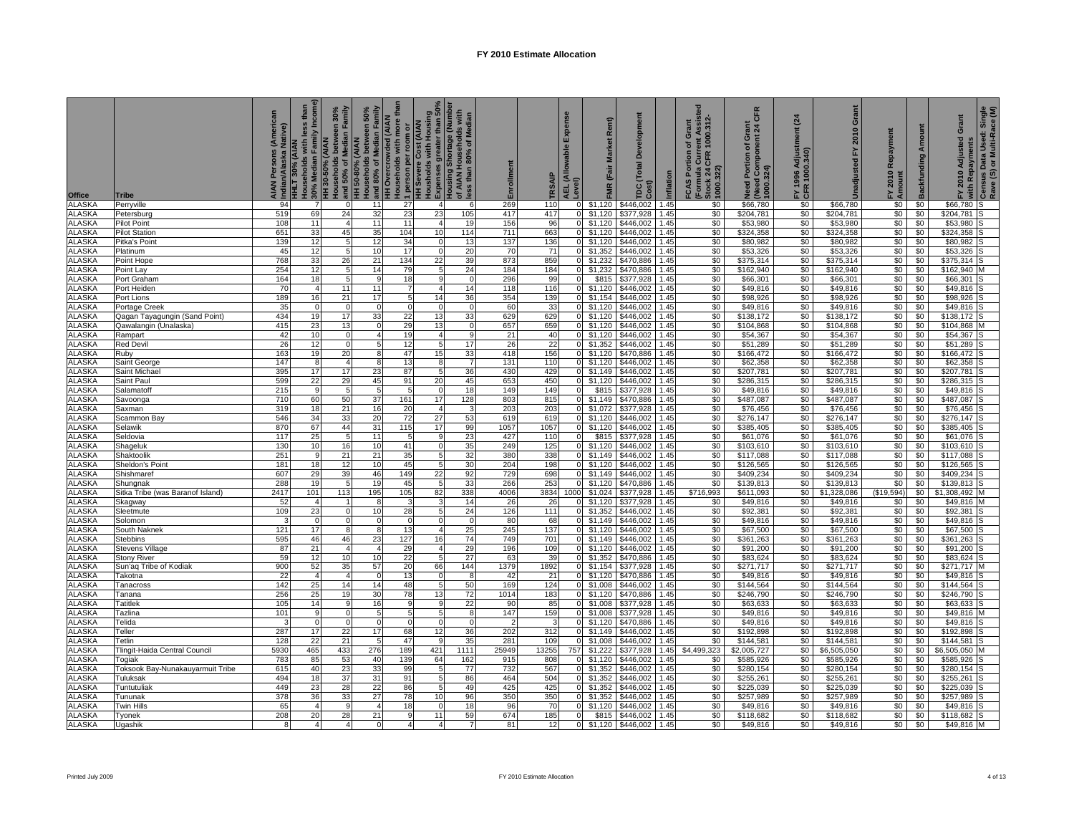| Office                         | Tribe                            | (American<br>Native)<br>Persons<br>AIAN  <br>Indian | HHLT 30% (AIAN<br>Households with less than<br>- 30% Median Family Income)<br>HH 30-50% (AIAN | ouseholds between 30% | Households between 50%<br>and 80% of Median Family<br>and 50% of Median Family<br>HH 50-80% (AIAN | <b>HH Overcrowded (AIAN</b><br>Households with more than | ן person per room or<br>HH Severe Cost (AIAN<br>Housholds with Housing<br>LExpenses greater than 50%<br>Housing Shortage (Number | Ids with<br>of AIAN Households with<br>less than 80% of Median | Enrollment  | TRSAIP      | Expense<br>AEL (Allowable I<br>Level) | Rent)<br>FMR (Fair Market  | elopment<br>۵<br>TDC (Total<br>Cost) | Inflation    | 1000.312<br>ent Assis<br><b>FCAS Portion of Grant</b><br>(Formula Curre<br>Stock 24 CFR 1<br>1000.322) | CFR<br>Grant<br>nt 24 (<br>Need Portion of Gra<br>(Need Component 2<br>1000.324) | $\overline{a}$<br>FY 1996 Adjustr<br>CFR 1000.340) | Grant<br>2010<br>놊<br>Unadjusted | FY 2010 Repayment<br>Amount | <b>Backfunding Amount</b> | FY 2010 Adjusted Grant | 3 with Repayments<br><sup>7</sup> Census Data Used: Single<br>Rave (S) or Multi-Race (M) |
|--------------------------------|----------------------------------|-----------------------------------------------------|-----------------------------------------------------------------------------------------------|-----------------------|---------------------------------------------------------------------------------------------------|----------------------------------------------------------|----------------------------------------------------------------------------------------------------------------------------------|----------------------------------------------------------------|-------------|-------------|---------------------------------------|----------------------------|--------------------------------------|--------------|--------------------------------------------------------------------------------------------------------|----------------------------------------------------------------------------------|----------------------------------------------------|----------------------------------|-----------------------------|---------------------------|------------------------|------------------------------------------------------------------------------------------|
| <b>ALASKA</b>                  | Perryville                       | 94                                                  | 7                                                                                             | $\mathbf{O}$          | 11                                                                                                | 27                                                       | $\overline{4}$                                                                                                                   | 6                                                              | 269         | 110         | $\circ$                               | \$1,120                    | \$446,002                            | 1.45         | \$0                                                                                                    | \$66,780                                                                         | \$0                                                | \$66,780                         | \$0                         | \$0                       | \$66,780               |                                                                                          |
| <b>ALASKA</b>                  | Petersburg                       | 519                                                 | 69                                                                                            | 24                    | 32                                                                                                | 23                                                       | 23                                                                                                                               | 105                                                            | 417         | 417         |                                       | $0$ \$1,120                | \$377,928                            | 1.45         | \$0                                                                                                    | \$204,781                                                                        | \$0                                                | \$204,781                        | \$0                         | \$0                       | \$204,781              |                                                                                          |
| <b>ALASKA</b>                  | Pilot Point                      | 108                                                 | 11                                                                                            | $\overline{4}$        | 11                                                                                                | 11                                                       |                                                                                                                                  | 19                                                             | 156         | 96          | $\overline{0}$                        | \$1,120                    | \$446,002                            | 1.45         | \$0                                                                                                    | \$53,980                                                                         | \$0                                                | \$53,980                         | \$0                         | \$0                       | \$53,980               |                                                                                          |
| <b>ALASKA</b>                  | <b>Pilot Station</b>             | 651                                                 | 33                                                                                            | 45                    | 35                                                                                                | 104                                                      | 10                                                                                                                               | 114                                                            | 711         | 663         | $\overline{0}$                        | \$1,120                    | \$446,002                            | 1.45         | \$0                                                                                                    | \$324,358                                                                        | \$0                                                | \$324,358                        | \$0                         | \$0                       | \$324,358              |                                                                                          |
| <b>ALASKA</b><br><b>ALASKA</b> | Pitka's Point                    | 139<br>45                                           | 12<br>12                                                                                      | 5<br>-5               | 12<br>10                                                                                          | 34<br>17                                                 |                                                                                                                                  | 13<br>20                                                       | 137<br>70   | 136<br>71   | $\circ$                               | \$1,120<br>$0$ \$1,352     | \$446.002<br>\$446,002               | 1.45<br>1.45 | \$0<br>\$0                                                                                             | \$80,982<br>\$53,326                                                             | \$0<br>\$0                                         | \$80,982<br>\$53,326             | \$0<br>\$0                  | \$0<br>\$0                | \$80,982<br>\$53,326   |                                                                                          |
| <b>ALASKA</b>                  | Platinum<br>Point Hope           | 768                                                 | 33                                                                                            | 26                    | 21                                                                                                | 134                                                      | 22                                                                                                                               | 39                                                             | 873         | 859         |                                       | $0$ \$1,232                | \$470,886                            | 1.45         | \$0                                                                                                    | \$375,314                                                                        | \$0                                                | \$375,314                        | \$0                         | \$0                       | \$375,314              |                                                                                          |
| <b>ALASKA</b>                  | Point Lay                        | 254                                                 | 12                                                                                            |                       | 14                                                                                                | 79                                                       |                                                                                                                                  | 24                                                             | 184         | 184         | $\mathbf{0}$                          | \$1,232                    | \$470,886                            | .45          | \$0                                                                                                    | \$162,940                                                                        | \$0                                                | \$162,940                        | \$0                         | \$0                       | \$162,940              |                                                                                          |
| <b>ALASKA</b>                  | Port Graham                      | 164                                                 | 18                                                                                            | 5                     | 9                                                                                                 | 18                                                       |                                                                                                                                  | $\overline{0}$                                                 | 296         | 99          | $\mathbf 0$                           | \$815                      | 3377,928                             | 1.45         | \$0                                                                                                    | \$66,301                                                                         | \$0                                                | \$66,301                         | \$0                         | \$0                       | \$66,301               |                                                                                          |
| <b>ALASKA</b>                  | Port Heiden                      | 70                                                  | 4                                                                                             | 11                    | 11                                                                                                |                                                          |                                                                                                                                  | 14                                                             | 118         | 116         |                                       | $0$ \$1,120                | \$446,002                            | 1.45         | \$0                                                                                                    | \$49,816                                                                         | \$0                                                | \$49,816                         | \$0                         | \$0                       | \$49,816               |                                                                                          |
| <b>ALASKA</b>                  | Port Lions                       | 189                                                 | 16                                                                                            | 21                    | 17                                                                                                | 5                                                        | 14                                                                                                                               | 36                                                             | 354         | 139         |                                       | 0 \$1,154                  | \$446,002                            | 1.45         | \$0                                                                                                    | \$98,926                                                                         | \$0                                                | \$98,926                         | \$0                         | \$0                       | \$98,926               |                                                                                          |
| <b>ALASKA</b>                  | Portage Creek                    | 35                                                  | $\Omega$                                                                                      | $\Omega$              |                                                                                                   | $\Omega$                                                 |                                                                                                                                  | $\Omega$                                                       | 60          | 33          |                                       | $0$ \$1,120                | \$446.002                            | 1.45         | \$0                                                                                                    | \$49,816                                                                         | \$0                                                | \$49,816                         | \$0                         | \$0                       | \$49,816               |                                                                                          |
| <b>ALASKA</b>                  | Qagan Tayagungin (Sand Point)    | 434                                                 | 19                                                                                            | 17                    | 33                                                                                                | 22                                                       | 13                                                                                                                               | 33                                                             | 629         | 629         | $\mathbf{0}$                          | \$1,120                    | \$446,002                            | 1.45         | \$0                                                                                                    | \$138,172                                                                        | \$0                                                | \$138,172                        | \$0                         | \$0                       | \$138,172              |                                                                                          |
| <b>ALASKA</b><br><b>ALASKA</b> | Qawalangin (Unalaska)            | 415<br>42                                           | 23<br>10                                                                                      | 13<br>$\Omega$        | $\Omega$<br>4                                                                                     | 29<br>19                                                 | 13                                                                                                                               | $\overline{0}$<br>9                                            | 657<br>21   | 659<br>40   | $\mathbf{0}$<br>$\overline{0}$        | \$1,120<br>\$1,120         | \$446,002<br>\$446,002               | 1.45<br>1.45 | \$0<br>\$0                                                                                             | \$104,868<br>\$54,367                                                            | \$0<br>\$0                                         | \$104,868<br>\$54,367            | \$0<br>\$0                  | \$0<br>\$0                | \$104,868<br>\$54,367  |                                                                                          |
| <b>ALASKA</b>                  | Rampart<br><b>Red Devi</b>       | 26                                                  | 12                                                                                            | $\mathbf 0$           | 5                                                                                                 | 12                                                       | 5                                                                                                                                | 17                                                             | 26          | 22          |                                       | 0 \$1,352                  | \$446,002                            | 1.45         | \$0                                                                                                    | \$51,289                                                                         | \$0                                                | \$51,289                         | \$0                         | \$0                       | \$51,289               |                                                                                          |
| <b>ALASKA</b>                  | Ruby                             | 163                                                 | 19                                                                                            | 20                    | 8                                                                                                 | 47                                                       | 15                                                                                                                               | 33                                                             | 418         | 156         |                                       | $0$ \$1,120                | \$470.886                            | 1.45         | \$0                                                                                                    | \$166,472                                                                        | \$0                                                | \$166,472                        | \$0                         | \$0                       | \$166,472              |                                                                                          |
| <b>ALASKA</b>                  | Saint George                     | 147                                                 | 8                                                                                             | $\overline{4}$        | 8                                                                                                 | 13                                                       |                                                                                                                                  | $\overline{7}$                                                 | 131         | 110         |                                       | $0$ \$1,120                | \$446,002                            | .45          | \$0                                                                                                    | \$62,358                                                                         | \$0                                                | \$62,358                         | \$0                         | \$0                       | \$62,358               |                                                                                          |
| <b>ALASKA</b>                  | Saint Michael                    | 395                                                 | 17                                                                                            | 17                    | 23                                                                                                | 87                                                       | 5                                                                                                                                | 36                                                             | 430         | 429         |                                       | $0$ \$1,149                | \$446,002                            | 1.45         | \$0                                                                                                    | \$207,781                                                                        | \$0                                                | \$207,781                        | \$0                         | \$0                       | \$207,781              |                                                                                          |
| <b>ALASKA</b>                  | Saint Paul                       | 599                                                 | 22                                                                                            | 29                    | 45                                                                                                | 91                                                       | 20                                                                                                                               | 45                                                             | 653         | 450         |                                       | $0$ \$1,120                | \$446,002                            | 1.45         | \$0                                                                                                    | \$286,315                                                                        | \$0                                                | \$286,315                        | \$0                         | \$0                       | \$286,315              |                                                                                          |
| <b>ALASKA</b>                  | Salamatof                        | 215                                                 | 9                                                                                             | 5                     | 5                                                                                                 | -5                                                       |                                                                                                                                  | 18                                                             | 149         | 149         | $\overline{0}$                        | \$815                      | \$377,928                            | 1.45         | \$0                                                                                                    | \$49,816                                                                         | \$0                                                | \$49,816                         | \$0                         | \$0                       | \$49,816               |                                                                                          |
| <b>ALASKA</b>                  | Savoonga                         | 710                                                 | 60                                                                                            | 50                    | 37                                                                                                | 161                                                      | 17                                                                                                                               | 128                                                            | 803         | 815         |                                       | $0$ \$1,149                | \$470,886                            | 1.45         | \$0                                                                                                    | \$487,087                                                                        | \$0                                                | \$487,087                        | \$0                         | \$0                       | \$487,087              |                                                                                          |
| <b>ALASKA</b>                  | Saxman                           | 319                                                 | 18                                                                                            | 21                    | 16                                                                                                | 20                                                       |                                                                                                                                  | 3                                                              | 203         | 203         | $\overline{0}$                        | \$1,072                    | \$377,928                            | 1.45         | \$0                                                                                                    | \$76,456                                                                         | \$0                                                | \$76,456                         | \$0                         | \$0                       | \$76,456               |                                                                                          |
| <b>ALASKA</b>                  | Scammon Bay                      | 546                                                 | 34                                                                                            | 33                    | 20                                                                                                | 72                                                       | 27                                                                                                                               | 53                                                             | 619         | 619         |                                       | $0$ \$1.120                | \$446.002                            | 1.45         | \$0                                                                                                    | \$276,147                                                                        | \$0                                                | \$276.147                        | \$0                         | \$0                       | \$276.147              |                                                                                          |
| <b>ALASKA</b><br><b>ALASKA</b> | Selawik<br>Seldovia              | 870<br>117                                          | 67<br>25                                                                                      | 44<br>5               | 31<br>11                                                                                          | 115<br>-5                                                | 17                                                                                                                               | 99<br>23                                                       | 1057<br>427 | 1057<br>110 | $\overline{0}$                        | $0$ \$1,120<br>\$815       | \$446,002<br>\$377,928               | 1.45<br>1.45 | \$0<br>\$0                                                                                             | \$385,405<br>\$61,076                                                            | \$0<br>\$0                                         | \$385,405<br>\$61,076            | \$0<br>\$0                  | \$0<br>\$0                | \$385,405<br>\$61,076  |                                                                                          |
| <b>ALASKA</b>                  | Shageluk                         | 130                                                 | 10                                                                                            | 16                    | 10                                                                                                | 41                                                       |                                                                                                                                  | 35                                                             | 249         | 125         |                                       | $0$ \$1,120                | \$446,002                            | 1.45         | \$0                                                                                                    | \$103,610                                                                        | \$0                                                | \$103.610                        | \$0                         | \$0                       | \$103,610              |                                                                                          |
| <b>ALASKA</b>                  | Shaktoolik                       | 251                                                 | 9                                                                                             | 21                    | 21                                                                                                | 35                                                       |                                                                                                                                  | 32                                                             | 380         | 338         |                                       | $0$ \$1,149                | \$446,002                            | 1.45         | \$0                                                                                                    | \$117,088                                                                        | \$0                                                | \$117,088                        | \$0                         | \$0                       | \$117,088              |                                                                                          |
| <b>ALASKA</b>                  | Sheldon's Point                  | 181                                                 | 18                                                                                            | 12                    | 10                                                                                                | 45                                                       |                                                                                                                                  | 30                                                             | 204         | 198         |                                       | $0$ \$1,120                | \$446,002                            | 1.45         | \$0                                                                                                    | \$126,565                                                                        | \$0                                                | \$126,565                        | \$0                         | \$0                       | \$126,565              |                                                                                          |
| <b>ALASKA</b>                  | Shishmaref                       | 607                                                 | 29                                                                                            | 39                    | 46                                                                                                | 149                                                      | 22                                                                                                                               | 92                                                             | 729         | 698         |                                       | $0$ \$1,149                | \$446,002                            | 1.45         | \$0                                                                                                    | \$409,234                                                                        | \$0                                                | \$409,234                        | \$0                         | \$0                       | \$409,234              |                                                                                          |
| <b>ALASKA</b>                  | Shungnak                         | 288                                                 | 19                                                                                            | 5                     | 19                                                                                                | 45                                                       | 5                                                                                                                                | 33                                                             | 266         | 253         |                                       | $0$ \$1,120                | \$470,886                            | 1.45         | \$0                                                                                                    | \$139,813                                                                        | \$0                                                | \$139,813                        | \$0                         | \$0                       | \$139,813              |                                                                                          |
| <b>ALASKA</b>                  | Sitka Tribe (was Baranof Island) | 2417                                                | 101                                                                                           | 113                   | 195                                                                                               | 105                                                      | 82                                                                                                                               | 338                                                            | 4006        | 3834        |                                       | 1000 \$1,024               | \$377,928                            | 1.45         | \$716,993                                                                                              | \$611,093                                                                        | \$0                                                | \$1,328,086                      | (\$19,594)                  | \$0                       | \$1,308,492            |                                                                                          |
| <b>ALASKA</b>                  | Skagway                          | 52                                                  | $\overline{4}$                                                                                | $\overline{1}$        | 8                                                                                                 |                                                          |                                                                                                                                  | 14                                                             | 26          | 26          | 0                                     | \$1,120                    | \$377,928                            | 1.45         | \$0                                                                                                    | \$49,816                                                                         | \$0                                                | \$49,816                         | \$0                         | \$0                       | \$49,816               |                                                                                          |
| <b>ALASKA</b>                  | Sleetmute                        | 109                                                 | 23                                                                                            | $\mathbf{0}$          | 10                                                                                                | 28                                                       |                                                                                                                                  | 24                                                             | 126         | 111         | $\overline{0}$                        | \$1,352                    | \$446.002                            | 1.45         | \$0                                                                                                    | \$92.381                                                                         | \$0                                                | \$92.381                         | \$0                         | \$0                       | \$92.381               |                                                                                          |
| <b>ALASKA</b><br><b>ALASKA</b> | Solomon<br>South Naknek          | 121                                                 | $\Omega$<br>17                                                                                | $\mathbf{0}$<br>8     | $\Omega$<br>8                                                                                     | $\Omega$<br>13                                           | $\overline{4}$                                                                                                                   | $\Omega$<br>25                                                 | 80<br>245   | 68<br>137   |                                       | $0$ \$1,149<br>$0$ \$1,120 | \$446,002<br>\$446,002               | 1.45<br>.45  | \$0<br>\$0                                                                                             | \$49,816<br>\$67,500                                                             | \$0<br>\$0                                         | \$49,816<br>\$67,500             | \$0<br>\$0                  | \$0<br>\$0                | \$49,816<br>\$67,500   |                                                                                          |
| <b>ALASKA</b>                  | Stebbins                         | 595                                                 | 46                                                                                            | 46                    | 23                                                                                                | 127                                                      | 16                                                                                                                               | 74                                                             | 749         | 701         |                                       | $0$ \$1,149                | \$446,002                            | .45          | \$0                                                                                                    | \$361,263                                                                        | \$0                                                | \$361,263                        | \$0                         | \$0                       | \$361,263              |                                                                                          |
| <b>ALASKA</b>                  | Stevens Village                  | 87                                                  | 21                                                                                            | $\overline{4}$        | $\overline{4}$                                                                                    | 29                                                       | 4                                                                                                                                | 29                                                             | 196         | 109         |                                       | $0$ \$1,120                | \$446,002                            | 1.45         | \$0                                                                                                    | \$91,200                                                                         | \$0                                                | \$91,200                         | \$0                         | \$0                       | \$91,200               |                                                                                          |
| <b>ALASKA</b>                  | <b>Stony River</b>               | 59                                                  | 12                                                                                            | 10                    | 10 <sup>1</sup>                                                                                   | 22                                                       |                                                                                                                                  | 27                                                             | 63          | 39          |                                       | 0 \$1,352                  | \$470,886                            | 1.45         | \$0                                                                                                    | \$83,624                                                                         | \$0                                                | \$83,624                         | \$0                         | \$0                       | \$83,624               |                                                                                          |
| <b>ALASKA</b>                  | Sun'aq Tribe of Kodiak           | 900                                                 | 52                                                                                            | 35                    | 57                                                                                                | 20                                                       | 66                                                                                                                               | 144                                                            | 1379        | 1892        |                                       | $0$ \$1,154                | \$377,928                            | 1.45         | \$0                                                                                                    | \$271,717                                                                        | \$0                                                | \$271,717                        | \$0                         | \$0                       | \$271,717              |                                                                                          |
| <b>ALASKA</b>                  | Takotna                          | 22                                                  | $\overline{4}$                                                                                | $\overline{4}$        |                                                                                                   | 13                                                       |                                                                                                                                  | -8                                                             | 42          | 21          |                                       | $0$ \$1,120                | \$470,886                            | 1.45         | \$0                                                                                                    | \$49,816                                                                         | \$0                                                | \$49,816                         | \$0                         | \$0                       | \$49,816               |                                                                                          |
| <b>ALASKA</b>                  | Tanacross                        | 142                                                 | 25                                                                                            | 14                    | 14                                                                                                | 48                                                       | 5                                                                                                                                | 50                                                             | 169         | 124         |                                       | $0$ \$1,008                | \$446,002                            | 1.45         | \$0                                                                                                    | \$144,564                                                                        | \$0                                                | \$144,564                        | \$0                         | \$0                       | \$144,564              |                                                                                          |
| <b>ALASKA</b>                  | Tanana                           | 256                                                 | 25                                                                                            | 19                    | 30                                                                                                | 78                                                       | 13                                                                                                                               | 72                                                             | 1014        | 183         | $\circ$                               | \$1,120                    | \$470,886                            | 1.45         | \$0                                                                                                    | \$246,790                                                                        | \$0                                                | \$246,790                        | \$0                         | \$0                       | \$246,790              |                                                                                          |
| <b>ALASKA</b>                  | Tatitlek                         | 105                                                 | 14                                                                                            |                       | 16                                                                                                |                                                          |                                                                                                                                  | 22                                                             | 90          | 85          | $\mathbf{0}$                          | \$1,008                    | \$377,928                            | 1.45         | \$0                                                                                                    | \$63,633                                                                         | \$0                                                | \$63,633                         | \$0                         | \$0                       | \$63,633               |                                                                                          |
| <b>ALASKA</b><br><b>ALASKA</b> | Tazlina                          | 101                                                 | 9<br>$\Omega$                                                                                 | $\circ$<br>$\Omega$   | 5<br>$\Omega$                                                                                     | 5<br>$\Omega$                                            |                                                                                                                                  | 8<br>$\Omega$                                                  | 147         | 159         |                                       | $0$ \$1,008<br>$0$ \$1,120 | \$377,928<br>\$470,886               | 1.45<br>.45  | \$0<br>\$0                                                                                             | \$49,816<br>\$49,816                                                             | \$0<br>\$0                                         | \$49,816<br>\$49,816             | \$0                         | \$0<br>\$0                | \$49,816<br>\$49,816   |                                                                                          |
| <b>ALASKA</b>                  | Telida<br>Teller                 | 287                                                 | 17                                                                                            | 22                    | 17                                                                                                | 68                                                       | 12                                                                                                                               | 36                                                             | 202         | 312         |                                       | $0$ \$1,149                | \$446,002                            | .45          | \$0                                                                                                    | \$192,898                                                                        | \$0                                                | \$192,898                        | \$0<br>\$0                  | \$0                       | \$192,898              |                                                                                          |
| <b>ALASKA</b>                  | Tetlin                           | 128                                                 | 22                                                                                            | 21                    | 5                                                                                                 | 47                                                       |                                                                                                                                  | 35                                                             | 281         | 109         |                                       | $0$ \$1,008                | \$446,002                            | 1.45         | \$0                                                                                                    | \$144,581                                                                        | \$0                                                | \$144,581                        | \$0                         | \$0                       | \$144,581              |                                                                                          |
| ALASKA                         | Tlingit-Haida Central Council    | 5930                                                | 465                                                                                           | 433                   | 276                                                                                               | 189                                                      | 421                                                                                                                              | 1111                                                           | 25949       | 13255       |                                       | 757 \$1,222                | \$377,928                            | 1.45         | \$4,499,323                                                                                            | \$2,005,727                                                                      | \$0                                                | \$6,505,050                      | \$0                         | \$0                       | \$6,505,050            |                                                                                          |
| <b>ALASKA</b>                  | Togiak                           | 783                                                 | 85                                                                                            | 53                    | 40                                                                                                | 139                                                      | 64                                                                                                                               | 162                                                            | 915         | 808         |                                       | $0$ \$1,120                | \$446,002                            | 1.45         | \$0                                                                                                    | \$585,926                                                                        | \$0                                                | \$585,926                        | \$0                         | \$0                       | \$585,926              |                                                                                          |
| <b>ALASKA</b>                  | Toksook Bay-Nunakauyarmuit Tribe | 615                                                 | 40                                                                                            | 23                    | 33                                                                                                | 99                                                       |                                                                                                                                  | 77                                                             | 732         | 567         |                                       | $0$ \$1,352                | \$446,002                            | 1.45         | \$0                                                                                                    | \$280,154                                                                        | \$0                                                | \$280,154                        | \$0                         | \$0                       | \$280,154              |                                                                                          |
| <b>ALASKA</b>                  | Tuluksak                         | 494                                                 | 18                                                                                            | 37                    | 31                                                                                                | 91                                                       | 5                                                                                                                                | 86                                                             | 464         | 504         | $\overline{0}$                        | \$1,352                    | \$446,002                            | 1.45         | \$0                                                                                                    | \$255,261                                                                        | \$0                                                | \$255,261                        | \$0                         | \$0                       | \$255,261              |                                                                                          |
| <b>ALASKA</b>                  | Tuntutuliak                      | 449                                                 | 23                                                                                            | 28                    | 22                                                                                                | 86                                                       |                                                                                                                                  | 49                                                             | 425         | 425         | $\overline{0}$                        | \$1,352                    | \$446,002                            | 1.45         | \$0                                                                                                    | \$225,039                                                                        | \$0                                                | \$225,039                        | \$0                         | \$0                       | \$225,039              |                                                                                          |
| <b>ALASKA</b>                  | Tununak                          | 378                                                 | 36                                                                                            | 33                    | 27                                                                                                | 78                                                       | 10                                                                                                                               | 96                                                             | 350         | 350         | $\overline{0}$                        | \$1,352                    | \$446,002                            | .45          | \$0                                                                                                    | \$257,989                                                                        | \$0                                                | \$257,989                        | \$0                         | \$0                       | \$257,989              |                                                                                          |
| <b>ALASKA</b>                  | Twin Hills                       | 65                                                  | $\overline{4}$                                                                                | 9                     | $\overline{4}$                                                                                    | 18                                                       |                                                                                                                                  | 18                                                             | 96          | 70          |                                       | $0$ \$1,120                | \$446,002                            | 1.45         | \$0                                                                                                    | \$49,816                                                                         | \$0                                                | \$49,816                         | \$0                         | \$0                       | \$49,816               |                                                                                          |
| <b>ALASKA</b>                  | Tyonek                           | 208<br>8                                            | 20<br>4                                                                                       | 28<br>$\Delta$        | 21<br>$\Omega$                                                                                    | <b>q</b>                                                 | 11                                                                                                                               | 59<br>$\overline{7}$                                           | 674<br>81   | 185         | $\overline{0}$                        | \$815                      | \$446,002                            | 1.45         | \$0                                                                                                    | \$118,682                                                                        | \$0<br>\$0                                         | \$118,682                        | \$0                         | \$0<br>\$0                | \$118,682              |                                                                                          |
| <b>ALASKA</b>                  | Ugashik                          |                                                     |                                                                                               |                       |                                                                                                   |                                                          |                                                                                                                                  |                                                                |             | 12          |                                       |                            | 0 \$1,120 \$446,002                  | 1.45         | \$0                                                                                                    | \$49,816                                                                         |                                                    | \$49,816                         | \$0                         |                           | \$49,816 M             |                                                                                          |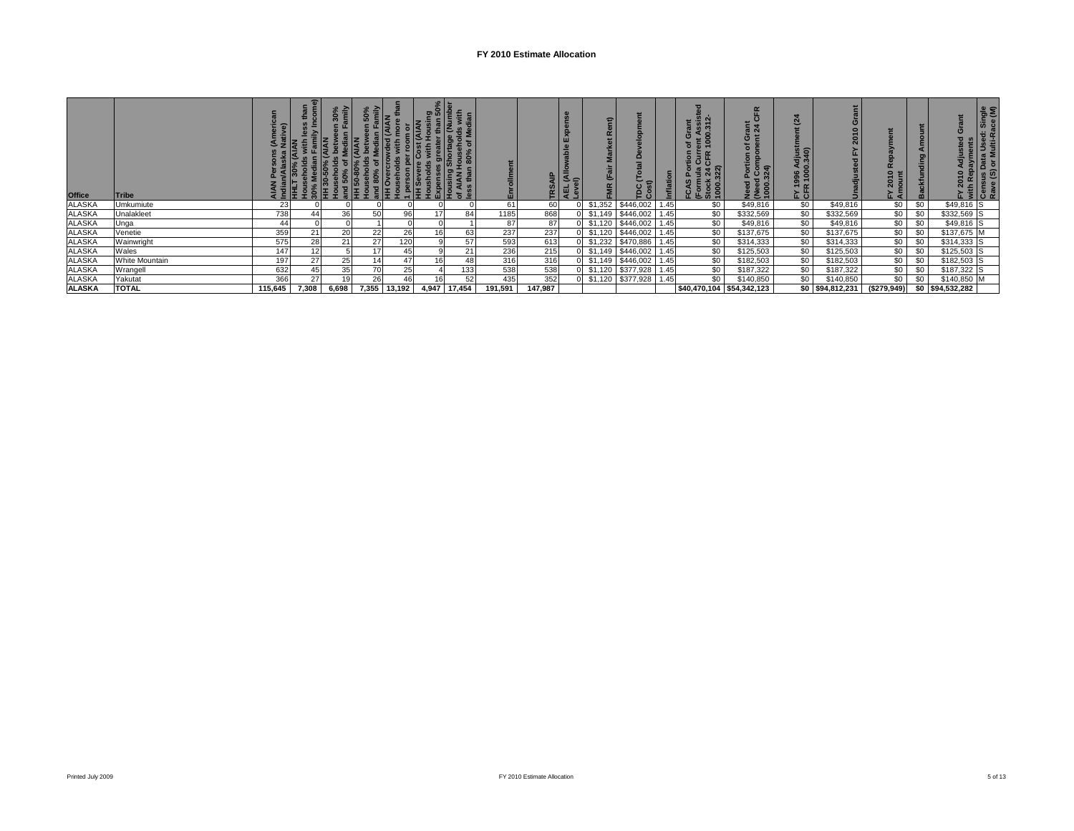## **FY 2010 Estimate Allocation**

| <b>Office</b>                     | <b>Tribe</b>   |         | 휻     | imily<br>$\overline{\mathbf{30}}$ | $\frac{2}{5}$<br>50% | 를 토 호  | HI Sew<br>Housho<br>Expens<br>Housing | $\frac{50}{2}$<br>$\frac{50}{2}$<br>$\frac{50}{2}$<br>$\frac{50}{2}$<br>$\frac{50}{2}$<br>$\frac{50}{2}$<br>$\frac{50}{2}$<br>ន | Enrollme |         | 읔<br>≏<br>- | ε<br>ř.<br>ž.<br>(Fai<br>ŠΕ |           |      | $\ddot{\sim}$<br><b>3 II</b><br><b>ಲ</b> ಠ<br>$24 \over 22$<br>$\frac{a}{2}$<br>信章<br>(Forn<br>Stock<br>1000. | $\frac{5}{9}$ $\frac{4}{9}$<br>ပ<br>$\circ$<br>$1$ Corresponding $324$<br>ال<br>وال<br>1000: | $\mathbf{a}$<br>Ë<br>djust<br>340)<br>- 1<br>ఇ క<br>$\overline{5}$ $\overline{7}$<br>$\tau$ $\alpha$<br>íσ | e                | $\overline{1}$<br>$\overline{\mathbf{a}}$ | Amount<br>ckfunding<br>m | Single<br>ace (M)<br>ਂ ਦੇ ਕੇਂ<br>ta Use<br>· Multi-l<br>تتا≰ |
|-----------------------------------|----------------|---------|-------|-----------------------------------|----------------------|--------|---------------------------------------|---------------------------------------------------------------------------------------------------------------------------------|----------|---------|-------------|-----------------------------|-----------|------|---------------------------------------------------------------------------------------------------------------|----------------------------------------------------------------------------------------------|------------------------------------------------------------------------------------------------------------|------------------|-------------------------------------------|--------------------------|--------------------------------------------------------------|
| ALASKA<br>ALASKA                  | Umkumiute      | 23      |       |                                   |                      |        |                                       |                                                                                                                                 | 61       | 60      |             | \$1,352                     | \$446,002 | 1.45 | \$0                                                                                                           | \$49,816                                                                                     | \$0                                                                                                        | \$49,816         | \$0                                       | \$0                      | $$49,816$ S                                                  |
|                                   | Unalakleet     | 738     |       | 36                                | 50                   | 96     |                                       | 84                                                                                                                              | 1185     | 868     |             | \$1,149                     | \$446,002 | 1.45 | \$0                                                                                                           | \$332,569                                                                                    | \$0                                                                                                        | \$332,569        | \$0                                       | \$0                      | \$332,569 S                                                  |
| <b>ALASKA</b>                     | Unga           | 44      |       |                                   |                      |        |                                       |                                                                                                                                 | 87       | 87      |             | \$1,120                     | \$446,002 | 1.45 | \$0                                                                                                           | \$49,816                                                                                     | \$0                                                                                                        | \$49,816         | \$0                                       | \$0                      | \$49,816 S                                                   |
| ALASKA                            | Venetie        | 359     | 21    | 20                                | 22                   | 26     |                                       | 63                                                                                                                              | 237      | 237     |             | \$1,120                     | \$446,002 | 1.45 | \$0                                                                                                           | \$137,675                                                                                    | \$0                                                                                                        | \$137,675        | \$0                                       | \$0                      | $$137,675$ M                                                 |
| ALASKA                            | Wainwright     | 575     | 28    | 21                                | 27                   | 120    |                                       | 57                                                                                                                              | 593      | 613     |             | \$1,232                     | \$470,886 | 1.45 | \$0                                                                                                           | \$314,333                                                                                    | \$0                                                                                                        | \$314,333        | \$0                                       | \$0                      | \$314,333 S                                                  |
|                                   | Wales          | 147     | 12    |                                   | 17 <sub>l</sub>      | 45     |                                       | 21                                                                                                                              | 236      | 215     |             | \$1,149                     | \$446,002 | 1.45 | \$0                                                                                                           | \$125,503                                                                                    | \$0                                                                                                        | \$125,503        | \$0                                       | \$0                      | \$125,503 S                                                  |
| ALASKA<br>ALASKA                  | White Mountain | 197     | 27    | 25                                |                      |        |                                       | 48                                                                                                                              | 316      | 316     |             | \$1,149                     | \$446,002 | 1.45 | \$0                                                                                                           | \$182,503                                                                                    | \$0                                                                                                        | \$182,503        | \$0                                       | \$0                      | \$182,503 S                                                  |
| ALASKA<br>ALASKA<br><b>ALASKA</b> | Wrangell       | 632     | 45    | 35                                | 70 <sub>l</sub>      | 25     |                                       | 133                                                                                                                             | 538      | 538     |             | \$1,120                     | \$377,928 | 1.45 | \$0                                                                                                           | \$187,322                                                                                    | \$0                                                                                                        | \$187,322        | \$0                                       | \$0                      | \$187,322 S                                                  |
|                                   | Yakutat        | 366     | 27    |                                   | 26                   |        |                                       |                                                                                                                                 | 435      | 352     |             | \$1,120                     | \$377,928 | 1.45 | \$0                                                                                                           | \$140,850                                                                                    | \$0                                                                                                        | \$140,850        | \$0                                       | \$0                      | \$140,850                                                    |
|                                   | <b>TOTAL</b>   | 115,645 | 7,308 | 6,698                             | 7,355                | 13,192 | 4,947                                 | 17,454                                                                                                                          | 191,591  | 147,987 |             |                             |           |      | \$40,470,104 \$54,342,123                                                                                     |                                                                                              |                                                                                                            | \$0 \$94,812,231 | (\$279,949)                               |                          | \$0 \$94,532,282                                             |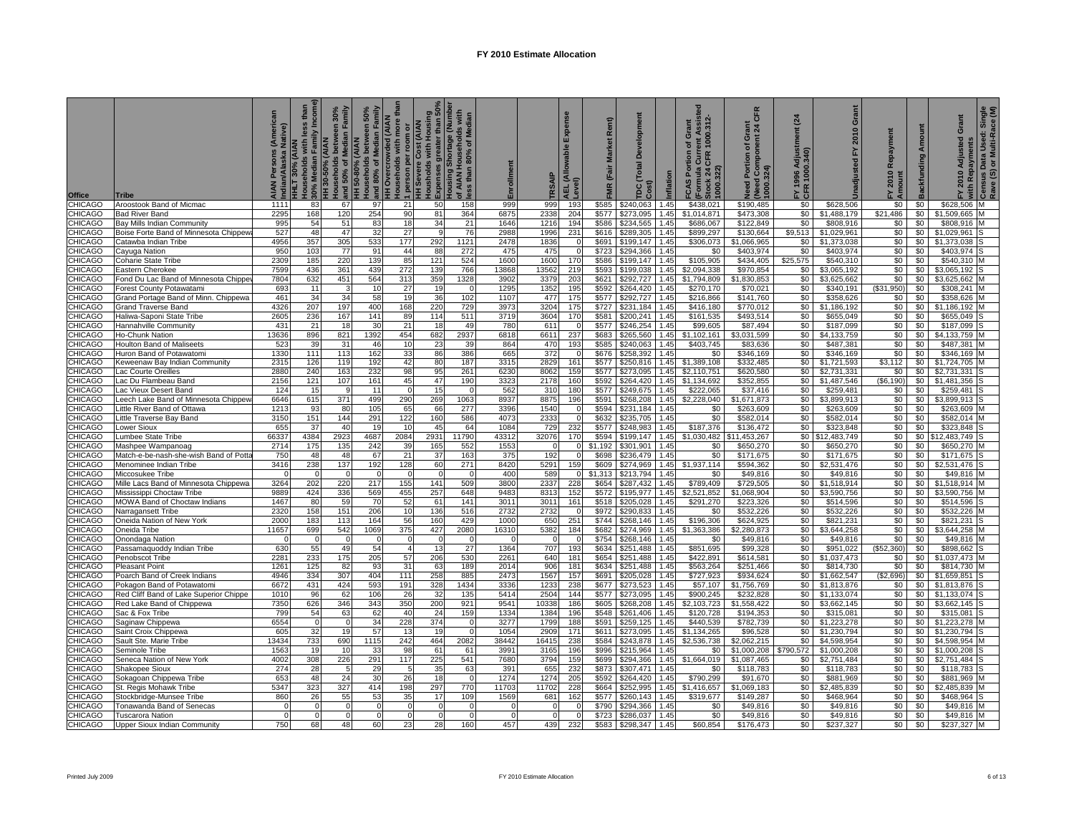| <b>Office</b>      | Tribe                                                               | Native)<br>AIAN<br>Indiar | ouseholds with less than<br>Incom<br>30% Median Family<br>HLT 30% (AIAN | and 50% of Median Family<br>reen 30%<br>HH 30-50% (AIAN<br>touseholds | and 80% of Median Family<br>$50\%$<br>reen<br>H 50-80% (AIAN<br>Households betw | tha<br><b>H Overcrowded (AIAN</b><br>with more<br>room or<br>person per<br>ouseholds | .<br>ousholds with Housing<br>xpenses greater than 50%<br>(AIAN<br><b>HH Severe Cost</b><br>Expenses | Shortage (Numbe<br>ð<br>f AIAN Housel<br>ss than 80%<br>lousing | Enrollment           | SAIP          | Expense<br>،EL (Allowable ا<br>evel) | Rent)<br><b>Market</b><br>FMR (Fair | ă<br><b>Total</b><br>Cost)<br>pc. | Inflation    | 1000.312<br>Grant<br>৳<br>Curre<br>CFR<br><b>CAS Portion</b><br>(Formula<br>Stock 24 0<br>1000.322) | <b>CFR</b><br>Grant<br>nt 24 (<br>Component<br>৳<br>Portion<br>ēd | $\overline{a}$<br>FY 1996 Adjustr<br>CFR 1000.340) | Grant<br>2010<br>놊<br><b>Unadiusted</b> | Repayment<br>2010<br>논통 | Amount<br><b>Backfunding</b> | Grant<br>2010 Adjusted<br>with Repayments | Single<br>-- 00)<br>Census Data Used: Sir<br>Rave (S) or Multi-Race |
|--------------------|---------------------------------------------------------------------|---------------------------|-------------------------------------------------------------------------|-----------------------------------------------------------------------|---------------------------------------------------------------------------------|--------------------------------------------------------------------------------------|------------------------------------------------------------------------------------------------------|-----------------------------------------------------------------|----------------------|---------------|--------------------------------------|-------------------------------------|-----------------------------------|--------------|-----------------------------------------------------------------------------------------------------|-------------------------------------------------------------------|----------------------------------------------------|-----------------------------------------|-------------------------|------------------------------|-------------------------------------------|---------------------------------------------------------------------|
| CHICAGO            | Aroostook Band of Micmac                                            | 1111                      | 83                                                                      | 67                                                                    | 97                                                                              | 21                                                                                   | 50                                                                                                   | 158                                                             | 999                  | 999           | 193                                  | \$585                               | \$240,063                         | 1.45         | \$438,021                                                                                           | \$190,485                                                         | \$0                                                | \$628,506                               | \$0                     | \$0                          | \$628,506                                 | M                                                                   |
| CHICAGO            | <b>Bad River Band</b>                                               | 2295                      | 168                                                                     | 120                                                                   | 254                                                                             | 90                                                                                   | 81                                                                                                   | 364                                                             | 6875                 | 2338          | 204                                  | \$577                               | \$273.095                         | 1.45         | $\overline{\$1,014,871}$                                                                            | \$473,308                                                         | \$0                                                | \$1,488,179                             | \$21,486                | \$0                          | \$1,509,665                               |                                                                     |
| CHICAGO            | Bay Mills Indian Community                                          | 995                       | 54                                                                      | 51                                                                    | 83                                                                              | 18                                                                                   | 34                                                                                                   | 21                                                              | 1646                 | 1216          | 194                                  | \$586                               | \$234,565                         | 1.45         | \$686,067                                                                                           | \$122,849                                                         | \$0                                                | \$808,916                               | \$0                     | \$0                          | \$808,916                                 |                                                                     |
| CHICAGO            | Boise Forte Band of Minnesota Chippew                               | 527                       | 48                                                                      | 47                                                                    | 32                                                                              | 27                                                                                   |                                                                                                      | 76                                                              | 2988                 | 1996          | 231                                  | \$616                               | \$289,305                         | 1.45         | \$899,297                                                                                           | \$130,664                                                         | \$9,513                                            | \$1,029,961                             | \$0                     | \$0                          | \$1,029,961                               |                                                                     |
| CHICAGO            | Catawba Indian Tribe                                                | 4956<br>950               | 357                                                                     | 305<br>$\overline{77}$                                                | 533                                                                             | 177<br>44                                                                            | 292                                                                                                  | 1121                                                            | 2478                 | 1836          |                                      | \$691<br>\$723                      | \$199.147                         | 1.45<br>1.45 | \$306.073                                                                                           | \$1.066.965                                                       | \$0<br>\$0                                         | \$1,373,038                             | \$0                     | \$0<br>\$0                   | \$1.373.038                               |                                                                     |
| CHICAGO<br>CHICAGO | Cayuga Nation<br>Coharie State Tribe                                | 2309                      | 103<br>185                                                              | 220                                                                   | 91<br>139                                                                       | 85                                                                                   | 88<br>121                                                                                            | 272<br>524                                                      | 475<br>1600          | 475<br>1600   | 170                                  | \$586                               | \$294,366<br>\$199,147            | 1.45         | \$0<br>\$105,905                                                                                    | \$403,974<br>\$434,405                                            | \$25,575                                           | \$403,974<br>\$540,310                  | \$0<br>\$0              | \$0                          | \$403,974<br>\$540,310                    |                                                                     |
| CHICAGO            | Eastern Cherokee                                                    | 7599                      | 436                                                                     | 361                                                                   | 439                                                                             | 272                                                                                  | 139                                                                                                  | 766                                                             | 13868                | 13562         | 219                                  | \$593                               | \$199,038                         | 1.45         | \$2,094,338                                                                                         | \$970,854                                                         | \$0                                                | \$3,065,192                             | \$0                     | \$0                          | \$3,065,192                               |                                                                     |
| CHICAGO            | Fond Du Lac Band of Minnesota Chippe                                | 7804                      | 632                                                                     | 451                                                                   | 564                                                                             | 313                                                                                  | 359                                                                                                  | 1328                                                            | 3902                 | 3379          | 203                                  | \$621                               | \$292,727                         | 1.45         | \$1,794,809                                                                                         | \$1,830,853                                                       | \$0                                                | \$3,625,662                             | \$0                     | \$0                          | \$3,625,662                               |                                                                     |
| CHICAGO            | orest County Potawatami                                             | 693                       | 11                                                                      | 3                                                                     | 10                                                                              | 27                                                                                   | 19                                                                                                   |                                                                 | 1295                 | 1352          | 195                                  | \$592                               | \$264,420                         | 1.45         | \$270,170                                                                                           | \$70,021                                                          | \$0                                                | \$340,191                               | (\$31,950)              | \$0                          | \$308,241                                 |                                                                     |
| CHICAGO            | Grand Portage Band of Minn. Chippewa                                | 461                       | 34                                                                      | 34                                                                    | 58                                                                              | 19                                                                                   | 36                                                                                                   | 102                                                             | 1107                 | 477           | 175                                  | \$577                               | \$292,727                         | 1.45         | \$216,866                                                                                           | \$141,760                                                         | \$0                                                | \$358,626                               | \$0                     | \$0                          | \$358,626                                 |                                                                     |
| CHICAGO            | <b>Grand Traverse Band</b>                                          | 4326                      | 207                                                                     | 197                                                                   | 400                                                                             | 168                                                                                  | 220                                                                                                  | 729                                                             | 3973                 | 3204          | 175                                  | \$727                               | \$231,184                         | 1.45         | \$416,180                                                                                           | \$770,012                                                         | \$0                                                | \$1,186,192                             | \$0                     | \$0                          | \$1,186,192                               |                                                                     |
| CHICAGO            | Haliwa-Saponi State Tribe                                           | 2605                      | 236                                                                     | 167                                                                   | 141                                                                             | 89                                                                                   | 114                                                                                                  | 511                                                             | 3719                 | 3604          | 170                                  | \$581                               | \$200,241                         | 1.45         | \$161,535                                                                                           | \$493,514                                                         | \$0                                                | \$655,049                               | \$0                     | \$0                          | \$655,049                                 |                                                                     |
| CHICAGO            | Hannahville Community                                               | 431                       | 21                                                                      | 18                                                                    | 3 <sup>0</sup>                                                                  | 21                                                                                   | 18                                                                                                   | 49                                                              | 780                  | 611           |                                      | \$577                               | \$246,254                         | 1.45         | \$99,605                                                                                            | \$87,494                                                          | \$0                                                | \$187,099                               | \$0                     | \$0                          | \$187,099                                 |                                                                     |
| CHICAGO            | <b>Ho-Chunk Nation</b>                                              | 13636                     | 896                                                                     | 821                                                                   | 1392                                                                            | 454                                                                                  | 682                                                                                                  | 2937                                                            | 6818                 | 6611          | 237                                  | \$683                               | \$265,560                         | 1.45         | \$1,102,161                                                                                         | \$3,031,599                                                       | \$0                                                | \$4,133,759                             | \$0                     | \$0                          | \$4.133.759                               |                                                                     |
| CHICAGO            | <b>Houlton Band of Maliseets</b>                                    | 523                       | 39                                                                      | 31                                                                    | 46                                                                              | 10                                                                                   | -23                                                                                                  | 39                                                              | 864                  | 470           | 193                                  | \$585                               | \$240.063                         | 1.45         | \$403.745                                                                                           | \$83,636                                                          | \$0                                                | \$487,381                               | \$0                     | \$0                          | \$487.381                                 |                                                                     |
| CHICAGO            | luron Band of Potawatomi                                            | 1330                      | 111                                                                     | 113                                                                   | 162                                                                             | 33                                                                                   | 86                                                                                                   | 386                                                             | 665                  | 372           |                                      | \$676                               | \$258.392                         | 145          | \$0                                                                                                 | \$346.169                                                         | \$0                                                | \$346.169                               | \$0                     | \$0                          | \$346.169                                 |                                                                     |
| CHICAGO            | Geweenaw Bay Indian Community                                       | 2315<br>2880              | 126                                                                     | 119<br>163                                                            | 192<br>232                                                                      | 42<br>98                                                                             | 80                                                                                                   | 187<br>261                                                      | 3315<br>6230         | 2829          | 161                                  | \$577<br>\$577                      | \$250,816                         | 1.45         | \$1,389,108                                                                                         | \$332,485                                                         | \$0<br>\$0                                         | \$1,721,593                             | \$3,112                 | \$0<br>\$0                   | \$1,724,705                               |                                                                     |
| CHICAGO            | ac Courte Oreilles                                                  | 2156                      | 240<br>121                                                              | 107                                                                   |                                                                                 | 45                                                                                   | 95<br>47                                                                                             | 190                                                             | 3323                 | 8062<br>2178  | 159<br>160                           | \$592                               | \$273,095<br>\$264,420            | 1.45<br>.45  | \$2,110,751<br>\$1,134,692                                                                          | \$620,580<br>\$352,855                                            | \$0                                                | \$2,731,331<br>\$1,487,546              | \$0<br>(\$6, 190)       | \$0                          | \$2,731,331<br>\$1,481,356                |                                                                     |
| CHICAGO<br>CHICAGO | ac Du Flambeau Band<br>ac Vieux Desert Band.                        | 124                       | 15                                                                      | 9                                                                     | 161<br>11                                                                       | $\Omega$                                                                             | 15                                                                                                   |                                                                 | 562                  | 310           | 180                                  | \$577                               | \$249,675                         | .45          | \$222,065                                                                                           | \$37,416                                                          | \$0                                                | \$259,481                               | \$0                     | \$0                          | \$259,481                                 |                                                                     |
| CHICAGO            | eech Lake Band of Minnesota Chippew                                 | 6646                      | 615                                                                     | 371                                                                   | 499                                                                             | 290                                                                                  | 269                                                                                                  | 1063                                                            | 8937                 | 8875          | 196                                  | \$591                               | \$268.208                         | 1.45         | \$2.228.040                                                                                         | \$1.671.873                                                       | \$0                                                | \$3.899.913                             | \$0                     | \$0                          | \$3.899.913                               |                                                                     |
| CHICAGO            | ittle River Band of Ottawa.                                         | 1213                      | 93                                                                      | 80                                                                    | 105                                                                             | 65                                                                                   | 66                                                                                                   | 277                                                             | 3396                 | 1540          |                                      | \$594                               | \$231,184                         | 1.45         | \$0                                                                                                 | \$263,609                                                         | \$0                                                | \$263,609                               | \$0                     | \$0                          | \$263,609                                 |                                                                     |
| CHICAGO            | Little Traverse Bay Band                                            | 3150                      | 151                                                                     | 144                                                                   | 291                                                                             | 122                                                                                  | 160                                                                                                  | 586                                                             | 4073                 | 2333          |                                      | \$632                               | \$235,705                         | 1.45         | \$0                                                                                                 | \$582,014                                                         | \$0                                                | \$582,014                               | \$0                     | \$0                          | \$582,014                                 |                                                                     |
| CHICAGO            | ower Sioux.                                                         | 655                       | 37                                                                      | 40                                                                    | 19                                                                              | 10                                                                                   | 45                                                                                                   | 64                                                              | 1084                 | 729           | 232                                  | \$577                               | \$248,983                         | 1.45         | \$187,376                                                                                           | \$136,472                                                         | \$0                                                | \$323,848                               | \$0                     | \$0                          | \$323,848                                 |                                                                     |
| CHICAGO            | umbee State Tribe                                                   | 66337                     | 4384                                                                    | 2923                                                                  | 4687                                                                            | 2084                                                                                 | 2931                                                                                                 | 11790                                                           | 43312                | 32076         | 170                                  | \$594                               | \$199,147                         | 1.45         | \$1,030,482                                                                                         | 1,453,267                                                         | \$0 <sub>5</sub>                                   | 12,483,749                              | \$0                     | \$0                          | 12,483,749                                |                                                                     |
| CHICAGO            | Mashpee Wampanoaq                                                   | 2714                      | 175                                                                     | 135                                                                   | 242                                                                             | 39                                                                                   | 165                                                                                                  | 552                                                             | 1553                 |               |                                      | \$1.192                             | \$301.901                         | 145          | \$0                                                                                                 | \$650.270                                                         | \$0                                                | \$650.270                               | \$0                     | \$0                          | \$650,270                                 |                                                                     |
| CHICAGO            | Match-e-be-nash-she-wish Band of Pott                               | 750                       | 48                                                                      | 48                                                                    | 67                                                                              | 21                                                                                   | 37                                                                                                   | 163                                                             | 375                  | 192           | O                                    | \$698                               | \$236,479                         | 1.45         | \$0                                                                                                 | \$171,675                                                         | \$0                                                | \$171,675                               | \$0                     | \$0                          | \$171,675                                 |                                                                     |
| CHICAGO            | Menominee Indian Tribe                                              | 3416                      | 238                                                                     | 137                                                                   | 192                                                                             | 128                                                                                  | 60                                                                                                   | 271                                                             | 8420                 | 5291          | 159                                  | \$609                               | \$274,969                         | 1.45         | \$1,937,114                                                                                         | \$594,362                                                         | \$0                                                | \$2,531,476                             | \$0                     | \$0                          | \$2,531,476                               |                                                                     |
| CHICAGO            | Miccosukee Tribe                                                    |                           | n                                                                       | $\Omega$                                                              |                                                                                 |                                                                                      |                                                                                                      |                                                                 | 400                  | 589           |                                      | \$1.313                             | \$213.794                         | 1.45         | \$0                                                                                                 | \$49.816                                                          | \$0                                                | \$49,816                                | \$0                     | \$0                          | \$49,816                                  |                                                                     |
| CHICAGO<br>CHICAGO | Mille Lacs Band of Minnesota Chippewa                               | 3264<br>9889              | 202<br>424                                                              | 220<br>336                                                            | 217<br>569                                                                      | 155<br>455                                                                           | 141<br>257                                                                                           | 509<br>648                                                      | 3800<br>9483         | 2337<br>8313  | 228<br>152                           | \$654<br>\$572                      | \$287,432<br>\$195,977            | 1.45<br>1.45 | \$789,409<br>\$2,521,852                                                                            | \$729,505<br>\$1,068,904                                          | \$0<br>\$0                                         | \$1,518,914<br>\$3,590,756              | \$0<br>\$0              | \$0<br>\$0                   | \$1,518,914<br>\$3,590,756                |                                                                     |
| CHICAGO            | Mississippi Choctaw Tribe<br>MOWA Band of Choctaw Indians           | 1467                      | 80                                                                      | 59                                                                    | 70                                                                              | 52                                                                                   | 61                                                                                                   | 141                                                             | 3011                 | 3011          | 161                                  | \$518                               | \$205,028                         | 1.45         | \$291.270                                                                                           | \$223,326                                                         | \$0                                                | \$514,596                               | \$0                     | \$0                          | \$514,596                                 |                                                                     |
| CHICAGO            | Narragansett Tribe                                                  | 2320                      | 158                                                                     | 151                                                                   | 206                                                                             | 10                                                                                   | 136                                                                                                  | 516                                                             | 2732                 | 2732          |                                      | \$972                               | \$290,833                         | .45          | \$0                                                                                                 | \$532,226                                                         | \$0                                                | \$532,226                               | \$0                     | \$0                          | \$532,226                                 |                                                                     |
| CHICAGO            | Oneida Nation of New York                                           | 2000                      | 183                                                                     | 113                                                                   | 164                                                                             | 56                                                                                   | 160                                                                                                  | 429                                                             | 1000                 | 650           | 251                                  | \$744                               | \$268,146                         | 1.45         | \$196,306                                                                                           | \$624,925                                                         | \$0                                                | \$821,231                               | \$0                     | \$0                          | \$821,231                                 |                                                                     |
| CHICAGO            | Oneida Tribe                                                        | 11657                     | 699                                                                     | 542                                                                   | 1069                                                                            | 375                                                                                  | 427                                                                                                  | 2080                                                            | 16310                | 5382          | 184                                  | \$682                               | \$274,969                         | 1.45         | \$1,363,386                                                                                         | \$2,280,873                                                       | \$0                                                | \$3,644,258                             | \$0                     | \$0                          | \$3,644,258                               |                                                                     |
| CHICAGO            | Inondaga Nation                                                     |                           |                                                                         | $\Omega$                                                              |                                                                                 |                                                                                      |                                                                                                      |                                                                 |                      |               |                                      | \$754                               | \$268,146                         | 1.45         | \$0                                                                                                 | \$49,816                                                          | \$0                                                | \$49,816                                | \$0                     | \$0                          | \$49,816                                  |                                                                     |
| CHICAGO            | Passamaquoddy Indian Tribe                                          | 630                       | 55                                                                      | 49                                                                    | 54                                                                              | $\overline{a}$                                                                       | 13                                                                                                   | 27                                                              | 1364                 | 707           | 193                                  | \$634                               | \$251,488                         | 1.45         | \$851,695                                                                                           | \$99,328                                                          | \$0                                                | \$951,022                               | (\$52,360)              | \$0                          | \$898,662                                 |                                                                     |
| CHICAGO            | Penobscot Tribe                                                     | 228'                      | 233                                                                     | 175                                                                   | 205                                                                             | 57                                                                                   | 206                                                                                                  | 530                                                             | 2261                 | 640           | 181                                  | \$654                               | \$251,488                         | 1.45         | \$422,891                                                                                           | \$614,581                                                         | \$0                                                | \$1,037,473                             | \$0                     | \$0                          | \$1,037,473                               |                                                                     |
| CHICAGO            | Pleasant Point                                                      | 1261                      | 125                                                                     | 82                                                                    | 93                                                                              | 31                                                                                   | 63                                                                                                   | 189                                                             | 2014                 | 906           | 181                                  | \$634                               | \$251,488                         | 1.45         | \$563,264                                                                                           | \$251,466                                                         | \$0                                                | \$814,730                               | \$0                     | \$0                          | \$814,730                                 |                                                                     |
| CHICAGO            | Poarch Band of Creek Indians                                        | 4946                      | 334                                                                     | 307                                                                   | 404                                                                             | 111                                                                                  | 258                                                                                                  | 885                                                             | 2473                 | 1567          | 157                                  | \$691                               | \$205,028                         | 1.45         | \$727,923                                                                                           | \$934,624                                                         | \$0                                                | \$1,662,547                             | (\$2,696                | \$0                          | \$1.659.85                                |                                                                     |
| CHICAGO            | Pokagon Band of Potawatomi                                          | 6672                      | 431                                                                     | 424                                                                   | 593                                                                             | 191                                                                                  | 328                                                                                                  | 1434                                                            | 3336                 | 1233          | 238                                  | \$677                               | \$273,523                         | 1.45         | \$57,107                                                                                            | \$1,756,769                                                       | \$0                                                | \$1,813,876                             | \$0                     | \$0                          | \$1,813,876                               |                                                                     |
| CHICAGO<br>CHICAGO | Red Cliff Band of Lake Superior Chippe<br>Red Lake Band of Chippewa | 1010<br>7350              | 96<br>626                                                               | 62<br>346                                                             | 106<br>343                                                                      | 26<br>350                                                                            | 32<br>200                                                                                            | 135<br>921                                                      | 5414<br>9541         | 2504<br>10338 | 144<br>186                           | \$577<br>\$605                      | \$273,095<br>\$268,208            | 1.45<br>1.45 | \$900,245<br>\$2,103,723                                                                            | \$232,828<br>\$1,558,422                                          | \$0<br>\$0                                         | \$1,133,074<br>\$3,662,145              | \$0<br>\$0              | \$0<br>\$0                   | \$1,133,074<br>\$3.662.145                |                                                                     |
| CHICAGO            | Sac & Fox Tribe                                                     | 799                       | 54                                                                      | 63                                                                    | 62                                                                              | 40                                                                                   | 24                                                                                                   | 159                                                             | 1334                 | 1384          | 196                                  | \$548                               | \$261,406                         | .45          | \$120,728                                                                                           | \$194,353                                                         | \$0                                                | \$315,081                               | \$0                     | \$0                          | \$315,081                                 |                                                                     |
| CHICAGO            | Saginaw Chippewa                                                    | 6554                      | U                                                                       | $\overline{0}$                                                        | 34                                                                              | 228                                                                                  | 374                                                                                                  | - 0                                                             | 3277                 | 1799          | 188                                  | \$591                               | \$259.125                         | 1.45         | \$440,539                                                                                           | \$782.739                                                         | \$0                                                | \$1,223,278                             | \$0                     | \$0                          | \$1.223.278                               |                                                                     |
| CHICAGO            | Saint Croix Chippewa                                                | 605                       | 32                                                                      | 19                                                                    | 57                                                                              | 13                                                                                   | 19                                                                                                   | $\Omega$                                                        | 1054                 | 2909          | 171                                  | \$611                               | \$273.095                         | 1.45         | \$1.134.265                                                                                         | \$96.528                                                          | \$0                                                | \$1,230,794                             | \$0                     | \$0                          | \$1.230.794                               |                                                                     |
| CHICAGO            | Sault Ste. Marie Tribe                                              | 13434                     | 733                                                                     | 690                                                                   | 1115                                                                            | 242                                                                                  | 464                                                                                                  | 2082                                                            | 38442                | 16415         | 238                                  | \$584                               | \$243,878                         | 1.45         | \$2,536,738                                                                                         | \$2,062,215                                                       | \$0                                                | \$4,598,954                             | \$0                     | \$0                          | \$4,598,954                               |                                                                     |
| CHICAGO            | Seminole Tribe                                                      | 1563                      | 19                                                                      | 10                                                                    | 33                                                                              | 98                                                                                   | 61                                                                                                   | 61                                                              | 3991                 | 3165          | 196                                  | \$996                               | \$215.964                         | 1.45         | \$0                                                                                                 | \$1,000.208                                                       | \$790.572                                          | \$1,000.208                             | \$0                     | \$0                          | \$1.000.208                               |                                                                     |
| CHICAGO            | Seneca Nation of New York                                           | 4002                      | 308                                                                     | 226                                                                   | 291                                                                             | 117                                                                                  | 225                                                                                                  | 541                                                             | 7680                 | 3794          | 159                                  | \$699                               | \$294,366                         | 1.45         | \$1,664,019                                                                                         | \$1,087,465                                                       | \$0                                                | \$2,751,484                             | \$0                     | \$0                          | \$2,751,484                               |                                                                     |
| CHICAGO            | Shakopee Sioux                                                      | 274                       | 28                                                                      | 5                                                                     | 29                                                                              | 5                                                                                    | 35                                                                                                   | 63                                                              | 391                  | 655           | 232                                  | \$873                               | \$307,471                         | 1.45         | \$0                                                                                                 | \$118,783                                                         | \$0                                                | \$118,783                               | \$0                     | \$0                          | \$118,783                                 |                                                                     |
| CHICAGO            | Sokagoan Chippewa Tribe                                             | 653                       | 48                                                                      | 24                                                                    | 30                                                                              | 26                                                                                   | 18                                                                                                   |                                                                 | 1274                 | 1274          | 205                                  | \$592                               | \$264.420                         | 1.45         | \$790,299                                                                                           | \$91.670                                                          | \$0                                                | \$881,969                               | \$0                     | \$0                          | \$881.969                                 |                                                                     |
| CHICAGO            | St. Regis Mohawk Tribe                                              | 5347                      | 323                                                                     | 327                                                                   | 414                                                                             | 198                                                                                  | 297                                                                                                  | 770                                                             | 11703                | 11702         | 228                                  | \$664                               | \$252,995                         | 1.45         | \$1,416,657                                                                                         | \$1,069,183                                                       | \$0                                                | \$2,485,839                             | \$0                     | \$0                          | \$2,485,839                               |                                                                     |
| CHICAGO            | Stockbridge-Munsee Tribe                                            | 860                       | 26                                                                      | 55                                                                    | 53                                                                              | 35                                                                                   | 17                                                                                                   | 109                                                             | 1569                 | 681           | 162                                  | \$577                               | \$260.143                         | 1.45         | \$319.677                                                                                           | \$149.287                                                         | \$0                                                | \$468.964                               | \$0                     | \$0                          | \$468.964                                 |                                                                     |
| CHICAGO<br>CHICAGO | <b>Fonawanda Band of Senecas</b><br>Tuscarora Nation                | $\Omega$                  | $\Omega$                                                                | $\Omega$<br>$\Omega$                                                  |                                                                                 | $\Omega$                                                                             |                                                                                                      |                                                                 | $\Omega$<br>$\Omega$ | $\Omega$      |                                      | \$790<br>\$723                      | \$294,366<br>\$286,037            | .45<br>.45   | \$0<br>\$0                                                                                          | \$49,816<br>\$49,816                                              | \$0<br>\$0                                         | \$49,816<br>\$49,816                    | \$0<br>\$0              | \$0<br>\$0                   | \$49,816<br>\$49,816                      |                                                                     |
| CHICAGO            | Upper Sioux Indian Community                                        | 750                       | 68                                                                      | 48                                                                    | 60                                                                              | 23                                                                                   | 28                                                                                                   | 160                                                             | 457                  | 439           | 232                                  | \$583                               | \$298.347                         | 1.45         | \$60,854                                                                                            | \$176.473                                                         | \$0                                                | \$237,327                               | \$0                     | \$0                          | \$237.327                                 |                                                                     |
|                    |                                                                     |                           |                                                                         |                                                                       |                                                                                 |                                                                                      |                                                                                                      |                                                                 |                      |               |                                      |                                     |                                   |              |                                                                                                     |                                                                   |                                                    |                                         |                         |                              |                                           |                                                                     |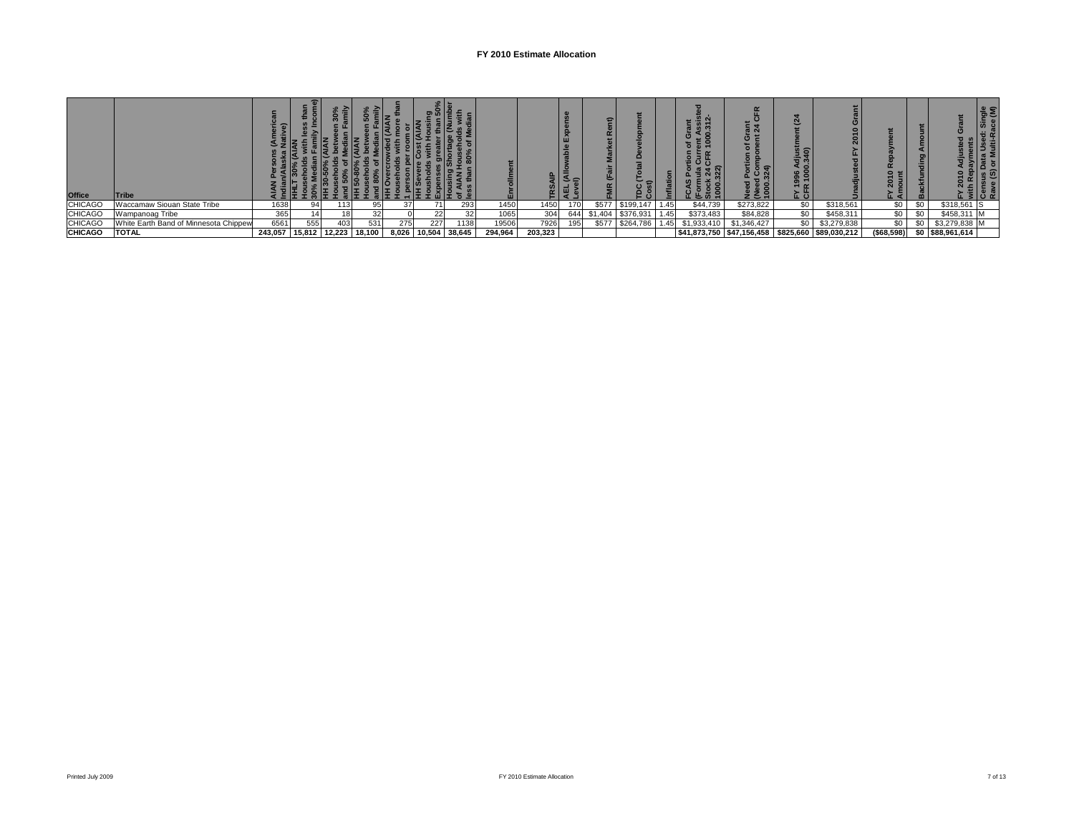## **FY 2010 Estimate Allocation**

| <b>Office</b>  | <b>ITribe</b>                         |                              |     |     |     |     |                     |     |         |         |     | Ω<br>$\tilde{\phantom{a}}$ |           |      |             | စ :<br>$\sim$<br>22 | $\boldsymbol{\alpha}$<br>ಹೆ ತ<br>$\circ$ |                                                  |             |     |                  |  |
|----------------|---------------------------------------|------------------------------|-----|-----|-----|-----|---------------------|-----|---------|---------|-----|----------------------------|-----------|------|-------------|---------------------|------------------------------------------|--------------------------------------------------|-------------|-----|------------------|--|
| <b>CHICAGO</b> | Waccamaw Siouan State Tribe           | 1638                         | 94  | 13  | 95  |     |                     | 293 | 1450    | 1450    | 170 | \$577                      | \$199.147 | 1.45 | \$44,739    | \$273,822           | \$0                                      | \$318,561                                        | \$0         | \$0 | \$318,561        |  |
| <b>CHICAGO</b> | Wampanoag Tribe                       | 365                          |     | 181 |     |     |                     |     | 1065    | 304     | 644 |                            | \$376.93  | .45  | \$373,483   | \$84,828            | SO 1                                     | \$458,311                                        | \$0         |     | \$458,311        |  |
| <b>CHICAGO</b> | White Earth Band of Minnesota Chippew | 6561                         | 555 | 403 | 531 | 275 | 227                 | 138 | 19506   | 7926    |     | \$577                      | \$264,786 | .451 | \$1,933,410 | \$1,346,427         |                                          | \$3,279,838                                      | \$0         |     | \$3,279,838 M    |  |
| <b>CHICAGO</b> | <b>TOTAL</b>                          | 243,057 15,812 12,223 18,100 |     |     |     |     | 8,026 10,504 38,645 |     | 294.964 | 203,323 |     |                            |           |      |             |                     |                                          | \$41,873,750 \$47,156,458 \$825,660 \$89,030,212 | ( \$68,598) |     | \$0 \$88,961,614 |  |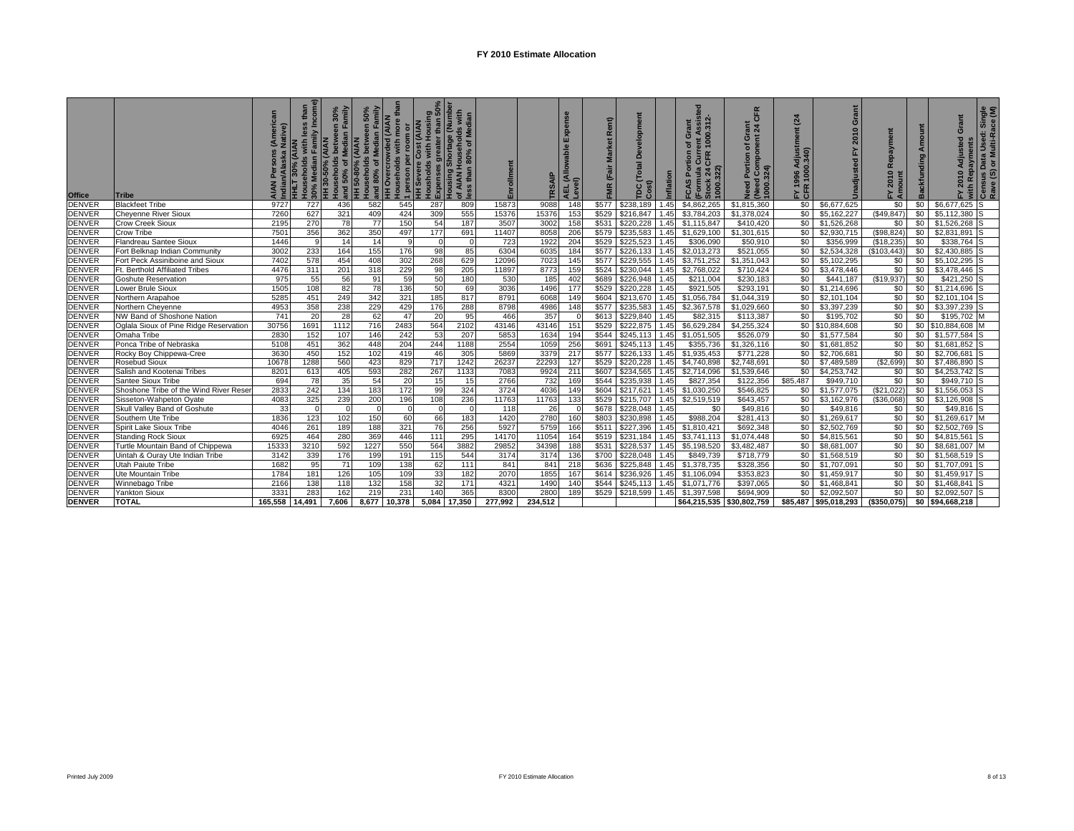| <b>Office</b> | <b>Tribe</b>                           |                 | than<br>Households with le<br>30% Median Family<br>HLT 30% (AIAN | HH 30-50% (AIAN<br>  Households between 30%<br>  and 50% of Median Family<br>  HH 50-80% (AIAN | , 50%<br>amily<br>  Households between 50°,<br>  and 80% of Median Famil<br>  HH Overcrowded (AIAN<br>  Households with more th | than<br>1 person per room or<br>HH Severe Cost (AIAN<br>HH Severe Cost (AIAN |              | Housholds with Housing<br> Expenses greater than 50%<br> Housing Shortage (Number<br> of AIAN Households with<br> ess than 80% of Median | Enrollment      | SAIP           | Expense<br>able<br>AEL (Allov<br>Level) | Rent)<br>(Fair<br><b>FMR</b> | elopm<br>$\Omega$<br><b>Total</b><br>EC | Inflation | ssisted<br>.312-<br>Grant<br>ent A:<br>1000.<br>្ង<br>FCAS Portion<br>CLIFR<br>CFR<br>1000.322)<br>$\frac{1}{2}$ 4<br>Form | CFR<br>Grant<br>nt 24<br>E.<br>৳<br>ompo<br>Portion<br>1 Compo<br>1000.324)<br>eed<br>Jeed | (24)<br>Ë<br>1996 Adjustr<br>! 1000.340)<br>EY 15<br>CFR | Grant<br>$\circ$<br>201<br>Unadjust  | epaym<br>œ<br>2010<br>$\frac{E}{4}$ | Amount<br>Backfunding | Grant<br>2010 Adjusted            | Ñ with Repayments<br>○Census Data Used: Single<br>Rave (S) or Multi-Race (M) |
|---------------|----------------------------------------|-----------------|------------------------------------------------------------------|------------------------------------------------------------------------------------------------|---------------------------------------------------------------------------------------------------------------------------------|------------------------------------------------------------------------------|--------------|------------------------------------------------------------------------------------------------------------------------------------------|-----------------|----------------|-----------------------------------------|------------------------------|-----------------------------------------|-----------|----------------------------------------------------------------------------------------------------------------------------|--------------------------------------------------------------------------------------------|----------------------------------------------------------|--------------------------------------|-------------------------------------|-----------------------|-----------------------------------|------------------------------------------------------------------------------|
| <b>DENVER</b> | <b>Blackfeet Tribe</b>                 | 9727            | 727                                                              | 436                                                                                            | 582                                                                                                                             | 545                                                                          | 287          | 809                                                                                                                                      | 15873           | 9088           | 148                                     | \$577                        | \$238.189                               |           | \$4,862,265                                                                                                                | \$1,815,360                                                                                | \$0                                                      | \$6,677,625                          | \$0                                 | \$0                   | \$6,677,625                       | Is                                                                           |
| <b>DENVER</b> | <b>Cheyenne River Sioux</b>            | 7260            | 627                                                              | 321                                                                                            | 409                                                                                                                             | 424                                                                          | 309          | 555                                                                                                                                      | 15376           | 15376          | 153                                     | \$529                        | \$216,847                               |           | \$3,784,203                                                                                                                | \$1,378,024                                                                                | \$0                                                      | \$5,162,227                          | (S49.847)                           | \$0                   | $$5,112,380$ S                    |                                                                              |
| <b>DENVER</b> | <b>Crow Creek Sioux</b>                | 2195            | 270                                                              | 78                                                                                             | 77                                                                                                                              | 150                                                                          | 54           | 187                                                                                                                                      | 3507            | 3002           | 158                                     | \$531                        | \$220,228                               | 1.45      | \$1,115,847                                                                                                                | \$410,420                                                                                  | \$0                                                      | \$1,526,268                          | \$0                                 | \$0                   | $$1,526,268$ S                    |                                                                              |
| <b>DENVER</b> | <b>Crow Tribe</b>                      | 7501            | 356                                                              | 362                                                                                            | 350                                                                                                                             | 497                                                                          | 177          | 691                                                                                                                                      | 11407           | 8058           | 206                                     | \$579                        | \$235,583                               |           | \$1,629,100                                                                                                                | \$1,301,615                                                                                | \$0                                                      | \$2,930,715                          | (\$98,824)                          | \$0                   | \$2,831,891                       |                                                                              |
| <b>DENVER</b> | Flandreau Santee Sioux                 | 1446            |                                                                  | 14                                                                                             | 14                                                                                                                              | <b>q</b>                                                                     |              | $\Omega$                                                                                                                                 | 723             | 1922           | 204                                     | \$529                        | \$225,523                               | 1.45      | \$306,090                                                                                                                  | \$50,910                                                                                   | \$0                                                      | \$356,999                            | (\$18,235)                          | \$0                   | \$338,764 S                       |                                                                              |
| <b>DENVER</b> | Fort Belknap Indian Community          | 3002            | 233                                                              | 164                                                                                            | 155                                                                                                                             | 176                                                                          | 98           | 85                                                                                                                                       | 6304            | 6035           | 184                                     | \$577                        | \$226,133                               | 1.45      | \$2,013,273                                                                                                                | \$521,055                                                                                  | \$0                                                      | \$2,534,328                          | (\$103,443)                         | \$0                   | $$2,430,885$ S                    |                                                                              |
| <b>DENVER</b> | Fort Peck Assiniboine and Sioux        | 7402            | 578                                                              | 454                                                                                            | 408                                                                                                                             | 302                                                                          | 268          | 629                                                                                                                                      | 12096           | 7023           | 145                                     | \$577                        | \$229.555                               |           | \$3,751,252                                                                                                                | \$1,351,043                                                                                | \$0                                                      | \$5,102,295                          | \$0                                 | \$0                   | \$5,102,295                       |                                                                              |
| <b>DENVER</b> | Ft. Berthold Affiliated Tribes         | 4476            | 311                                                              | 201                                                                                            | 318                                                                                                                             | 229                                                                          | 98           | 205                                                                                                                                      | 11897           | 8773           | 159                                     | \$524                        | \$230.044                               | 1.45      | \$2,768,022                                                                                                                | \$710,424                                                                                  | \$0                                                      | \$3,478,446                          | \$0                                 | \$0                   | \$3,478,446 S                     |                                                                              |
| <b>DENVER</b> | Goshute Reservation                    | 975             | 55                                                               | 56                                                                                             | 91                                                                                                                              | 59                                                                           | 50           | 180                                                                                                                                      | 530             | 185            | 402                                     | \$689                        | \$226,948                               | 1.45      | \$211,004                                                                                                                  | \$230,183                                                                                  | \$0                                                      | \$441,187                            | (\$19,937)                          | \$0                   | \$421,250 S                       |                                                                              |
| <b>DENVER</b> | Lower Brule Sioux                      | 1505            | 108                                                              | 82                                                                                             | 78                                                                                                                              | 136                                                                          | 50           | 69                                                                                                                                       | 3036            | 1496           | 177                                     | \$529                        | \$220,228                               | .45       | \$921,505                                                                                                                  | \$293,191                                                                                  | \$0                                                      | \$1,214,696                          | \$0                                 | \$0                   | \$1,214,696                       |                                                                              |
| <b>DENVER</b> | Northern Arapahoe                      | 5285            | 451                                                              | 249                                                                                            | 342                                                                                                                             | 321                                                                          | 185          | 817                                                                                                                                      | 8791            | 6068           | 149                                     | \$604                        | \$213,670                               | .45       | \$1,056,784                                                                                                                | \$1,044,319                                                                                | \$0                                                      | $\overline{\$2,101,104}$             | \$0                                 | \$0                   | \$2,101,104                       | Is                                                                           |
| <b>DENVER</b> | Northern Cheyenne                      | 4953            | 358                                                              | 238                                                                                            | 229                                                                                                                             | 429                                                                          | 176          | 288                                                                                                                                      | 8798            | 4986           | 148                                     | \$577                        | \$235,583                               |           | \$2,367,578                                                                                                                | \$1,029,660                                                                                | \$0                                                      | \$3,397,239                          | \$0                                 | \$0                   | \$3,397,239 S                     |                                                                              |
| <b>DENVER</b> | NW Band of Shoshone Nation             | 741             | 20                                                               | 28                                                                                             | 62                                                                                                                              | 47                                                                           | 20           | 95                                                                                                                                       | 466             | 357            |                                         | \$613                        | \$229,840                               | .45       | \$82,315                                                                                                                   | \$113,387                                                                                  | \$0                                                      | \$195,702                            | \$0                                 | \$0                   | \$195,702 M                       |                                                                              |
| <b>DENVER</b> | Oglala Sioux of Pine Ridge Reservation | 30756           | 1691                                                             | 1112                                                                                           | 716                                                                                                                             | 2483                                                                         | 564          | 2102                                                                                                                                     | 43146           | 43146          | 151                                     | \$529                        | \$222.875                               | .45       | \$6,629,284                                                                                                                | \$4,255,324                                                                                |                                                          | \$0 \$10,884,608                     | \$0                                 | \$0                   | \$10,884,608 M                    |                                                                              |
| <b>DENVER</b> | Omaha Tribe                            | 2830            | 152                                                              | 107                                                                                            | 146                                                                                                                             | 242                                                                          | 53           | 207                                                                                                                                      | 5853            | 1634           | 194                                     | \$544                        | \$245.113                               | 1.45      | \$1.051.505                                                                                                                | \$526,079                                                                                  | \$0                                                      | \$1,577,584                          | \$0                                 | \$0                   | \$1,577,584                       | ıs                                                                           |
| <b>DENVER</b> | Ponca Tribe of Nebraska                | 5108            | 451                                                              | 362                                                                                            | 448                                                                                                                             | 204                                                                          | 244          | 1188                                                                                                                                     | 2554            | 1059           | 256                                     | \$691                        | \$245,113                               | 1.45      | \$355.736                                                                                                                  | \$1,326,116                                                                                | \$0                                                      | \$1,681,852                          | \$0                                 | \$0                   | \$1,681,852 S                     |                                                                              |
| <b>DENVER</b> | Rocky Boy Chippewa-Cree                | 3630            | 450                                                              | 152                                                                                            | 102                                                                                                                             | 419                                                                          | 46           | 305                                                                                                                                      | 5869            | 3379           | 21                                      | \$577                        | \$226.133                               |           | \$1,935,453                                                                                                                | \$771,228                                                                                  | \$0                                                      | \$2,706,681                          | \$0                                 | \$0                   | \$2,706,681                       |                                                                              |
| <b>DENVER</b> | Rosebud Sioux                          | 10678           | 1288                                                             | 560                                                                                            | 423                                                                                                                             | 829                                                                          | 717          | 1242                                                                                                                                     | 26237           | 22293          | 127                                     | \$529                        | \$220,228                               |           | \$4,740,898                                                                                                                | \$2,748,691                                                                                | \$0                                                      | \$7,489,589                          | (\$2,699)                           | \$0                   | \$7,486,890 S                     |                                                                              |
| <b>DENVER</b> | Salish and Kootenai Tribes             | 8201            | 613                                                              | 405                                                                                            | 593                                                                                                                             | 282                                                                          | 267          | 1133                                                                                                                                     | 7083            | 9924           | 211                                     | \$607                        | \$234,565                               | 1.45      | \$2,714,096                                                                                                                | \$1,539,646                                                                                | \$0                                                      | \$4,253,742                          | \$0                                 | \$0                   | \$4,253,742 S                     |                                                                              |
| <b>DENVER</b> | Santee Sioux Tribe                     | 694             | 78                                                               | 35                                                                                             | 54                                                                                                                              | 20                                                                           | 15           | 15                                                                                                                                       | 2766            | 732            | 169                                     | \$544                        | \$235.938                               |           | \$827,354                                                                                                                  | \$122,356                                                                                  | \$85,487                                                 | \$949,710                            | \$0                                 | \$0                   | \$949,710                         |                                                                              |
| <b>DENVER</b> | Shoshone Tribe of the Wind River Reser | 2833            | 242                                                              | 134                                                                                            | 183                                                                                                                             | 172                                                                          | 99           | 324                                                                                                                                      | 3724            | 4036           | 149                                     | \$604                        | \$217,621                               | 1.45      | \$1,030,250                                                                                                                | \$546,825                                                                                  | \$0                                                      | \$1,577,075                          | (\$21,022)                          | \$0                   | \$1,556,053                       |                                                                              |
| <b>DENVER</b> | Sisseton-Wahpeton Oyate                | 4083            | 325                                                              | 239                                                                                            | 200                                                                                                                             | 196                                                                          | 108          | 236                                                                                                                                      | 11763           | 11763          | 133                                     | \$529                        | \$215,707                               | 1.45      | \$2,519,519                                                                                                                | \$643,457                                                                                  | \$0                                                      | \$3,162,976                          | (\$36,068)                          | \$0                   | \$3,126,908                       |                                                                              |
| <b>DENVER</b> | Skull Valley Band of Goshute           | 33              |                                                                  | $\Omega$                                                                                       |                                                                                                                                 | $\Omega$                                                                     |              |                                                                                                                                          | 118             | 26             |                                         | \$678                        | \$228,048                               | 1.45      | \$0                                                                                                                        | \$49,816                                                                                   | \$0                                                      | \$49,816                             | \$0                                 | \$0                   | \$49,816 S                        |                                                                              |
| <b>DENVER</b> | Southern Ute Tribe                     | 1836            | 123                                                              | 102                                                                                            | 150                                                                                                                             | 60                                                                           | 66           | 183                                                                                                                                      | 1420            | 2780           | 160                                     | \$803                        | \$230.898                               | .45       | \$988,204                                                                                                                  | \$281,413                                                                                  | \$0                                                      | \$1,269,617                          | \$0                                 | \$0                   | \$1,269,617 M                     |                                                                              |
| <b>DENVER</b> | Spirit Lake Sioux Tribe                | 4046            | 261                                                              | 189                                                                                            | 188                                                                                                                             | 321                                                                          | 76           | 256                                                                                                                                      | 5927            | 5759           | 166                                     | \$511                        | \$227,396                               | 1.45      | \$1,810,421                                                                                                                | \$692,348                                                                                  | \$0                                                      | \$2,502,769                          | \$0                                 | \$0                   | \$2,502,769 S                     |                                                                              |
| <b>DENVER</b> | <b>Standing Rock Sioux</b>             | 6925            | 464                                                              | 280                                                                                            | 369                                                                                                                             | 446                                                                          | 111          | 295                                                                                                                                      | 14170           | 11054          | 164                                     | \$519                        | \$231.184                               | 1.45      | \$3,741,113                                                                                                                | \$1,074,448                                                                                | \$0                                                      | \$4,815,561                          | \$0                                 | \$0                   | \$4,815,561                       |                                                                              |
| <b>DENVER</b> | Turtle Mountain Band of Chippewa       | 15333           | 3210                                                             | 592                                                                                            | 1227                                                                                                                            | 550                                                                          | 564          | 3882                                                                                                                                     | 29852           | 34398          | 188                                     | \$531                        | \$228.537                               | .45       | \$5.198.520                                                                                                                | \$3.482.487                                                                                | \$0                                                      | \$8,681,007                          | \$0                                 | \$0                   | \$8,681,007 M                     |                                                                              |
| <b>DENVER</b> | Uintah & Ouray Ute Indian Tribe        | 3142            | 339                                                              | 176                                                                                            | 199                                                                                                                             | 191                                                                          | 115          | 544                                                                                                                                      | 3174            | 3174           | 136                                     | \$700                        | \$228,048                               | 1.45      | \$849,739                                                                                                                  | \$718,779                                                                                  | \$0                                                      | \$1,568,519                          | \$0                                 | \$0                   | $$1,568,519$ S                    |                                                                              |
| <b>DENVER</b> | <b>Utah Paiute Tribe</b>               | 1682            | 95                                                               | 71                                                                                             | 10 <sup>c</sup>                                                                                                                 | 138                                                                          | 62           | 111                                                                                                                                      | 841             | 841            | 218                                     | \$636                        | \$225.848                               | 1.45      | \$1,378,735                                                                                                                | \$328,356                                                                                  | \$0                                                      | \$1,707.091                          | \$0                                 | \$0                   | \$1,707,091                       | ıs                                                                           |
| <b>DENVER</b> | Ute Mountain Tribe                     | 1784            | 181                                                              | 126                                                                                            | 105                                                                                                                             | 109                                                                          | 33           | 182                                                                                                                                      | 2070            | 1855           | 16                                      | \$614                        | \$236.926                               |           | \$1,106,094                                                                                                                | \$353,823                                                                                  | \$0                                                      | \$1,459,917                          | \$0                                 | \$0                   | \$1,459,917 S                     |                                                                              |
| <b>DENVER</b> | Winnebago Tribe                        | 2166            | 138                                                              | 118                                                                                            | 132                                                                                                                             | 158                                                                          | 32           | 171                                                                                                                                      | 4321            | 1490           | 14(                                     | \$544                        | \$245,113                               | 1.45      | \$1,071,776                                                                                                                | \$397,065                                                                                  | \$0                                                      | \$1,468,841                          | \$0                                 | \$0                   | \$1,468,841                       | Is                                                                           |
| <b>DENVER</b> |                                        |                 |                                                                  |                                                                                                |                                                                                                                                 |                                                                              |              |                                                                                                                                          |                 |                |                                         |                              |                                         |           |                                                                                                                            |                                                                                            |                                                          |                                      |                                     |                       |                                   |                                                                              |
| <b>DENVER</b> | <b>Yankton Sioux</b><br><b>TOTAL</b>   | 3331<br>165,558 | 283<br>14,491                                                    | 162                                                                                            | 219<br>8,677                                                                                                                    | 231                                                                          | 140<br>5,084 | 365<br>17,350                                                                                                                            | 8300<br>277.992 | 280<br>234.512 | 189                                     | \$529                        | \$218,599                               | 1.45      | \$1,397,598<br>\$64,215,535                                                                                                | \$694,909<br>\$30,802,759                                                                  | \$0                                                      | \$2,092,507<br>\$85,487 \$95,018,293 | \$0<br>(\$350,075)                  | \$0                   | \$2,092,507 S<br>\$0 \$94,668,218 |                                                                              |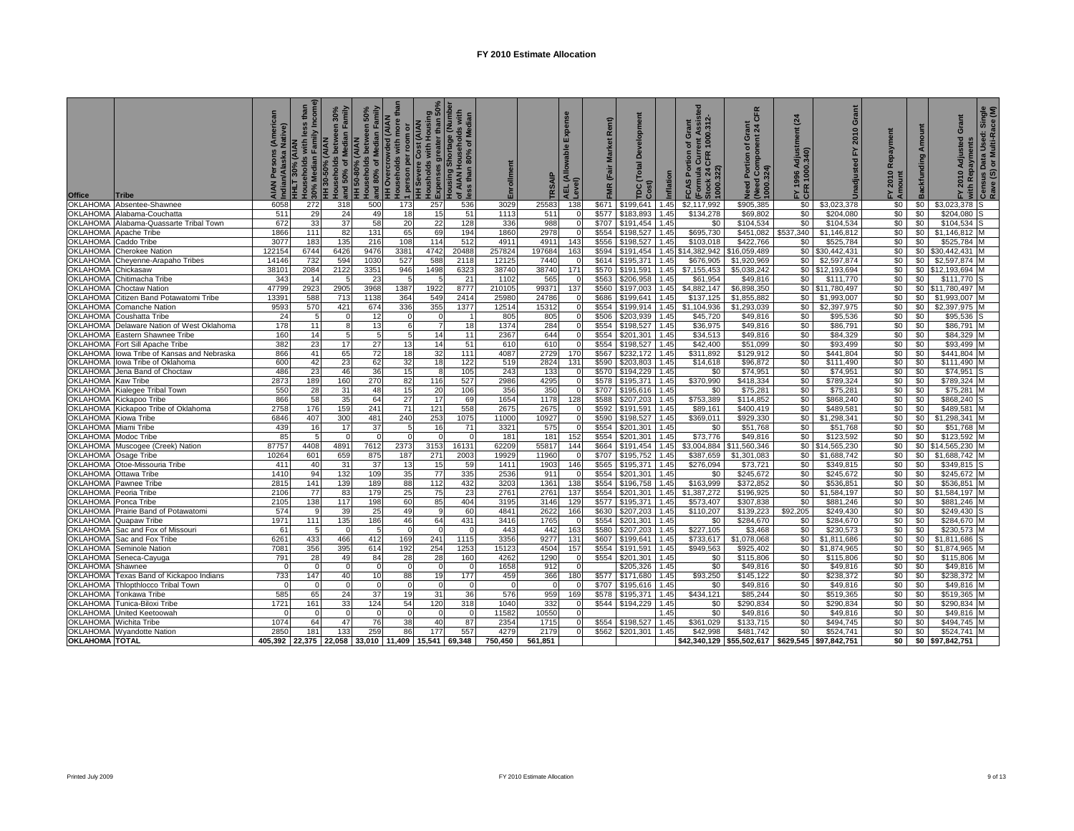| <b>Office</b>               | Tribe                                                       | Native)    | 30% Median Family Income<br>than<br>less<br>ouseholds with<br>IHLT 30% (AIAN | and 50% of Median Family<br>30%<br>louseholds between<br>HH 30-50% (AIAN | 50%<br>ami <sup>N</sup><br>Households between<br>and 80% of Median Fa<br>HH 50-80% (AIAN | ouseholds with more tha<br><b>HH Overcrowded (AIAN</b><br>I person per room or<br>HH Severe Cost (AIAN | Housholds with Housing<br>Expenses greater than 50% | ousing Shortage (Number<br>f AIAN Households with<br>f AIAN Househol<br>ess than 80% of M | Enrollment  | <b>SAIP</b> | Expense<br>able<br>AEL (Allov<br>Level) | Rent)<br>Market<br>FMR (Fair | elopment<br>۵<br><b>Total</b><br>Cost)<br>rpc | Inflation    | sted<br>ent Assist<br>1000.312-<br>of Grant<br><b>CAS Portion</b><br>(Formula Curre<br>Stock 24 CFR<br>Stock 24<br>1000.322)<br>Œ | CFR<br><u>ត្តី ង</u><br>Need Portion of Gra<br>(Need Component 2<br>1000.324) | $\overline{a}$<br>Ë<br>1996 Adjust<br>1000.340)<br>1996<br>E<br>CER | Grant<br>2010<br>놊<br>Unadjusted | FY 2010<br>Amount | Backfunding Amount | Grant<br>2010 Adjusted<br>놊 | วี่ with Repayments<br><sup>7</sup> Census Data Used: Single<br>Rave (S) or Multi-Race (M) |
|-----------------------------|-------------------------------------------------------------|------------|------------------------------------------------------------------------------|--------------------------------------------------------------------------|------------------------------------------------------------------------------------------|--------------------------------------------------------------------------------------------------------|-----------------------------------------------------|-------------------------------------------------------------------------------------------|-------------|-------------|-----------------------------------------|------------------------------|-----------------------------------------------|--------------|-----------------------------------------------------------------------------------------------------------------------------------|-------------------------------------------------------------------------------|---------------------------------------------------------------------|----------------------------------|-------------------|--------------------|-----------------------------|--------------------------------------------------------------------------------------------|
| <b>OKLAHOMA</b>             | Absentee-Shawnee                                            | 6058       | 272                                                                          | 318                                                                      | 500                                                                                      | 173                                                                                                    | 257                                                 | 536                                                                                       | 3029        | 25583       | 138                                     | \$671                        | \$199.641                                     | 1.45         | \$2.117.992                                                                                                                       | \$905,385                                                                     | \$0                                                                 | \$3,023,378                      | \$0               | \$0                | \$3,023,378 S               |                                                                                            |
| OKLAHOMA                    | Alabama-Couchatta                                           | 511        | 29                                                                           | 24                                                                       | 49                                                                                       | 18                                                                                                     | 15                                                  | 51                                                                                        | 1113        | 511         |                                         | \$577                        | \$183,893                                     | 1.45         | \$134.278                                                                                                                         | \$69,802                                                                      | \$0                                                                 | \$204,080                        | \$0               | \$0                | \$204,080                   |                                                                                            |
| OKLAHOMA                    | Alabama-Quassarte Tribal Town                               | 672        | 33                                                                           | 37                                                                       | 58                                                                                       | 20                                                                                                     | 22                                                  | 128                                                                                       | 336         | 988         |                                         | \$707                        | \$191,454                                     | 1.45         | \$0                                                                                                                               | \$104.534                                                                     | \$0                                                                 | \$104,534                        | \$0               | \$0                | \$104.534                   | Is                                                                                         |
| <b>OKLAHOMA</b>             | Apache Tribe                                                | 1866       | 111                                                                          | 82                                                                       | 131                                                                                      | 65                                                                                                     | 69                                                  | 194                                                                                       | 1860        | 2978        |                                         | \$554                        | \$198,527                                     | 1.45         | \$695,730                                                                                                                         | \$451,082                                                                     | \$537.340                                                           | \$1,146,812                      | \$0               | \$0                | \$1,146,812                 |                                                                                            |
| OKLAHOMA                    | Caddo Tribe                                                 | 3077       | 183                                                                          | 135                                                                      | 216                                                                                      | 108                                                                                                    | 114                                                 | 512                                                                                       | 4911        | 4911        | 143                                     | \$556                        | \$198.527                                     | 1.45         | \$103.018                                                                                                                         | \$422,766                                                                     | \$0                                                                 | \$525,784                        | \$0               | \$0                | \$525,784 M                 |                                                                                            |
| <b>OKLAHOMA</b>             | <b>Cherokee Nation</b>                                      | 122154     | 6744                                                                         | 6426                                                                     | 9476                                                                                     | 3381                                                                                                   | 4742                                                | 20488                                                                                     | 257824      | 197684      | 163                                     | \$594                        | \$191,454                                     |              | 1.45 \$14,382,942                                                                                                                 | \$16,059,489                                                                  | \$0                                                                 | \$30,442,431                     | \$0               | \$0                | \$30,442,431                |                                                                                            |
| OKLAHOMA                    | Cheyenne-Arapaho Tribes                                     | 14146      | 732                                                                          | 594                                                                      | 103                                                                                      | 527                                                                                                    | 588                                                 | 2118                                                                                      | 12125       | 7440        |                                         | \$614                        | \$195,371                                     | 1.45         | \$676,905                                                                                                                         | \$1,920,969                                                                   | \$0                                                                 | \$2,597,874                      | \$0               | \$0                | \$2,597,874                 |                                                                                            |
| <b>OKLAHOMA</b>             | Chickasaw                                                   | 3810       | 2084                                                                         | 2122                                                                     | 3351                                                                                     | 946                                                                                                    | 1498                                                | 6323                                                                                      | 38740       | 38740       | 171                                     | \$570                        | \$191,591                                     | 1.45         | \$7.155.453                                                                                                                       | \$5,038,242                                                                   |                                                                     | \$0 \$12,193,694                 | \$0               | \$0                | \$12.193.694                |                                                                                            |
| OKLAHOMA                    | Chitimacha Tribe                                            | 343        | -14                                                                          |                                                                          | -23                                                                                      |                                                                                                        |                                                     | 21                                                                                        | 1102        | 565         |                                         | \$563                        | \$206,958                                     | 1.45         | \$61,954                                                                                                                          | \$49,816                                                                      | \$0                                                                 | \$111,770                        | \$0               | \$0                | \$111,770                   |                                                                                            |
| OKLAHOMA                    | Choctaw Nation                                              | 47799      | 292                                                                          | 2905                                                                     | 3968                                                                                     | 1387                                                                                                   | 1922                                                | 8777                                                                                      | 210105      | 99371       | 137                                     | \$560                        | \$197,003                                     | 1.45         | \$4,882,147                                                                                                                       | \$6,898,350                                                                   |                                                                     | \$0 \$11,780,497                 | \$0               | \$0                | \$11,780,497                |                                                                                            |
| OKLAHOMA                    | Citizen Band Potawatomi Tribe                               | 13391      | 588                                                                          | 713                                                                      | 1138                                                                                     | 364                                                                                                    | 549                                                 | 2414                                                                                      | 25980       | 24786       |                                         | \$686                        | \$199,641                                     | 1.45         | \$137,125                                                                                                                         | \$1,855,882                                                                   | \$0                                                                 | \$1,993,007                      | \$0               | \$0                | \$1,993,007                 |                                                                                            |
| <b>OKLAHOMA</b>             | Comanche Nation                                             | 9593       | 570                                                                          | 421                                                                      | 674                                                                                      | 336                                                                                                    | 355                                                 | 1377                                                                                      | 12514       | 15312       |                                         | \$554                        | \$199,914                                     | 1.45         | \$1,104.936                                                                                                                       | \$1,293,039                                                                   | \$0                                                                 | \$2,397,975                      | \$0               | \$0                | \$2,397,975                 |                                                                                            |
| <b>OKLAHOMA</b>             | Coushatta Tribe                                             | 24         | 5                                                                            | $\Omega$                                                                 | 12                                                                                       | $\Omega$                                                                                               |                                                     |                                                                                           | 805         | 805         |                                         | \$506                        | \$203,939                                     | 1.45         | \$45,720                                                                                                                          | \$49,816                                                                      | \$0                                                                 | \$95,536                         | \$0               | \$0                | \$95,536                    |                                                                                            |
| OKLAHOMA                    | Delaware Nation of West Oklahoma                            | 178        | 11                                                                           | 8                                                                        | 13                                                                                       | 6                                                                                                      |                                                     | 18                                                                                        | 1374        | 284         |                                         | \$554                        | \$198,527 1.45                                |              | \$36,975                                                                                                                          | \$49,816                                                                      | \$0                                                                 | \$86,791                         | \$0               | \$0                | \$86,791 M                  |                                                                                            |
| <b>OKLAHOMA</b>             | Eastern Shawnee Tribe                                       | 160        | 14                                                                           | -5                                                                       | -5                                                                                       | -5                                                                                                     | 14                                                  | 11                                                                                        | 2367        | 644         |                                         | \$554                        | \$201,301                                     | 1.45         | \$34,513                                                                                                                          | \$49,816                                                                      | \$0                                                                 | \$84,329                         | \$0               | \$0                | \$84,329                    |                                                                                            |
| OKLAHOMA                    | Fort Sill Apache Tribe                                      | 382        | 23                                                                           | 17                                                                       | 27                                                                                       | 13                                                                                                     | 14                                                  | 51                                                                                        | 610         | 610         |                                         | \$554                        | \$198,527                                     | 1.45         | \$42,400                                                                                                                          | \$51,099                                                                      | \$0                                                                 | \$93,499                         | \$0               | \$0                | \$93,499                    |                                                                                            |
| <b>OKLAHOMA</b><br>OKLAHOMA | lowa Tribe of Kansas and Nebraska<br>lowa Tribe of Oklahoma | 866<br>600 | 41<br>42                                                                     | 65<br>23                                                                 | 72                                                                                       | 18                                                                                                     | 32                                                  | 111                                                                                       | 4087<br>519 | 2729        | 170                                     | \$567<br>\$590               | \$232,172                                     | 1.45         | \$311,892<br>\$14,618                                                                                                             | \$129,912<br>\$96,872                                                         | \$0                                                                 | \$441,804<br>\$111,490           | \$0               | \$0<br>\$0         | \$441,804<br>\$111,490      |                                                                                            |
| <b>OKLAHOMA</b>             | Jena Band of Choctaw                                        | 486        | 23                                                                           | 46                                                                       | 62<br>36                                                                                 | 32<br>15                                                                                               | 18                                                  | 122<br>105                                                                                | 243         | 2824<br>133 | 131                                     | \$570                        | \$203,803<br>\$194,229                        | 1.45<br>1.45 | \$0                                                                                                                               | \$74,951                                                                      | \$0<br>\$0                                                          | \$74,951                         | \$0<br>\$0        | \$0                | \$74,951                    |                                                                                            |
| <b>OKLAHOMA</b>             | Kaw Tribe                                                   | 2873       | 189                                                                          | 160                                                                      | 270                                                                                      | 82                                                                                                     | 116                                                 | 527                                                                                       | 2986        | 4295        |                                         | \$578                        | \$195,371                                     | 1.45         | \$370.990                                                                                                                         | \$418.334                                                                     | \$0                                                                 | \$789.324                        | \$0               | \$0                | \$789.324 M                 |                                                                                            |
| <b>OKLAHOMA</b>             | Kialegee Tribal Town                                        | 550        | 28                                                                           | 31                                                                       | 48                                                                                       | 15                                                                                                     | 20                                                  | 106                                                                                       | 356         | 350         |                                         | \$707                        | \$195,616                                     | 1.45         | \$0                                                                                                                               | \$75,281                                                                      | \$0                                                                 | \$75,281                         | \$0               | \$0                | \$75.281                    |                                                                                            |
| <b>OKLAHOMA</b>             | Kickapoo Tribe                                              | 866        | 58                                                                           | 35                                                                       | 64                                                                                       | 27                                                                                                     | 17                                                  | 69                                                                                        | 1654        | 1178        | 128                                     | \$588                        | \$207.203                                     | 1.45         | \$753.389                                                                                                                         | \$114,852                                                                     | \$0                                                                 | \$868.240                        | \$0               | \$0                | \$868.240                   |                                                                                            |
| <b>OKLAHOMA</b>             | Kickapoo Tribe of Oklahoma                                  | 2758       | 176                                                                          | 159                                                                      | 241                                                                                      | 71                                                                                                     | 121                                                 | 558                                                                                       | 2675        | 2675        |                                         | \$592                        | \$191,591                                     | 1.45         | \$89.161                                                                                                                          | \$400.419                                                                     | \$0                                                                 | \$489,581                        | \$0               | \$0                | \$489.581                   |                                                                                            |
| <b>OKLAHOMA</b>             | Kiowa Tribe                                                 | 6846       | 407                                                                          | 300                                                                      | 481                                                                                      | 240                                                                                                    | 253                                                 | 1075                                                                                      | 11000       | 10927       |                                         | \$590                        | \$198.527                                     | 1.45         | \$369.011                                                                                                                         | \$929,330                                                                     | \$0                                                                 | \$1,298,341                      | \$0               | \$0                | \$1.298.341                 |                                                                                            |
| OKLAHOMA                    | Miami Tribe                                                 | 439        | 16                                                                           | 17                                                                       | 37                                                                                       |                                                                                                        | 16                                                  | 71                                                                                        | 3321        | 575         |                                         | \$554                        | \$201.301                                     | 1.45         | \$0                                                                                                                               | \$51.768                                                                      | \$0                                                                 | \$51,768                         | \$0               | \$0                | \$51,768                    |                                                                                            |
| <b>OKLAHOMA</b>             | Modoc Tribe                                                 | 85         | 5                                                                            | $\Omega$                                                                 |                                                                                          |                                                                                                        |                                                     | $\Omega$                                                                                  | 181         | 181         | 152                                     | \$554                        | \$201.301                                     | 1.45         | \$73.776                                                                                                                          | \$49,816                                                                      | \$0                                                                 | \$123.592                        | \$0               | \$0                | \$123.592                   |                                                                                            |
| <b>OKLAHOMA</b>             | Muscogee (Creek) Nation                                     | 87757      | 4408                                                                         | 4891                                                                     | 7612                                                                                     | 2373                                                                                                   | 3153                                                | 16131                                                                                     | 62209       | 55817       | 144                                     | \$664                        | \$191,454                                     | 1.45         | \$3.004.884                                                                                                                       | 1.560.346<br>\$1                                                              |                                                                     | \$0 \$14,565,230                 | \$0               | \$0                | \$14,565,230 M              |                                                                                            |
| OKLAHOMA                    | Osage Tribe                                                 | 10264      | 601                                                                          | 659                                                                      | 875                                                                                      | 187                                                                                                    | 271                                                 | 2003                                                                                      | 19929       | 11960       |                                         | \$707                        | \$195,752                                     | 1.45         | \$387,659                                                                                                                         | \$1,301,083                                                                   | \$0                                                                 | \$1,688,742                      | \$0               | \$0                | \$1,688,742                 |                                                                                            |
| <b>OKLAHOMA</b>             | Otoe-Missouria Tribe                                        | 411        | 40                                                                           | 31                                                                       | 37                                                                                       | 13                                                                                                     | 15                                                  | 59                                                                                        | 1411        | 1903        | 146                                     | \$565                        | \$195,371                                     | 1.45         | \$276,094                                                                                                                         | \$73,721                                                                      | \$0                                                                 | \$349,815                        | \$0               | \$0                | \$349.815                   |                                                                                            |
| OKLAHOMA                    | Ottawa Tribe                                                | 1410       | 94                                                                           | 132                                                                      | 109                                                                                      | 35                                                                                                     | 77                                                  | 335                                                                                       | 2536        | 911         |                                         | \$554                        | \$201,301                                     | 1.45         | \$0                                                                                                                               | \$245,672                                                                     | \$0                                                                 | \$245,672                        | \$0               | \$0                | \$245,672                   |                                                                                            |
| <b>OKLAHOMA</b>             | Pawnee Tribe                                                | 2815       | 141                                                                          | 139                                                                      | 189                                                                                      | 88                                                                                                     | 112                                                 | 432                                                                                       | 3203        | 1361        | 138                                     | \$554                        | \$196,758                                     | 1.45         | \$163,999                                                                                                                         | \$372,852                                                                     | \$0                                                                 | \$536,851                        | \$0               | \$0                | \$536,851 M                 |                                                                                            |
| OKLAHOMA                    | Peoria Tribe                                                | 2106       | 77                                                                           | 83                                                                       | 179                                                                                      | 25                                                                                                     | 75                                                  | 23                                                                                        | 2761        | 2761        | 137                                     | \$554                        | \$201,301                                     | 1.45         | \$1,387,272                                                                                                                       | \$196,925                                                                     | \$0                                                                 | \$1,584,197                      | \$0               | \$0                | \$1,584,197 M               |                                                                                            |
| OKLAHOMA                    | Ponca Tribe                                                 | 2105       | 138                                                                          | 117                                                                      | 198                                                                                      | 60                                                                                                     | 85                                                  | 404                                                                                       | 3195        | 3146        | 129                                     | \$577                        | \$195,371                                     | 1.45         | \$573,407                                                                                                                         | \$307,838                                                                     | \$0                                                                 | \$881,246                        | \$0               | \$0                | \$881,246                   |                                                                                            |
| <b>OKLAHOMA</b>             | Prairie Band of Potawatomi                                  | 574        |                                                                              | 39                                                                       | 25                                                                                       | 49                                                                                                     |                                                     | 60                                                                                        | 4841        | 262         | 166                                     | \$630                        | \$207,203                                     | 1.45         | \$110,207                                                                                                                         | \$139,223                                                                     | \$92,205                                                            | \$249,430                        | \$0               | \$0                | \$249,430                   |                                                                                            |
| OKLAHOMA                    | Quapaw Tribe                                                | 1971       | 111                                                                          | 135                                                                      | 186                                                                                      | 46                                                                                                     | 64                                                  | 431                                                                                       | 3416        | 1765        |                                         | \$554                        | \$201,301                                     | 1.45         | \$0                                                                                                                               | \$284,670                                                                     | \$0                                                                 | \$284,670                        | \$0               | \$0                | \$284,670 M                 |                                                                                            |
| <b>OKLAHOMA</b>             | Sac and Fox of Missouri                                     | 61         |                                                                              |                                                                          |                                                                                          |                                                                                                        |                                                     |                                                                                           | 443         | 442         | 16                                      | \$580                        | \$207,203                                     | 1.45         | \$227,105                                                                                                                         | \$3,468                                                                       | \$0                                                                 | \$230,573                        | \$0               | \$0                | \$230,573                   |                                                                                            |
| OKLAHOMA                    | Sac and Fox Tribe                                           | 6261       | 433                                                                          | 466                                                                      | 412                                                                                      | 169                                                                                                    | 24 <sup>1</sup>                                     | 1115                                                                                      | 3356        | 9277        | 131                                     | \$607                        | \$199,641                                     | 1.45         | \$733,617                                                                                                                         | \$1,078,068                                                                   | \$0                                                                 | \$1,811,686                      | \$0               | \$0                | \$1,811,686                 |                                                                                            |
| <b>OKLAHOMA</b>             | Seminole Nation                                             | 708        | 356                                                                          | 395                                                                      | 614                                                                                      | 192                                                                                                    | 254                                                 | 1253                                                                                      | 15123       | 4504        | 157                                     | \$554                        | \$191,591                                     | 1.45         | \$949,563                                                                                                                         | \$925,402                                                                     | \$0                                                                 | \$1,874,965                      | \$0               | \$0                | \$1,874,965                 |                                                                                            |
| OKLAHOMA<br><b>OKLAHOMA</b> | Seneca-Cayuga                                               | 791        | 28                                                                           | 49                                                                       | 84                                                                                       | 28                                                                                                     | 28                                                  | 160                                                                                       | 4262        | 1290        |                                         | \$554                        | \$201,301                                     | 1.45         | \$0                                                                                                                               | \$115,806                                                                     | \$0                                                                 | \$115,806                        | \$0               | \$0<br>\$0         | \$115,806                   |                                                                                            |
| <b>OKLAHOMA</b>             | Shawnee                                                     | 733        | 147                                                                          | 40                                                                       | 10                                                                                       | 88                                                                                                     | 19                                                  | 177                                                                                       | 1658<br>459 | 912<br>366  | 180                                     | \$577                        | \$205,326<br>\$171,680                        | 1.45<br>1.45 | \$0<br>\$93,250                                                                                                                   | \$49,816<br>\$145,122                                                         | \$0<br>\$0                                                          | \$49,816<br>\$238,372            | \$0<br>\$0        | \$0                | \$49,816<br>\$238,372       |                                                                                            |
| <b>OKLAHOMA</b>             | Fexas Band of Kickapoo Indians<br>Thlopthlocco Tribal Town  |            |                                                                              |                                                                          |                                                                                          |                                                                                                        |                                                     |                                                                                           |             | $\Omega$    |                                         | \$707                        | \$195,616                                     | 1.45         | \$0                                                                                                                               | \$49,816                                                                      | \$0                                                                 | \$49,816                         | \$0               | \$0                | \$49,816 M                  |                                                                                            |
| OKLAHOMA                    | Tonkawa Tribe                                               | 585        | 65                                                                           | 24                                                                       | 37                                                                                       | 19                                                                                                     | 31                                                  | 36                                                                                        | 576         | 959         | 169                                     | \$578                        | \$195,371                                     | 1.45         | \$434,121                                                                                                                         | \$85.244                                                                      | \$0                                                                 | \$519,365                        | \$0               | \$0                | \$519,365                   |                                                                                            |
| OKLAHOMA                    | Tunica-Biloxi Tribe                                         | 1721       | 161                                                                          | 33                                                                       | 124                                                                                      | 54                                                                                                     | 120                                                 | 318                                                                                       | 1040        | 332         |                                         | \$544                        | \$194,229                                     | 1.45         | \$0                                                                                                                               | \$290.834                                                                     | \$0                                                                 | \$290,834                        | \$0               | \$0                | \$290,834 M                 |                                                                                            |
| <b>OKLAHOMA</b>             | Jnited Keetoowah                                            |            |                                                                              | $\Omega$                                                                 |                                                                                          | $\Omega$                                                                                               |                                                     | $\Omega$                                                                                  | 11582       | 10550       |                                         |                              |                                               | 1.45         | \$0                                                                                                                               | \$49,816                                                                      | \$0                                                                 | \$49,816                         | \$0               | \$0                | \$49,816                    |                                                                                            |
| <b>OKLAHOMA</b>             | Wichita Tribe                                               | 1074       | 64                                                                           | 47                                                                       | 76                                                                                       | 38                                                                                                     | 40                                                  | 87                                                                                        | 2354        | 1715        |                                         | \$554                        | \$198,527                                     | 1.45         | \$361.029                                                                                                                         | \$133.715                                                                     | \$0                                                                 | \$494.745                        | \$0               | \$0                | \$494.745 M                 |                                                                                            |
|                             | OKLAHOMA Wyandotte Nation                                   | 2850       | 181                                                                          | 133                                                                      | 259                                                                                      | 86                                                                                                     | 177                                                 | 557                                                                                       | 4279        | 2179        |                                         | \$562                        | \$201.301   1.45                              |              | \$42,998                                                                                                                          | \$481,742                                                                     | \$0                                                                 | \$524,741                        | \$0               | \$0                | \$524,741 M                 |                                                                                            |
| <b>OKLAHOMA TOTAL</b>       |                                                             | 405.392    | 22,375                                                                       | 22,058                                                                   | 33,010 11,409                                                                            |                                                                                                        | 15,541                                              | 69,348                                                                                    | 750.450     | 561.851     |                                         |                              |                                               |              | \$42,340,129                                                                                                                      | \$55,502,617 \$629,545 \$97,842,751                                           |                                                                     |                                  | \$0               | \$0                | \$97,842,751                |                                                                                            |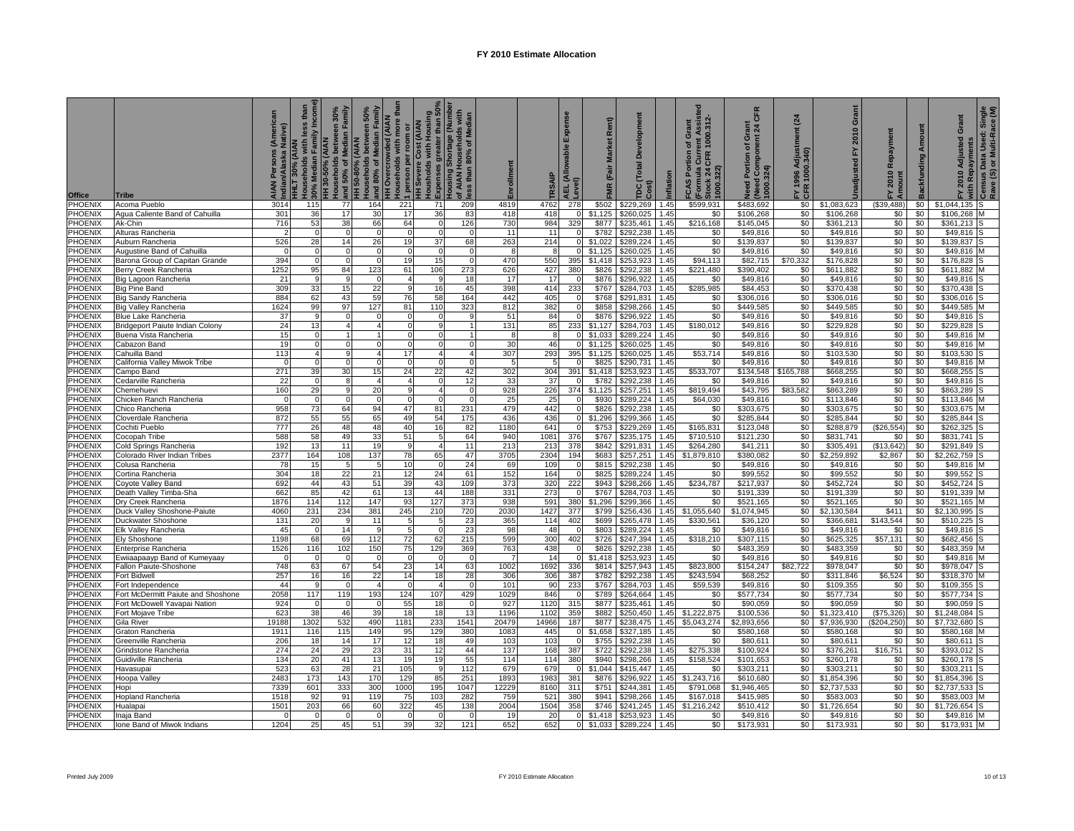| Office                           | Tribe                                        | Native)         | than<br><b>Incor</b><br>less<br>30% Median Family<br><b>HHLT 30% (AIAN</b><br>Households with I | seholds between 30%<br>50% of Median Family<br>HH 30-50% (AIAN<br>ouseholds<br>and | Households between 50%<br>and 80% of Median Family<br>H 50-80% (AIAN | thai<br><b>HOvercrowded (AIAN</b><br>ouseholds with more | Housholds with Housing<br>Expenses greater than 50%<br>Housing Shortage (Number<br>1 person per room or<br>HH Severe Cost (AIAN | of AIAN Households with<br>less than 80% of Median | Enrollment | <b>SAIP</b> | Expense<br><b>LEL (Allowable</b><br>.evel) | Rent)<br><b>Market</b><br>(Fair<br><b>FMR</b> | relopm<br>ă<br><b>Total</b><br>ost)<br>DC | Inflation    | 1000.312<br>Grant<br>ent Ass<br>৳<br><b>CAS Portion</b><br>Curre<br>CFR<br>(Formula<br>Stock 24<br>1000.322) | <b>CFR</b><br>Grant<br>snt 24 C<br>(Need Component 2)<br>1000.324)<br>đ<br>eed Portion | $\overline{a}$<br>FY 1996 Adjustr<br>CFR 1000.340) | Grant<br>2010<br>놊<br>Unadjusted | Repayment<br>2010<br>È | Amount<br>Backfunding | Grant<br>2010 Adjusted<br>with Repayments | Single<br>ace (M)<br>Census Data Used: Sir<br>Rave (S) or Multi-Race |
|----------------------------------|----------------------------------------------|-----------------|-------------------------------------------------------------------------------------------------|------------------------------------------------------------------------------------|----------------------------------------------------------------------|----------------------------------------------------------|---------------------------------------------------------------------------------------------------------------------------------|----------------------------------------------------|------------|-------------|--------------------------------------------|-----------------------------------------------|-------------------------------------------|--------------|--------------------------------------------------------------------------------------------------------------|----------------------------------------------------------------------------------------|----------------------------------------------------|----------------------------------|------------------------|-----------------------|-------------------------------------------|----------------------------------------------------------------------|
| PHOENIX                          | Acoma Pueblo                                 | 3014            | 115                                                                                             | 77                                                                                 | 164                                                                  | 221                                                      | 71                                                                                                                              | 209                                                | 4819       | 4762        | 278                                        | \$502                                         | \$229,269                                 | 1.45         | \$599.931                                                                                                    | \$483.692                                                                              | \$0 <sub>1</sub>                                   | \$1.083.623                      | (S39, 488)             | \$0                   | \$1.044.135                               |                                                                      |
| PHOENIX                          | Agua Caliente Band of Cahuilla               | 301             | 36                                                                                              | 17                                                                                 | 30                                                                   | 17                                                       | 36                                                                                                                              | 83                                                 | 418        | 418         |                                            | \$1.125                                       | \$260,025                                 | 1.45         | \$0                                                                                                          | \$106,268                                                                              | \$0                                                | \$106,268                        | \$0                    | \$0                   | \$106,268                                 |                                                                      |
| PHOENIX                          | Ak-Chin                                      | 716             | 53                                                                                              | 38                                                                                 | 66                                                                   | 64                                                       |                                                                                                                                 | 126                                                | 730        | 984         | 329                                        | \$877                                         | \$235,461                                 | 1.45         | \$216,168                                                                                                    | \$145,045                                                                              | \$0                                                | \$361,213                        | \$0                    | \$0                   | \$361.213                                 |                                                                      |
| <b>PHOENIX</b>                   | Alturas Rancheria                            |                 |                                                                                                 | $\Omega$                                                                           |                                                                      |                                                          |                                                                                                                                 |                                                    | 11         | 11          | O                                          | \$782                                         | \$292.238                                 | 1.45         | \$0                                                                                                          | \$49.816                                                                               | \$0                                                | \$49.816                         | \$0                    | \$0                   | \$49.816                                  |                                                                      |
| <b>HOENIX</b>                    | Auburn Rancheria                             | 526             | 28                                                                                              | 14                                                                                 | 26                                                                   | 19                                                       | 37                                                                                                                              | 68                                                 | 263        | 214         | $\Omega$                                   | \$1,022                                       | \$289,224                                 | 1.45         | \$0                                                                                                          | \$139,837                                                                              | \$0                                                | \$139,837                        | \$0                    | \$0                   | \$139,837                                 |                                                                      |
| PHOENIX                          | Augustine Band of Cahuilla                   | $\Omega$        | <sup>0</sup>                                                                                    | $\mathbf{0}$                                                                       | $\Omega$                                                             | $\Omega$                                                 |                                                                                                                                 | $\Omega$                                           | -8         | 8           | <sup>n</sup>                               | \$1.125                                       | \$260,025                                 | 1.45         | \$0                                                                                                          | \$49,816                                                                               | \$0                                                | \$49,816                         | $\frac{1}{2}$          | \$0                   | \$49.816                                  |                                                                      |
| PHOENIX                          | Barona Group of Capitan Grande               | 394             | $\Omega$                                                                                        | $\Omega$                                                                           | $\Omega$                                                             | 19                                                       | 15                                                                                                                              | $\Omega$                                           | 470        | 550         | 395                                        | \$1,418                                       | \$253,923                                 | 1.45         | \$94,113                                                                                                     | \$82,715                                                                               | \$70,332                                           | \$176,828                        | \$0                    | \$0                   | \$176,828                                 |                                                                      |
| PHOENIX<br>PHOENIX               | Berry Creek Rancheria                        | 1252<br>21      | 95                                                                                              | 84<br>$\mathbf{Q}$                                                                 | 123                                                                  | 61                                                       | 106                                                                                                                             | 273<br>18                                          | 626        | 427<br>17   | 380<br>$\Omega$                            | \$826<br>\$876                                | \$292,238<br>\$296.922                    | 1.45<br>1.45 | \$221,480                                                                                                    | \$390,402<br>\$49.816                                                                  | \$0                                                | \$611,882<br>\$49.816            | \$0                    | \$0<br>\$0            | \$611,882<br>\$49.816                     |                                                                      |
| <b>PHOENIX</b>                   | Big Lagoon Rancheria<br><b>Big Pine Band</b> | 309             | 33                                                                                              | 15                                                                                 | 22                                                                   | <b>q</b>                                                 |                                                                                                                                 | 45                                                 | 17<br>398  | 414         | 233                                        | $\overline{$}767$                             | \$284,703                                 | 1.45         | \$0<br>\$285,985                                                                                             | \$84,453                                                                               | \$0<br>\$0                                         | \$370,438                        | \$0<br>\$0             | \$0                   | \$370,438                                 |                                                                      |
| PHOENIX                          | Big Sandy Rancheria                          | 884             | 62                                                                                              | 43                                                                                 | 59                                                                   | 76                                                       | 58                                                                                                                              | 164                                                | 442        | 405         |                                            | \$768                                         | \$291,831                                 | 1.45         | \$0                                                                                                          | \$306,016                                                                              | \$0                                                | \$306,016                        | \$0                    | \$0                   | \$306,016                                 |                                                                      |
| PHOENIX                          | <b>Big Valley Rancheria</b>                  | 1624            | 99                                                                                              | 97                                                                                 | 127                                                                  | 81                                                       | 110                                                                                                                             | 323                                                | 812        | 382         |                                            | \$858                                         | \$298,266                                 | 1.45         | \$0                                                                                                          | \$449,585                                                                              | \$0                                                | \$449,585                        | \$0                    | \$0                   | \$449,585                                 |                                                                      |
| PHOENIX                          | Blue Lake Rancheria                          | 37              | q                                                                                               | $\Omega$                                                                           |                                                                      |                                                          |                                                                                                                                 | -9                                                 | 51         | 84          |                                            | \$876                                         | \$296,922                                 | 1.45         | \$0                                                                                                          | \$49,816                                                                               | \$0                                                | \$49,816                         | \$0                    | \$0                   | \$49,816                                  |                                                                      |
| <b>PHOENIX</b>                   | Bridgeport Paiute Indian Colony              | 24              | 13                                                                                              |                                                                                    |                                                                      |                                                          |                                                                                                                                 |                                                    | 131        | 85          | 233                                        | \$1,127                                       | \$284,703                                 | 1.45         | \$180,012                                                                                                    | \$49,816                                                                               | \$0                                                | \$229,828                        | \$0                    | \$0                   | \$229,828                                 |                                                                      |
| <b>HOENIX</b>                    | Buena Vista Rancheria                        | 15              | <sup>n</sup>                                                                                    |                                                                                    |                                                                      | O                                                        |                                                                                                                                 |                                                    | 8          | 8           | <sup>0</sup>                               | \$1.033                                       | \$289,224                                 | .45          | \$0                                                                                                          | \$49,816                                                                               | \$0                                                | \$49,816                         | \$0                    | \$0                   | \$49,816                                  |                                                                      |
| PHOENIX                          | Cabazon Band                                 | 19              | $\Omega$                                                                                        | $\Omega$                                                                           | $\Omega$                                                             | $\Omega$                                                 | $\Omega$                                                                                                                        | $\Omega$                                           | 30         | 46          | $\Omega$                                   | \$1.125                                       | \$260,025                                 | 1.45         | \$0                                                                                                          | \$49.816                                                                               | \$0                                                | \$49,816                         | \$0                    | \$0                   | \$49.816                                  |                                                                      |
| PHOENIX                          | Cahuilla Band                                | 113             | $\Delta$                                                                                        | q                                                                                  |                                                                      | 17                                                       |                                                                                                                                 | $\overline{\mathbf{A}}$                            | 307        | 293         | 395                                        | \$1<br>,125                                   | \$260,025                                 | 1.45         | \$53,714                                                                                                     | \$49,816                                                                               | \$0                                                | \$103,530                        | \$0                    | \$0                   | \$103,530                                 |                                                                      |
| PHOENIX                          | California Valley Miwok Tribe                | $\Omega$        |                                                                                                 | $\Omega$                                                                           |                                                                      | $\Omega$                                                 |                                                                                                                                 | $\Omega$                                           |            | 5           | $\Omega$                                   | \$825                                         | \$290,731                                 | 1.45         | \$0                                                                                                          | \$49,816                                                                               | \$0                                                | \$49,816                         | \$0                    | \$0                   | \$49,816                                  |                                                                      |
| PHOENIX                          | Campo Band                                   | 271             | 39                                                                                              | 30                                                                                 | 15                                                                   | 24                                                       | 22                                                                                                                              | 42                                                 | 302        | 304         | 391                                        | \$1,418                                       | \$253,923                                 | 1.45         | \$533,707                                                                                                    | \$134,548                                                                              | \$165,788                                          | \$668,255                        | \$0                    | \$0                   | \$668,255                                 |                                                                      |
| <b>HOENIX</b>                    | Cedarville Rancheria                         | 22              | <sup>n</sup>                                                                                    | 8                                                                                  | Δ                                                                    |                                                          |                                                                                                                                 | 12                                                 | 33         | 37          | $\Omega$                                   | \$782                                         | \$292,238                                 | 1.45         | \$0                                                                                                          | \$49,816                                                                               | \$0                                                | \$49,816                         | \$0                    | \$0                   | \$49,816                                  |                                                                      |
| PHOENIX                          | Chemehuevi                                   | 160             | 29                                                                                              | 9                                                                                  | 20                                                                   | 9                                                        |                                                                                                                                 | $\Omega$                                           | 928        | 226         | 374                                        | \$1.125                                       | \$257,251                                 | 1.45         | \$819,494                                                                                                    | \$43,795                                                                               | \$83,582                                           | \$863,289                        | \$0                    | \$0                   | \$863.289                                 |                                                                      |
| PHOENIX<br>PHOENIX               | Chicken Ranch Rancheria                      | $\Omega$<br>958 | 73                                                                                              | $\Omega$<br>64                                                                     | $\Omega$<br>94                                                       | 47                                                       | 81                                                                                                                              | $\Omega$<br>231                                    | 25<br>479  | 25<br>442   |                                            | \$930<br>\$826                                | \$289,224<br>\$292,238                    | 1.45<br>1.45 | \$64,030<br>\$0                                                                                              | \$49,816<br>\$303,675                                                                  | \$0<br>\$0                                         | \$113,846<br>\$303,675           | \$0<br>\$0             | \$0<br>\$0            | \$113,846<br>\$303,675                    |                                                                      |
| PHOENIX                          | Chico Rancheria<br>Cloverdale Rancheria      | 872             | 55                                                                                              | 55                                                                                 | 65                                                                   | 49                                                       | 54                                                                                                                              | 175                                                | 436        | 436         |                                            | \$1.296                                       | \$299.366                                 | 1.45         | \$0                                                                                                          | \$285,844                                                                              | \$0                                                | \$285,844                        | \$0                    | \$0                   | \$285.844                                 |                                                                      |
| <b>PHOENIX</b>                   | Cochiti Pueblo                               | 777             | 26                                                                                              | 48                                                                                 | 48                                                                   | 40                                                       | 16                                                                                                                              | 82                                                 | 1180       | 641         | $\Omega$                                   | \$753                                         | \$229,269                                 | 1.45         | \$165,831                                                                                                    | \$123,048                                                                              | \$0                                                | \$288,879                        | (\$26,554)             | \$0                   | \$262,325                                 |                                                                      |
| PHOENIX                          | Cocopah Tribe                                | 588             | 58                                                                                              | 49                                                                                 | 33                                                                   | 51                                                       | -5                                                                                                                              | 64                                                 | 940        | 1081        | 376                                        | \$767                                         | \$235.175                                 | 1.45         | \$710,510                                                                                                    | \$121,230                                                                              | \$0                                                | \$831.741                        | \$0                    | \$0                   | \$831.741                                 |                                                                      |
| PHOENIX                          | Cold Springs Rancheria                       | 192             | 13                                                                                              | 11                                                                                 | 19                                                                   | <b>q</b>                                                 |                                                                                                                                 | 11                                                 | 213        | 213         | 378                                        | \$842                                         | \$291,831                                 | 1.45         | \$264,280                                                                                                    | \$41,211                                                                               | \$0                                                | \$305,491                        | (\$13,642"             | \$0                   | \$291,849                                 |                                                                      |
| <b>PHOENIX</b>                   | Colorado River Indian Tribes                 | 2377            | 164                                                                                             | 108                                                                                | 137                                                                  | 78                                                       | 65                                                                                                                              | 47                                                 | 3705       | 2304        | 194                                        | \$683                                         | \$257,251                                 | 1.45         | \$1,879,810                                                                                                  | \$380,082                                                                              | \$0                                                | \$2,259,892                      | \$2,867                | \$0                   | \$2,262,759                               |                                                                      |
| PHOENIX                          | Colusa Rancheria                             | 78              | 15                                                                                              | 5                                                                                  | 5                                                                    | 10                                                       |                                                                                                                                 | 24                                                 | 69         | 109         | n                                          | \$815                                         | \$292.238                                 | 1.45         | \$0                                                                                                          | \$49.816                                                                               | \$0                                                | \$49.816                         | \$0                    | \$0                   | \$49.816                                  |                                                                      |
| <b>HOENIX</b>                    | Cortina Rancheria                            | 304             | 18                                                                                              | 22                                                                                 | 21                                                                   | 12                                                       | 24                                                                                                                              | 61                                                 | 152        | 164         | $\Omega$                                   | \$825                                         | \$289,224                                 | 1.45         | \$0                                                                                                          | \$99,552                                                                               | \$0                                                | \$99,552                         | \$0                    | \$0                   | \$99,552                                  |                                                                      |
| PHOENIX                          | Coyote Valley Band                           | 692             | 44                                                                                              | 43                                                                                 | 51                                                                   | 39                                                       | 43                                                                                                                              | 109                                                | 373        | 320         | 222                                        | \$943                                         | \$298,266                                 | 1.45         | \$234,787                                                                                                    | \$217,937                                                                              | \$0                                                | \$452,724                        | \$0                    | \$0                   | \$452,724                                 |                                                                      |
| PHOENIX                          | Death Valley Timba-Sha                       | 662             | 85                                                                                              | 42                                                                                 | 61                                                                   | 13                                                       | 44                                                                                                                              | 188                                                | 331        | 273         |                                            | \$767                                         | \$284,703                                 | 1.45         | \$0                                                                                                          | \$191,339                                                                              | \$0                                                | \$191,339                        | \$0                    | \$0                   | \$191,339                                 |                                                                      |
| PHOENIX                          | Dry Creek Rancheria                          | 1876            | 114                                                                                             | 112                                                                                | 147                                                                  | 93                                                       | 127                                                                                                                             | 373                                                | 938        | 591         | 380                                        | \$1,296                                       | \$299,366                                 | 1.45         | \$0                                                                                                          | \$521,165                                                                              | \$0                                                | \$521,165                        | \$0                    | \$0                   | \$521,165                                 |                                                                      |
| <b>PHOENIX</b>                   | Duck Valley Shoshone-Paiute                  | 4060            | 231                                                                                             | 234                                                                                | 381                                                                  | 245                                                      | 210                                                                                                                             | 720                                                | 2030       | 1427        | 377                                        | \$799                                         | \$256.436                                 | 1.45         | \$1,055,640                                                                                                  | \$1.074.945                                                                            | \$0                                                | \$2.130.584                      | \$411                  | \$0                   | \$2.130.995                               |                                                                      |
| <b>HOENIX</b>                    | Duckwater Shoshone                           | 131             | 20                                                                                              | g                                                                                  | 11                                                                   | -5                                                       |                                                                                                                                 | 23                                                 | 365        | 114         | 402                                        | \$699                                         | \$265,478                                 | 1.45         | \$330,561                                                                                                    | \$36,120                                                                               | \$0                                                | \$366,681                        | \$143,544              | \$0                   | \$510,225                                 |                                                                      |
| PHOENIX<br>PHOENIX               | Elk Valley Rancheria                         | 45<br>1198      | 68                                                                                              | 14<br>69                                                                           | 9<br>112                                                             | 5<br>72                                                  | 62                                                                                                                              | 23<br>215                                          | 98<br>599  | 48<br>300   | 402                                        | \$803<br>\$726                                | \$289,224<br>\$247,394                    | 1.45<br>.45  | \$0<br>\$318,210                                                                                             | \$49,816<br>\$307,115                                                                  | \$0<br>\$0                                         | \$49,816<br>\$625,325            | \$0<br>\$57,131        | \$0<br>\$0            | \$49,816<br>\$682.456                     |                                                                      |
| PHOENIX                          | Ely Shoshone<br>Enterprise Rancheria         | 1526            | 116                                                                                             | 102                                                                                | 150                                                                  | 75                                                       | 129                                                                                                                             | 369                                                | 763        | 438         |                                            | \$826                                         | \$292,238                                 | 1.45         | \$0                                                                                                          | \$483,359                                                                              | \$0                                                | \$483,359                        | \$0                    | \$0                   | \$483,359                                 |                                                                      |
| PHOENIX                          | Ewiiaapaayp Band of Kumeyaay                 | $\Omega$        |                                                                                                 | $\Omega$                                                                           |                                                                      | $\Omega$                                                 |                                                                                                                                 |                                                    |            | 14          | $\Omega$                                   | \$1,418                                       | \$253,923                                 | 1.45         | \$0                                                                                                          | \$49,816                                                                               | \$0                                                | \$49,816                         | \$0                    | \$0                   | \$49,816                                  |                                                                      |
| <b>HOENIX</b>                    | Fallon Paiute-Shoshone                       | 748             | 63                                                                                              | 67                                                                                 | 54                                                                   | 23                                                       | 14                                                                                                                              | 63                                                 | 1002       | 1692        | 336                                        | \$814                                         | \$257,943                                 | 1.45         | \$823,800                                                                                                    | \$154,247                                                                              | \$82,722                                           | \$978,047                        | \$0                    | \$0                   | \$978,047                                 |                                                                      |
| <b>PHOENIX</b>                   | Fort Bidwel                                  | 257             | 16                                                                                              | 16                                                                                 | 22                                                                   | 14                                                       | 18                                                                                                                              | 28                                                 | 306        | 306         | 387                                        | \$782                                         | \$292,238                                 | 1.45         | \$243,594                                                                                                    | \$68,252                                                                               | \$0                                                | \$311,846                        | \$6,524                | \$0                   | \$318,370                                 |                                                                      |
| PHOENIX                          | Fort Independence                            | 44              |                                                                                                 | $\overline{0}$                                                                     |                                                                      |                                                          |                                                                                                                                 | $\Omega$                                           | 101        | 90          | 233                                        | \$767                                         | \$284,703                                 | 1.45         | \$59,539                                                                                                     | \$49,816                                                                               | \$0                                                | \$109,355                        | \$0                    | \$0                   | \$109,355                                 |                                                                      |
| PHOENIX                          | Fort McDermitt Paiute and Shoshone           | 2058            | 117                                                                                             | 119                                                                                | 193                                                                  | 124                                                      | 107                                                                                                                             | 429                                                | 1029       | 846         |                                            | \$789                                         | \$264,664                                 | 1.45         | \$0                                                                                                          | \$577,734                                                                              | \$0                                                | \$577,734                        | \$0                    | \$0                   | \$577,734                                 |                                                                      |
| PHOENIX                          | Fort McDowell Yavapai Nation                 | 924             |                                                                                                 | $\Omega$                                                                           |                                                                      | 55                                                       | 18                                                                                                                              |                                                    | 927        | 1120        | 315                                        | \$877                                         | \$235,461                                 | 1.45         | \$0                                                                                                          | \$90,059                                                                               | \$0                                                | \$90,059                         | \$0                    | \$0                   | \$90,059                                  |                                                                      |
| <b>HOENIX</b>                    | Fort Mojave Tribe                            | 623             | 38                                                                                              | 46                                                                                 | 39                                                                   | 18                                                       | 18                                                                                                                              | 13                                                 | 1196       | 1102        | 359                                        | \$882                                         | \$250,450                                 | 1.45         | \$1,222,875                                                                                                  | \$100,536                                                                              | \$0                                                | \$1,323,410                      | (\$75,326)             | \$0                   | \$1,248,084                               |                                                                      |
| PHOENIX                          | Gila River                                   | 19188           | 1302                                                                                            | 532                                                                                | 490                                                                  | 1181                                                     | 233                                                                                                                             | 1541                                               | 20479      | 14966       | 187                                        | \$877                                         | \$238,475                                 | 1.45         | \$5.043.274                                                                                                  | \$2,893,656                                                                            | \$0                                                | \$7,936,930                      | (\$204, 250)           | \$0                   | \$7,732,680                               |                                                                      |
| PHOENIX                          | <b>Graton Rancheria</b>                      | 1911            | 116                                                                                             | 115                                                                                | 149                                                                  | 95                                                       | 129                                                                                                                             | 380                                                | 1083       | 445         |                                            | \$1,658                                       | \$327,185                                 | 1.45         | \$0                                                                                                          | \$580,168                                                                              | \$0                                                | \$580,168                        | \$0                    | \$0                   | \$580,168                                 |                                                                      |
| PHOENIX                          | Greenville Rancheria                         | 206             | 18                                                                                              | 14                                                                                 | 17                                                                   | 12                                                       | 18                                                                                                                              | 49                                                 | 103        | 103         |                                            | \$755                                         | \$292,238                                 | 1.45         | \$0                                                                                                          | \$80,611                                                                               | \$0                                                | \$80,611                         | \$0                    | \$0                   | \$80,611                                  |                                                                      |
| PHOENIX                          | Grindstone Rancheria                         | 274<br>134      | 24                                                                                              | 29<br>41                                                                           | 23<br>13                                                             | 31<br>19                                                 | 12<br>19                                                                                                                        | 44                                                 | 137<br>114 | 168<br>114  | 387<br>380                                 | \$722<br>\$940                                | \$292.238                                 | 1.45         | \$275,338                                                                                                    | \$100.924                                                                              | \$0<br>\$0                                         | \$376,261                        | \$16,751               | \$0<br>\$0            | \$393.012                                 |                                                                      |
| <b>PHOENIX</b><br><b>PHOENIX</b> | <b>Guidiville Rancheria</b><br>Havasupai     | 523             | 20<br>63                                                                                        | 28                                                                                 | 21                                                                   | 105                                                      | <b>q</b>                                                                                                                        | 55<br>112                                          | 679        | 679         |                                            | \$1.044                                       | \$298,266<br>\$415,447                    | 1.45<br>1.45 | \$158,524<br>\$0                                                                                             | \$101,653<br>\$303,211                                                                 | $\frac{1}{2}$                                      | \$260,178<br>\$303.211           | \$0<br>\$0             | \$0                   | \$260,178<br>\$303.211                    |                                                                      |
| PHOENIX                          | Hoopa Valley                                 | 2483            | 173                                                                                             | 143                                                                                | 170                                                                  | 129                                                      | 85                                                                                                                              | 251                                                | 1893       | 1983        | 381                                        | \$876                                         | \$296.922                                 | 1.45         | \$1,243,716                                                                                                  | \$610,68                                                                               | \$0                                                | \$1,854,396                      | \$0                    | \$0                   | \$1.854.396                               |                                                                      |
| <b>PHOENIX</b>                   | Hopi                                         | 7339            | 601                                                                                             | 333                                                                                | 300                                                                  | 1000                                                     | 195                                                                                                                             | 1047                                               | 12229      | 8160        | 311                                        | \$751                                         | \$244,381                                 | 1.45         | \$791,068                                                                                                    | \$1,946,465                                                                            | \$0                                                | \$2,737,533                      | \$0                    | \$0                   | \$2,737,533                               |                                                                      |
| <b>PHOENIX</b>                   | Hopland Rancheria                            | 1518            | 92                                                                                              | 91                                                                                 | 119                                                                  | 75                                                       | 103                                                                                                                             | 282                                                | 759        | 52'         | 380                                        | \$941                                         | \$298.266                                 | 1.45         | \$167.018                                                                                                    | \$415.98                                                                               | \$0                                                | \$583,003                        | \$0                    | \$0                   | \$583.003                                 |                                                                      |
| <b>HOENIX</b>                    | Hualapai                                     | 1501            | 203                                                                                             | 66                                                                                 | 60                                                                   | 322                                                      | 45                                                                                                                              | 138                                                | 2004       | 1504        | 358                                        | \$746                                         | \$241,245                                 | 1.45         | \$1,216,242                                                                                                  | \$510,412                                                                              | \$0                                                | \$1,726,654                      | \$0                    | \$0                   | \$1,726,654                               |                                                                      |
| PHOENIX                          | Inaja Band                                   |                 |                                                                                                 | $\Omega$                                                                           |                                                                      |                                                          |                                                                                                                                 |                                                    | 19         | 20          | $\Omega$                                   | \$1,418                                       | \$253,923                                 | 1.45         | \$0                                                                                                          | \$49,816                                                                               | \$0                                                | \$49,816                         | \$0                    | \$0                   | \$49,816                                  |                                                                      |
| PHOENIX                          | Ione Band of Miwok Indians                   | 1204            | 25                                                                                              | 45                                                                                 | 51                                                                   | 39                                                       | 32                                                                                                                              | 121                                                | 652        | 652         | $\Omega$                                   | \$1,033                                       | \$289.224                                 | 1.45         | \$0                                                                                                          | \$173.931                                                                              | \$0                                                | \$173.931                        | \$0                    | \$0                   | \$173.931 M                               |                                                                      |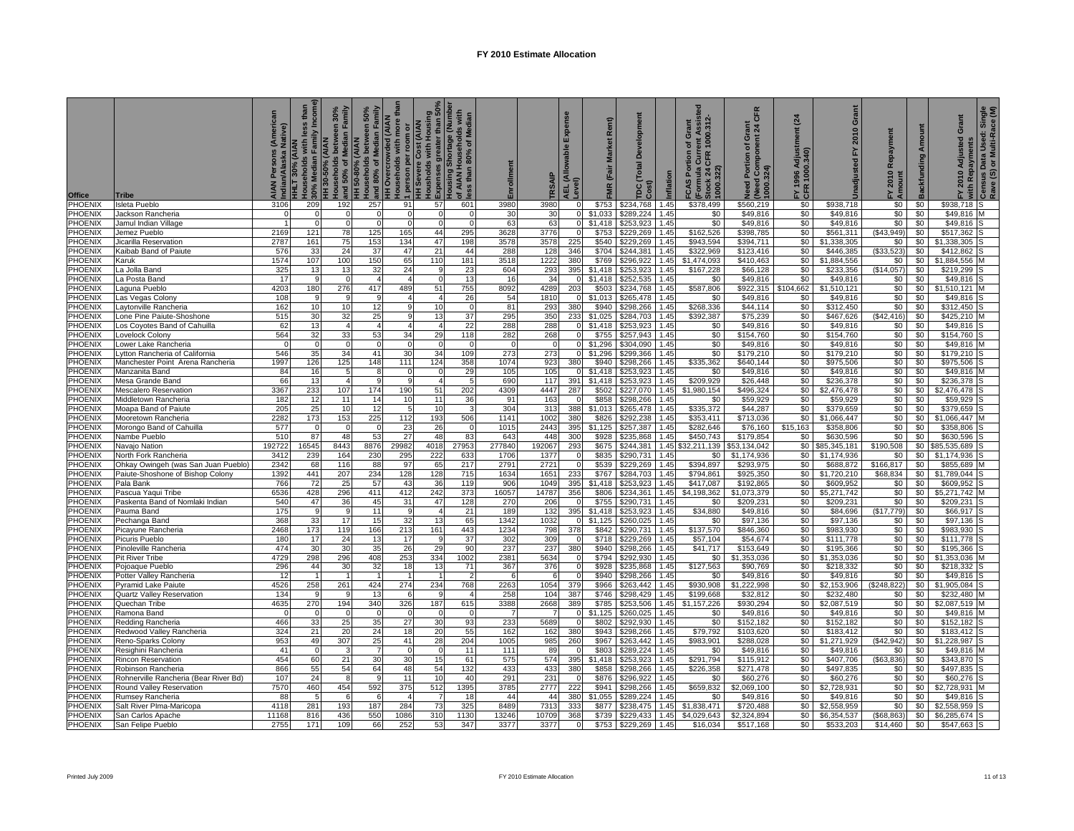| <b>Office</b>             | <b>Tribe</b>                                            | Native)      | than<br>amily Incom<br>less<br>Households with<br>HLT 30% (AIAN<br>30% Median Fa | Households between 30%<br>and 50% of Median Family<br>HH 30-50% (AIAN | and 80% of Median Family<br>between 50%<br><b>HH 50-80% (AIAN</b><br>Households | ouseholds with more tha<br><b>HH Overcrowded (AIAN</b><br>1 person per room or<br>HH Severe Cost (AIAN | Housholds with Housing<br>Expenses greater than 50%<br>Housing Shortage (Number | of AIAN Households with<br>less than 80% of Median | Enrollment   |               | Expe<br>wable<br>.EL (Allov<br>evel) | Rent)<br><b>Market</b><br>FMR (Fair | elopm<br>ă<br>Total<br>Cost)<br>ρc | Inflation    | 1000.312<br>ent Assis<br>Grant<br>৳<br><b>CAS Portion</b><br>Cure<br>CFR<br>(Formula (<br>Stock 24 C<br>1000.322) | <b>CFR</b><br>rant<br>ö<br>Need Component<br>000.324)<br>đ<br><b>Bed Portion</b> | $\overline{a}$<br>FY 1996 Adjustr<br>CFR 1000.340) | Grant<br>2010<br>집<br>Unadjusted | Repayment<br>2010<br>노토 | Amount<br><b>Backfunding</b> | Grant<br>2010 Adjusted<br>vith Repayments | Census Data Used: Single<br>Rave (S) or Multi-Race (M) |
|---------------------------|---------------------------------------------------------|--------------|----------------------------------------------------------------------------------|-----------------------------------------------------------------------|---------------------------------------------------------------------------------|--------------------------------------------------------------------------------------------------------|---------------------------------------------------------------------------------|----------------------------------------------------|--------------|---------------|--------------------------------------|-------------------------------------|------------------------------------|--------------|-------------------------------------------------------------------------------------------------------------------|----------------------------------------------------------------------------------|----------------------------------------------------|----------------------------------|-------------------------|------------------------------|-------------------------------------------|--------------------------------------------------------|
| PHOENIX                   | <b>Isleta Pueblo</b>                                    | 3106         | 209                                                                              | 192                                                                   | 257                                                                             | 91                                                                                                     | 57                                                                              | 601                                                | 3980         | 3980          |                                      | \$753                               | \$234,768                          | 1.45         | \$378,499                                                                                                         | \$560,219                                                                        | \$0                                                | \$938,718                        | \$0                     | \$0                          | \$938,718                                 |                                                        |
| <b>PHOENIX</b>            | Jackson Rancheria                                       |              |                                                                                  | $\Omega$                                                              |                                                                                 |                                                                                                        |                                                                                 |                                                    | 30           | 30            |                                      | \$1.033                             | \$289.224                          | 1.45         | \$0                                                                                                               | \$49.816                                                                         | \$0                                                | \$49.816                         | \$0                     | \$0                          | \$49,816                                  |                                                        |
| PHOENIX                   | Jamul Indian Village                                    |              |                                                                                  | $\Omega$                                                              |                                                                                 |                                                                                                        |                                                                                 | $\Omega$                                           | 63           | 63            |                                      | \$1,418                             | \$253,923                          | .45          | \$0                                                                                                               | \$49,816                                                                         | \$0                                                | \$49,816                         | \$0                     | \$0                          | \$49,816                                  |                                                        |
| PHOENIX                   | Jemez Pueblo                                            | 2169         | 121                                                                              | 78                                                                    | 125                                                                             | 165                                                                                                    | 44                                                                              | 295                                                | 3628         | 3776          |                                      | \$753                               | \$229,269                          | 1.45         | \$162,526                                                                                                         | \$398,785                                                                        | \$0                                                | \$561,311                        | (\$43,949"              | \$0                          | \$517,362                                 |                                                        |
| PHOENIX                   | Jicarilla Reservation                                   | 2787         | 161                                                                              | 75                                                                    | 153                                                                             | 134                                                                                                    | 47                                                                              | 198                                                | 3578         | 3578          | 225                                  | \$540                               | \$229,269                          | 1.45         | \$943,594                                                                                                         | \$394,711                                                                        | \$0                                                | \$1,338,305                      | \$0                     | \$0                          | \$1,338,305                               |                                                        |
| PHOENIX                   | Kaibab Band of Paiute                                   | 576          | 33                                                                               | 24                                                                    | 37                                                                              | 47                                                                                                     | 21                                                                              | 44                                                 | 288          | 128           | 346                                  | \$704                               | \$244,381                          | 1.45         | \$322,969                                                                                                         | \$123,416                                                                        | \$0                                                | \$446,385                        | \$33,523                | \$0                          | \$412,862                                 |                                                        |
| PHOENIX                   | Karuk                                                   | 1574         | 107                                                                              | 100                                                                   | 150                                                                             | 65                                                                                                     | 110                                                                             | 181                                                | 3518         | 1222          | 380                                  | \$769                               | \$296,922                          | 1.45         | \$1,474,093                                                                                                       | \$410,463                                                                        | \$0                                                | \$1,884,556                      | \$0                     | \$0                          | \$1,884,556                               |                                                        |
| PHOENIX<br>PHOENIX        | La Jolla Band<br>La Posta Band                          | 325<br>17    | 13<br>9                                                                          | 13<br>$\Omega$                                                        | 32<br>$\overline{4}$                                                            | 24                                                                                                     |                                                                                 | 23<br>13                                           | 604<br>16    | 293<br>34     | 395<br>$\Omega$                      | \$1,418<br>\$1,418                  | \$253,923<br>\$252,535             | 1.45<br>1.45 | \$167,228<br>\$0                                                                                                  | \$66,128<br>\$49,816                                                             | \$0<br>\$0                                         | \$233,356<br>\$49,816            | (\$14,057)<br>\$0       | \$0<br>\$0                   | \$219,299<br>\$49,816                     |                                                        |
| PHOENIX                   | Laguna Pueblo                                           | 4203         | 180                                                                              | 276                                                                   | 417                                                                             | 489                                                                                                    | 51                                                                              | 755                                                | 8092         | 4289          | 203                                  | \$503                               | \$234,768                          | 1.45         | \$587,806                                                                                                         | \$922,315                                                                        | \$104,662                                          | \$1,510,121                      | \$0                     | \$0                          | \$1,510,121                               |                                                        |
| PHOENIX                   | Las Vegas Colony                                        | 108          |                                                                                  | <b>q</b>                                                              |                                                                                 |                                                                                                        |                                                                                 | 26                                                 | 54           | 1810          |                                      | \$1,013                             | \$265,478                          | 1.45         | \$0                                                                                                               | \$49,816                                                                         | \$0                                                | \$49,816                         | \$0                     | \$0                          | \$49,816                                  |                                                        |
| <b>PHOENIX</b>            | Laytonville Rancheria                                   | 162          | 10                                                                               | 10                                                                    | 12                                                                              |                                                                                                        | 10                                                                              | $\Omega$                                           | 81           | 293           | 380                                  | \$940                               | \$298.266                          | 1.45         | \$268,336                                                                                                         | \$44,114                                                                         | \$0                                                | \$312.450                        | \$0                     | \$0                          | \$312,450                                 |                                                        |
| PHOENIX                   | Lone Pine Paiute-Shoshone                               | 515          | 30                                                                               | 32                                                                    | 25                                                                              |                                                                                                        |                                                                                 | 37                                                 | 295          | 350           | 233                                  | \$1,025                             | \$284,703                          | 1.45         | \$392,387                                                                                                         | \$75,239                                                                         | \$0                                                | \$467,626                        | (\$42,416)              | \$0                          | \$425,210                                 |                                                        |
| PHOENIX                   | Los Coyotes Band of Cahuilla                            | 62           | 13                                                                               | $\overline{4}$                                                        | $\overline{4}$                                                                  |                                                                                                        |                                                                                 | 22                                                 | 288          | 288           | $\Omega$                             | \$1,418                             | \$253,923                          | 1.45         | \$0                                                                                                               | \$49,816                                                                         | \$0                                                | \$49,816                         | \$0                     | \$0                          | \$49,816                                  |                                                        |
| PHOENIX                   | Lovelock Colony                                         | 564          | 32                                                                               | 33                                                                    | 53                                                                              | 34                                                                                                     | 29                                                                              | 118                                                | 282          | 268           | O                                    | \$755                               | \$257,943                          | 1.45         | \$0                                                                                                               | \$154.760                                                                        | \$0                                                | \$154,760                        | \$0                     | \$0                          | \$154,760                                 |                                                        |
| <b>PHOENIX</b>            | Lower Lake Rancheria                                    | $\mathsf{C}$ |                                                                                  | $\Omega$                                                              | $\Omega$                                                                        | $\Omega$                                                                                               |                                                                                 | $\mathbf 0$                                        | - 0          | $\Omega$      | $\Omega$                             | \$1,296                             | \$304,090                          | .45          | \$0                                                                                                               | \$49,816                                                                         | \$0                                                | \$49,816                         | \$0                     | \$0                          | \$49,816                                  |                                                        |
| PHOENIX                   | Lytton Rancheria of California                          | 546          | 35                                                                               | 34                                                                    | 41                                                                              | 30                                                                                                     | 34                                                                              | 109                                                | 273          | 273           | $\Omega$                             | \$1,296                             | \$299.366                          | 1.45         | \$0                                                                                                               | \$179.210                                                                        | \$0                                                | \$179.210                        | \$0                     | \$0                          | \$179.210                                 |                                                        |
| PHOENIX                   | Manchester Point Arena Rancheria                        | 1997         | 126                                                                              | 125                                                                   | 148                                                                             | 111                                                                                                    | 124                                                                             | 358                                                | 1074         | 923           | 380                                  | \$940                               | \$298,266                          | 1.45         | \$335,362                                                                                                         | \$640,144                                                                        | \$0                                                | \$975,506                        | \$0                     | \$0                          | \$975,506                                 |                                                        |
| PHOENIX                   | Manzanita Band                                          | 84           | 16                                                                               | 5                                                                     |                                                                                 |                                                                                                        |                                                                                 | 29                                                 | 105          | 105           | $\Omega$                             | \$1,418                             | \$253,923                          | 1.45         | \$0                                                                                                               | \$49,816                                                                         | \$0                                                | \$49,816                         | \$0                     | \$0                          | \$49,816                                  |                                                        |
| PHOENIX<br>PHOENIX        | Mesa Grande Band                                        | 66<br>3367   | 13                                                                               | $\Delta$                                                              | q                                                                               | g<br>190                                                                                               |                                                                                 | -5<br>202                                          | 690<br>4309  | 117<br>4447   | 391                                  | \$1,418                             | \$253,923                          | 1.45         | \$209,929<br>\$1,980,154                                                                                          | \$26,448                                                                         | \$0<br>\$0                                         | \$236,378                        | \$0<br>\$0              | \$0<br>\$0                   | \$236,378                                 |                                                        |
| PHOENIX                   | Mescalero Reservation<br>Middletown Rancheria           | 182          | 233<br>12                                                                        | 107<br>11                                                             | 174<br>14                                                                       | 10                                                                                                     | 51<br>11                                                                        | 36                                                 | 91           | 163           | 287                                  | \$502<br>\$858                      | \$227,070<br>\$298,266             | 1.45<br>1.45 | \$0                                                                                                               | \$496,324<br>\$59,929                                                            | \$0                                                | \$2,476,478<br>\$59,929          | \$0                     | \$0                          | \$2,476,478<br>\$59,929                   |                                                        |
| PHOENIX                   | Moapa Band of Paiute                                    | 205          | 25                                                                               | 10                                                                    | 12                                                                              | 5                                                                                                      |                                                                                 | $\mathcal{R}$                                      | 304          | 313           | 388                                  | \$1,013                             | \$265,478                          | 1.45         | \$335,372                                                                                                         | \$44,287                                                                         | \$0                                                | \$379,659                        | \$0                     | \$0                          | \$379,659                                 |                                                        |
| PHOENIX                   | Mooretown Rancheria                                     | 2282         | 173                                                                              | 153                                                                   | 225                                                                             | 112                                                                                                    | 193                                                                             | 506                                                | 1141         | 1002          | 380                                  | \$826                               | \$292,238                          | 1.45         | \$353,411                                                                                                         | \$713,036                                                                        | \$0                                                | \$1,066,447                      | \$0                     | \$0                          | \$1,066,447                               |                                                        |
| PHOENIX                   | Morongo Band of Cahuilla                                | 577          |                                                                                  | $\Omega$                                                              |                                                                                 | 23                                                                                                     | 26                                                                              |                                                    | 1015         | 2443          | 395                                  | \$1.125                             | \$257,387                          | 1.45         | \$282,646                                                                                                         | \$76,160                                                                         | \$15,163                                           | \$358,806                        | \$0                     | \$0                          | \$358,806                                 |                                                        |
| PHOENIX                   | Nambe Pueblo                                            | 510          | 87                                                                               | 48                                                                    | 53                                                                              | 27                                                                                                     | 48                                                                              | 83                                                 | 643          | 448           | 300                                  | \$928                               | \$235,868                          | 1.45         | \$450,743                                                                                                         | \$179,854                                                                        | \$0                                                | \$630,596                        | \$0                     | \$0                          | \$630,596                                 |                                                        |
| PHOENIX                   | Navajo Nation                                           | 192722       | 16545                                                                            | 8443                                                                  | 8876                                                                            | 29982                                                                                                  | 4018                                                                            | 27953                                              | 277840       | 192067        | 293                                  | \$675                               | \$244,381                          | 1.45         | 32.211.139                                                                                                        | 53.134.042                                                                       | $$0$ $$$                                           | \$85,345,181                     | \$190,508               | \$0                          | 85,535,689                                |                                                        |
| PHOENIX                   | North Fork Rancheria                                    | 3412         | 239                                                                              | 164                                                                   | 230                                                                             | 295                                                                                                    | 222                                                                             | 633                                                | 1706         | 1377          |                                      | \$835                               | \$290,731                          | 1.45         | \$0                                                                                                               | \$1,174,936                                                                      | \$0                                                | \$1,174,936                      | \$0                     | \$0                          | \$1,174,936                               |                                                        |
| PHOENIX                   | Ohkay Owingeh (was San Juan Pueblo)                     | 2342         | 68                                                                               | 116                                                                   | 88                                                                              | 97                                                                                                     | 65                                                                              | 217                                                | 2791         | 2721          | $\Omega$                             | \$539                               | \$229,269                          | 1.45         | \$394,897                                                                                                         | \$293,975                                                                        | \$0                                                | \$688,872                        | \$166, 817              | \$0                          | \$855,689                                 |                                                        |
| PHOENIX                   | Paiute-Shoshone of Bishop Colony                        | 1392         | 441                                                                              | 207                                                                   | 234                                                                             | 128                                                                                                    | 128                                                                             | 715                                                | 1634         | 1651          | 233                                  | \$767                               | \$284.703                          | 1.45         | \$794.861                                                                                                         | \$925.350                                                                        | \$0                                                | \$1,720,210                      | \$68,834                | \$0                          | \$1.789.044                               |                                                        |
| PHOENIX<br>PHOENIX        | Pala Bank                                               | 766<br>6536  | 72<br>428                                                                        | 25<br>296                                                             | 57<br>411                                                                       | 43<br>412                                                                                              | 36<br>242                                                                       | 119<br>373                                         | 906<br>16057 | 1049<br>14787 | 395<br>356                           | \$1,418<br>\$806                    | \$253,923<br>\$234,361             | 1.45<br>1.45 | \$417,087<br>\$4,198,362                                                                                          | \$192,865<br>\$1,073,379                                                         | \$0<br>\$0                                         | \$609,952<br>\$5,271,742         | \$0<br>\$0              | \$0<br>\$0                   | \$609,952<br>\$5,271,742                  |                                                        |
| PHOENIX                   | Pascua Yaqui Tribe<br>Paskenta Band of Nomlaki Indian   | 540          | 47                                                                               | 36                                                                    | 45                                                                              | 31                                                                                                     | 47                                                                              | 128                                                | 270          | 206           |                                      | \$755                               | \$290,731                          | 1.45         | \$0                                                                                                               | \$209,23                                                                         | \$0                                                | \$209,231                        | \$0                     | \$0                          | \$209,231                                 |                                                        |
| PHOENIX                   | Pauma Band                                              | 175          |                                                                                  | $\mathbf{q}$                                                          | 11                                                                              | $\mathbf{q}$                                                                                           |                                                                                 | 21                                                 | 189          | 132           | 395                                  | \$1,418                             | \$253,923                          | 1.45         | \$34,880                                                                                                          | \$49,816                                                                         | \$0                                                | \$84,696                         | (\$17,779)              | \$0                          | \$66,917                                  |                                                        |
| PHOENIX                   | Pechanga Band                                           | 368          | 33                                                                               | 17                                                                    | 15                                                                              | 32                                                                                                     |                                                                                 | 65                                                 | 1342         | 1032          |                                      | \$1.125                             | \$260.025                          | 1.45         | \$0                                                                                                               | \$97.136                                                                         | \$0                                                | \$97.136                         | \$0                     | \$0                          | \$97.136                                  |                                                        |
| PHOENIX                   | Picayune Rancheria                                      | 2468         | 173                                                                              | 119                                                                   | 166                                                                             | 213                                                                                                    | 161                                                                             | 443                                                | 1234         | 798           | 378                                  | \$842                               | \$290,731                          | <b>.45</b>   | \$137,570                                                                                                         | \$846,360                                                                        | \$0                                                | \$983,930                        | \$0                     | \$0                          | \$983,930                                 |                                                        |
| PHOENIX                   | Picuris Pueblo                                          | 180          | 17                                                                               | 24                                                                    | 13                                                                              | 17                                                                                                     |                                                                                 | 37                                                 | 302          | 309           |                                      | \$718                               | \$229,269                          | 1.45         | \$57,104                                                                                                          | \$54,674                                                                         | \$0                                                | \$111,778                        | \$0                     | \$0                          | \$111.778                                 |                                                        |
| PHOENIX                   | Pinoleville Rancheria                                   | 474          | 30                                                                               | 30                                                                    | 35                                                                              | 26                                                                                                     | 29                                                                              | 90                                                 | 237          | 237           | 380                                  | \$940                               | \$298,266                          | 1.45         | \$41.717                                                                                                          | \$153,649                                                                        | \$0                                                | \$195,366                        | \$0                     | \$0                          | \$195,366                                 |                                                        |
| <b>PHOENIX</b>            | <b>Pit River Tribe</b>                                  | 4729         | 298                                                                              | 296                                                                   | 408                                                                             | 253                                                                                                    | 334                                                                             | 1002                                               | 2381         | 5634          |                                      | \$794                               | \$292,930                          | 1.45         | \$0                                                                                                               | \$1,353,036                                                                      | \$0                                                | \$1,353,036                      | \$0                     | \$0                          | \$1,353,036                               |                                                        |
| PHOENIX                   | Pojoaque Pueblo                                         | 296          | 44                                                                               | 30                                                                    | 32                                                                              | 18                                                                                                     |                                                                                 | 71                                                 | 367          | 376           |                                      | \$928                               | \$235,868                          | 1.45         | \$127,563                                                                                                         | \$90,769                                                                         | \$0                                                | \$218,332                        | \$0                     | \$0                          | \$218,332                                 |                                                        |
| <b>PHOENIX</b>            | Potter Valley Rancheria                                 | 12           |                                                                                  | $\overline{1}$                                                        |                                                                                 | $\overline{1}$                                                                                         |                                                                                 | $\overline{2}$                                     | - 6          | -6            | $\Omega$                             | \$940                               | \$298,266                          | 1.45         | \$0                                                                                                               | \$49,816                                                                         | \$0                                                | \$49,816                         | \$0                     | \$0                          | \$49,816                                  |                                                        |
| PHOENIX<br><b>PHOENIX</b> | <b>Pyramid Lake Paiute</b><br>Quartz Valley Reservation | 4526<br>134  | 258                                                                              | 261                                                                   | 424<br>13                                                                       | 274                                                                                                    | 234                                                                             | 768<br>$\overline{4}$                              | 2263<br>258  | 1054<br>104   | 379<br>387                           | \$966<br>\$746                      | \$263,442<br>\$298,429             | 1.45<br>1.45 | \$930,908<br>\$199,668                                                                                            | \$1,222,998<br>\$32,81                                                           | \$0<br>\$0                                         | \$2,153,906<br>\$232,480         | (\$248,822"<br>\$0      | \$0<br>\$0                   | $\overline{51,905,084}$<br>\$232,480      |                                                        |
| <b>PHOENIX</b>            | Quechan Tribe                                           | 4635         | 270                                                                              | 194                                                                   | 340                                                                             | 326                                                                                                    | 187                                                                             | 615                                                | 3388         | 2668          | 389                                  | \$785                               | \$253,506                          | 1.45         | \$1,157,226                                                                                                       | \$930,294                                                                        | \$0                                                | \$2,087,519                      | \$0                     | \$0                          | \$2,087,519                               |                                                        |
| PHOENIX                   | Ramona Band                                             | $\Omega$     | $\Omega$                                                                         | $\Omega$                                                              | $\Omega$                                                                        |                                                                                                        |                                                                                 | $\Omega$                                           |              |               | $\Omega$                             | \$1.125                             | \$260.025                          | 1.45         | \$0                                                                                                               | \$49.816                                                                         | \$0                                                | \$49.816                         | \$0                     | \$0                          | \$49,816                                  |                                                        |
| PHOENIX                   | Redding Rancheria                                       | 466          | 33                                                                               | 25                                                                    | 35                                                                              | 27                                                                                                     | 30                                                                              | 93                                                 | 233          | 5689          | $\Omega$                             | \$802                               | \$292,930                          | 1.45         | \$0                                                                                                               | \$152,182                                                                        | \$0                                                | \$152,182                        | \$0                     | \$0                          | \$152,182                                 |                                                        |
| PHOENIX                   | Redwood Valley Rancheria                                | 324          | 21                                                                               | 20                                                                    | 24                                                                              | 18                                                                                                     | 20                                                                              | 55                                                 | 162          | 162           | 380                                  | \$943                               | \$298,266                          | 1.45         | \$79.792                                                                                                          | \$103,620                                                                        | \$0                                                | \$183.412                        | \$0                     | \$0                          | \$183.412                                 |                                                        |
| PHOENIX                   | Reno-Sparks Colony                                      | 953          | 49                                                                               | 307                                                                   | 25                                                                              | 41                                                                                                     | 28                                                                              | 204                                                | 1005         | 985           | 260                                  | \$967                               | \$263.442                          | 1.45         | \$983.901                                                                                                         | \$288.028                                                                        | \$0                                                | \$1.271.929                      | \$42.942                | \$0                          | \$1,228,987                               |                                                        |
| PHOENIX                   | Resighini Rancheria                                     | 41           |                                                                                  |                                                                       |                                                                                 |                                                                                                        |                                                                                 | 11                                                 | 111          | 89            |                                      | \$803                               | \$289,224                          | 1.45         | \$0                                                                                                               | \$49,816                                                                         | \$0                                                | \$49,816                         | \$0                     | \$0                          | \$49,816                                  |                                                        |
| PHOENIX                   | Rincon Reservation                                      | 454          | 60                                                                               | 21                                                                    | 30                                                                              | 30                                                                                                     | 15                                                                              | 61                                                 | 575          | 574           | 395                                  | \$1,418                             | \$253,923                          | 1.45         | \$291,794                                                                                                         | \$115,912                                                                        | \$0                                                | \$407,706                        | (\$63,836)              | \$0                          | \$343,870                                 |                                                        |
| PHOENIX                   | Robinson Rancheria                                      | 866          | 55                                                                               | 54                                                                    | 64                                                                              | 48                                                                                                     | 54                                                                              | 132                                                | 433          | 433           | 380                                  | \$858                               | \$298,266                          | 1.45         | \$226,358                                                                                                         | $\overline{$}271,478$                                                            | \$0                                                | \$497,835                        | \$0                     | \$0                          | \$497,835                                 |                                                        |
| PHOENIX                   | Rohnerville Rancheria (Bear River Bd)                   | 107          | 24                                                                               | -8                                                                    | 9                                                                               | 11                                                                                                     | 10                                                                              | 40                                                 | 291          | 231           |                                      | \$876                               | \$296,922                          | 1.45         | \$0                                                                                                               | \$60,276                                                                         | \$0                                                | \$60,276                         | \$0                     | \$0                          | \$60,276                                  |                                                        |
| PHOENIX<br>PHOENIX        | Round Valley Reservation<br>Rumsey Rancheria            | 7570<br>88   | 460                                                                              | 454                                                                   | 592                                                                             | 375                                                                                                    | 512                                                                             | 1395<br>18                                         | 3785<br>44   | 2777<br>44    | 222<br>380                           | \$941<br>\$1,055                    | \$298,266<br>\$289,224             | 1.45<br>1.45 | \$659,832<br>\$0                                                                                                  | \$2,069,100<br>\$49,816                                                          | \$0<br>\$0                                         | \$2,728,931<br>\$49,816          | \$0<br>\$0              | \$0<br>\$0                   | \$2,728,931<br>\$49,816                   |                                                        |
| PHOENIX                   | Salt River Plma-Maricopa                                | 4118         | 281                                                                              | 193                                                                   | 187                                                                             | 284                                                                                                    | 73                                                                              | 325                                                | 8489         | 7313          | 333                                  | \$877                               | \$238.475                          | 1.45         | \$1,838,471                                                                                                       | \$720,488                                                                        | \$0                                                | \$2,558,959                      | \$0                     | \$0                          | \$2,558,959                               |                                                        |
| PHOENIX                   |                                                         |              |                                                                                  |                                                                       |                                                                                 |                                                                                                        |                                                                                 |                                                    |              |               |                                      |                                     |                                    |              |                                                                                                                   |                                                                                  |                                                    |                                  |                         |                              |                                           |                                                        |
|                           | San Carlos Apache                                       | 11168        | 816                                                                              | 436                                                                   | 550                                                                             | 1086                                                                                                   | 310                                                                             | 1130                                               | 13246        | 10709         | 368                                  | \$739                               | \$229,433                          | 1.45         | \$4,029,643                                                                                                       | \$2,324,894                                                                      | \$0                                                | \$6,354,537                      | (\$68,863               | \$0                          | \$6,285,674                               |                                                        |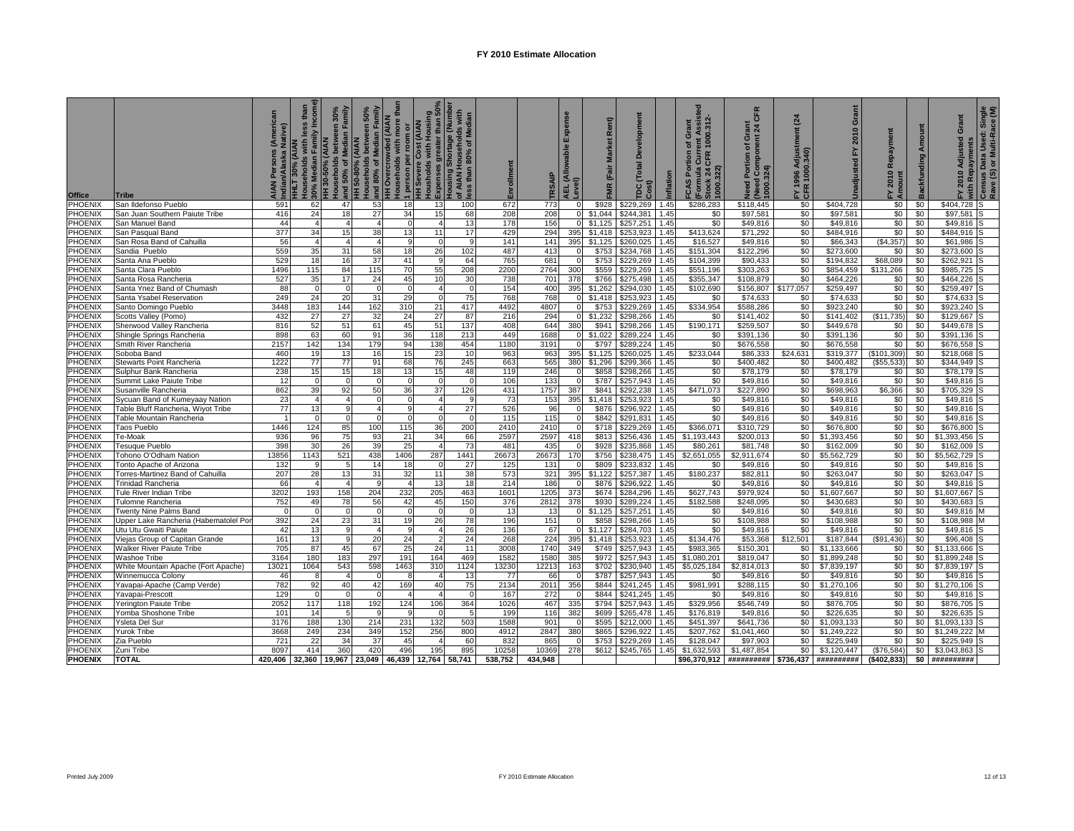| <b>Office</b>      | <b>Tribe</b>                                           | lative)        | than<br>Households with less<br>30% Median Family In<br>목<br>HLT 30% (AIAN | 50% of Median Family<br>between 30%<br>HH 30-50% (AIAN<br>ouseholds<br>and | Households between 50%<br>and 80% of Median Family<br>HH 50-80% (AIAN | ouseholds with more tha<br><b>HH Overcrowded (AIAN</b><br>1 person per room or<br>HH Severe Cost (AIAN | Housholds with Housing<br>Expenses greater than 50%<br>Housing Shortage (Number<br>Housholas<br>Expenses | of AIAN Households with<br>less than 80% of Median | Enrollment  | <b>SAIP</b>     | Expense<br>able<br>AEL (Allov<br>Level) | Rent)<br><b>Market</b><br>(Fair<br><b>FMR</b> | elopment<br>ó<br>Č<br>rpc | nflation     | rent Assisted<br>: 1000.312-<br>Grant<br>ð<br><b>CAS Portion</b><br>CLIFR<br>CFR<br>(Formula<br>Stock 24 C<br>1000.322)<br>Form | <b>CFR</b><br><u>들</u> 석<br>E<br>ō<br>mpone<br>៵<br>Need Portion (<br>(Need Compor<br>1000.324) | $\mathfrak{a}$<br>Ë<br>त हैं<br>इ<br>1996 Adju<br>R 1000.34<br>논뚱 | Grant<br>2010<br>놊<br>hadjusted | $\alpha$<br>2010<br>노토 | Backfunding Amount | Grant<br>2010 Adjusted<br>۲Ţ. | <sup>)</sup> with Repayments<br><sup>)</sup> Census Data Used: Single<br>Rave (S) or Multi-Race (M) |
|--------------------|--------------------------------------------------------|----------------|----------------------------------------------------------------------------|----------------------------------------------------------------------------|-----------------------------------------------------------------------|--------------------------------------------------------------------------------------------------------|----------------------------------------------------------------------------------------------------------|----------------------------------------------------|-------------|-----------------|-----------------------------------------|-----------------------------------------------|---------------------------|--------------|---------------------------------------------------------------------------------------------------------------------------------|-------------------------------------------------------------------------------------------------|-------------------------------------------------------------------|---------------------------------|------------------------|--------------------|-------------------------------|-----------------------------------------------------------------------------------------------------|
| PHOENIX            | San Ildefonso Pueblo                                   | 591            | 62                                                                         | 47                                                                         | 53                                                                    | 18                                                                                                     | 13                                                                                                       | 100                                                | 672         | 773             |                                         | \$928                                         | \$229,269                 | .45          | \$286,283                                                                                                                       | \$118,445                                                                                       | \$0                                                               | \$404,728                       | \$0                    | \$0                | \$404,728                     |                                                                                                     |
| PHOENIX            | San Juan Southern Paiute Tribe                         | 416            | 24                                                                         | 18                                                                         | 27                                                                    | 34                                                                                                     | 15                                                                                                       | 68                                                 | 208         | 208             | $\overline{0}$                          | \$1,044                                       | \$244,381                 | 1.45         | \$0                                                                                                                             | \$97,581                                                                                        | \$0                                                               | \$97,581                        | \$0                    | \$0                | \$97,581                      |                                                                                                     |
| PHOENIX            | San Manuel Band                                        | 44             |                                                                            |                                                                            |                                                                       |                                                                                                        |                                                                                                          | 13                                                 | 178         | 156             |                                         | \$1,125                                       | \$257,251                 | 1.45         | \$0                                                                                                                             | \$49,816                                                                                        | \$0                                                               | \$49,816                        | \$0                    | \$0                | \$49,816                      |                                                                                                     |
| PHOENIX            | San Pasqual Band                                       | 377            | 34                                                                         | 15                                                                         | 38                                                                    | 13                                                                                                     | 11                                                                                                       | 17                                                 | 429         | 294             | 395                                     | \$1,418                                       | \$253,923                 | 1.45         | \$413,624                                                                                                                       | \$71,292                                                                                        | \$0                                                               | \$484,916                       | \$0                    | \$0                | \$484,916                     |                                                                                                     |
| PHOENIX            | San Rosa Band of Cahuilla                              | 56             | $\overline{A}$                                                             |                                                                            |                                                                       |                                                                                                        |                                                                                                          |                                                    | 141         | 141             | 395                                     | \$1.125                                       | \$260,025                 | 1.45         | \$16,527                                                                                                                        | \$49.816                                                                                        | \$0                                                               | \$66,343                        | (S4.357)               | \$0                | \$61,986                      |                                                                                                     |
| PHOENIX            | Sandia Pueblo                                          | 559            | 35                                                                         | 31                                                                         | 58                                                                    | 18                                                                                                     | 26                                                                                                       | 102                                                | 487         | 413             |                                         | \$753                                         | \$234,768                 | 1.45         | \$151,304                                                                                                                       | \$122,296                                                                                       | \$0                                                               | \$273,600                       | \$0                    | \$0                | \$273,600                     |                                                                                                     |
| <b>PHOENIX</b>     | Santa Ana Pueblo                                       | 529            | 18                                                                         | 16                                                                         | 37                                                                    | 41                                                                                                     |                                                                                                          | 64                                                 | 765         | 681             |                                         | \$753                                         | \$229,269                 | 1.45         | \$104.399                                                                                                                       | \$90,433                                                                                        | \$0                                                               | \$194,832                       | \$68,089               | \$0                | \$262,921                     |                                                                                                     |
| PHOENIX            | Santa Clara Pueblo                                     | 1496           | 115                                                                        | 84                                                                         | 115                                                                   | 70                                                                                                     | 55                                                                                                       | 208                                                | 2200        | 2764            | 300                                     | \$559                                         | \$229,269                 | 1.45         | \$551,196                                                                                                                       | \$303,263                                                                                       | \$0                                                               | \$854.459                       | \$131,266              | \$0                | \$985,725                     |                                                                                                     |
| PHOENIX            | Santa Rosa Rancheria                                   | 527            | 35                                                                         | 17                                                                         | 24                                                                    | 45                                                                                                     | 10                                                                                                       | 30                                                 | 738         | 701             | 378                                     | \$766                                         | \$275,498                 | 1.45         | \$355,347                                                                                                                       | \$108,879                                                                                       | \$0                                                               | \$464,226                       | \$0                    | \$0                | \$464,226                     |                                                                                                     |
| PHOENIX            | Santa Ynez Band of Chumash                             | 88             |                                                                            | $\Omega$                                                                   |                                                                       | $\Omega$                                                                                               |                                                                                                          | $\Omega$                                           | 154         | 40 <sub>C</sub> | 395                                     | \$1.262                                       | \$294,030                 | 1.45         | \$102,690                                                                                                                       | \$156,807                                                                                       | \$177,057                                                         | \$259,497                       | \$0                    | \$0                | \$259,497                     |                                                                                                     |
| PHOENIX            | Santa Ysabel Reservation                               | 249            | 24                                                                         | 20                                                                         | 31                                                                    | 29                                                                                                     |                                                                                                          | 75                                                 | 768         | 768             |                                         | \$1,418                                       | \$253,923                 | 1.45         | \$0                                                                                                                             | \$74,633                                                                                        | \$0                                                               | \$74,633                        | \$0                    | \$0                | \$74,633                      |                                                                                                     |
| <b>PHOENIX</b>     | Santo Domingo Pueblo                                   | 3448           | 183                                                                        | 144                                                                        | 162                                                                   | 310                                                                                                    | 21                                                                                                       | 417                                                | 4492        | 4807            |                                         | \$753                                         | \$229,269                 | 1.45         | \$334,954                                                                                                                       | \$588,286                                                                                       | \$0                                                               | \$923.240                       | \$0                    | \$0                | \$923,240                     |                                                                                                     |
| PHOENIX            | Scotts Valley (Pomo)                                   | 432            | 27                                                                         | 27                                                                         | 32                                                                    | 24                                                                                                     | 27                                                                                                       | 87                                                 | 216         | 294             | $\Omega$                                | \$1.232                                       | \$298,266                 | 1.45         | \$0                                                                                                                             | \$141,402                                                                                       | \$0                                                               | \$141,402                       | (\$11,735)             | \$0                | \$129,667                     |                                                                                                     |
| PHOENIX            | Sherwood Valley Rancheria                              | 816            | 52                                                                         | 51                                                                         | 61                                                                    | 45                                                                                                     | 51                                                                                                       | 137                                                | 408         | 644             | 380                                     | \$941                                         | \$298,266                 | .45          | \$190,171                                                                                                                       | \$259,507                                                                                       | \$0                                                               | \$449,678                       | \$0                    | \$0                | \$449,678                     |                                                                                                     |
| PHOENIX            | Shingle Springs Rancheria                              | 898            | 63                                                                         | 60                                                                         | 91                                                                    | 36                                                                                                     | 118                                                                                                      | 213                                                | 449         | 1688            | $\Omega$                                | \$1,022                                       | \$289,224                 | 1.45         | \$0                                                                                                                             | \$391,136                                                                                       | \$0                                                               | \$391,136                       | \$0                    | \$0                | \$391,136                     |                                                                                                     |
| PHOENIX            | Smith River Rancheria                                  | 2157           | 142                                                                        | 134                                                                        | 179                                                                   | 94                                                                                                     | 138                                                                                                      | 454                                                | 1180        | 3191            |                                         | \$797                                         | \$289,224                 | 1.45         | \$0                                                                                                                             | \$676,558                                                                                       | \$0                                                               | \$676,558                       | \$0                    | \$0                | \$676,558                     |                                                                                                     |
| <b>PHOENIX</b>     | Soboba Band                                            | 460            | 19                                                                         | 13                                                                         | 16                                                                    | 15                                                                                                     | 23                                                                                                       | 10                                                 | 963         | 963             | 395                                     | \$1.125                                       | \$260.025                 | 1.45         | \$233.044                                                                                                                       | \$86,333                                                                                        | \$24,631                                                          | \$319.377                       | (\$101,309)            | \$0                | \$218,068                     |                                                                                                     |
| PHOENIX            | Stewarts Point Rancheria                               | 1222           | 77                                                                         | 77                                                                         | 91                                                                    | 68                                                                                                     | 76                                                                                                       | 245                                                | 663         | 565             | 380                                     | \$1,296                                       | \$299,366                 | 1.45         | \$0                                                                                                                             | \$400,482                                                                                       | \$0                                                               | \$400,482                       | (\$55,533)             | \$0                | \$344,949                     |                                                                                                     |
| PHOENIX            | Sulphur Bank Rancheria                                 | 238            | 15                                                                         | 15<br>$\Omega$                                                             | 18                                                                    | 13                                                                                                     | 15                                                                                                       | 48                                                 | 119         | 246             |                                         | \$858                                         | \$298,266                 | 1.45         | \$0                                                                                                                             | \$78,179                                                                                        | \$0                                                               | \$78,179                        | \$0                    | \$0                | \$78,179                      |                                                                                                     |
| PHOENIX            | Summit Lake Paiute Tribe                               | 12             |                                                                            |                                                                            |                                                                       | $\Omega$                                                                                               |                                                                                                          |                                                    | 106         | 133             |                                         | \$787                                         | \$257,943                 | 1.45         | \$0                                                                                                                             | \$49,816                                                                                        | \$0                                                               | \$49,816                        | \$0                    | \$0                | \$49,816                      |                                                                                                     |
| PHOENIX<br>PHOENIX | Susanville Rancheria<br>Sycuan Band of Kumeyaay Nation | 862<br>23      | 39<br>4                                                                    | 92<br>$\overline{A}$                                                       | 50                                                                    | 36<br>$\Omega$                                                                                         | 37                                                                                                       | 126                                                | 431<br>73   | 1757<br>153     | 387<br>395                              | \$841<br>\$1,418                              | \$292,238<br>\$253,923    | 1.45<br>1.45 | \$471,073<br>\$0                                                                                                                | \$227,890<br>\$49,816                                                                           | \$0<br>\$0                                                        | \$698,963<br>\$49,816           | \$6,366<br>\$0         | \$0<br>\$0         | \$705,329<br>\$49,816         |                                                                                                     |
| PHOENIX            | Table Bluff Rancheria, Wiyot Tribe                     | 77             | 13                                                                         | g                                                                          |                                                                       | g                                                                                                      |                                                                                                          | 27                                                 | 526         | 96              |                                         | \$876                                         | \$296,922                 | 1.45         | \$0                                                                                                                             | \$49,816                                                                                        | \$0                                                               | \$49,816                        | \$0                    | \$0                | \$49,816                      |                                                                                                     |
| PHOENIX            | <b>Table Mountain Rancheria</b>                        | $\overline{1}$ | $\Omega$                                                                   | $\Omega$                                                                   |                                                                       | $\Omega$                                                                                               |                                                                                                          | $\Omega$                                           | 115         | 115             |                                         | \$842                                         | \$291,831                 | 1.45         | \$0                                                                                                                             | \$49,816                                                                                        | \$0                                                               | \$49,816                        | \$0                    | \$0                | \$49.816                      |                                                                                                     |
| PHOENIX            | Taos Pueblo                                            | 1446           | 124                                                                        | 85                                                                         | 100                                                                   | 115                                                                                                    | 36                                                                                                       | 200                                                | 2410        | 2410            |                                         | \$718                                         | \$229,269                 | 1.45         | \$366,071                                                                                                                       | \$310.729                                                                                       | $\$0$                                                             | \$676,800                       | \$0                    | \$0                | \$676,800                     |                                                                                                     |
| PHOENIX            | Ге-Moak                                                | 936            | 96                                                                         | 75                                                                         | 93                                                                    | 21                                                                                                     | 34                                                                                                       | 66                                                 | 2597        | 2597            | 418                                     | \$813                                         | \$256,436                 | 1.45         | \$1,193,443                                                                                                                     | \$200,013                                                                                       | \$0                                                               | \$1,393,456                     | \$0                    | \$0                | \$1,393,456                   |                                                                                                     |
| PHOENIX            | <b>Fesuque Pueblo</b>                                  | 398            | 30                                                                         | 26                                                                         | 39                                                                    | 25                                                                                                     |                                                                                                          | 73                                                 | 481         | 435             |                                         | \$928                                         | \$235.868                 | 1.45         | \$80,261                                                                                                                        | \$81,748                                                                                        | \$0                                                               | \$162,009                       | \$0                    | \$0                | \$162,009                     |                                                                                                     |
| PHOENIX            | Fohono O'Odham Nation                                  | 13856          | 1143                                                                       | 521                                                                        | 438                                                                   | 1406                                                                                                   | 287                                                                                                      | 1441                                               | 26673       | 26673           | 170                                     | \$756                                         | \$238,475                 | 1.45         | \$2,651,055                                                                                                                     | \$2,911,674                                                                                     | \$0                                                               | \$5,562,729                     | \$0                    | \$0                | \$5,562,729                   |                                                                                                     |
| <b>PHOENIX</b>     | Fonto Apache of Arizona                                | 132            |                                                                            | 5                                                                          | 14                                                                    | 18                                                                                                     |                                                                                                          | 27                                                 | 125         | 131             |                                         | \$809                                         | \$233.832                 | 1.45         | \$0                                                                                                                             | \$49.816                                                                                        | \$0                                                               | \$49,816                        | \$0                    | \$0                | \$49,816                      |                                                                                                     |
| PHOENIX            | Forres-Martinez Band of Cahuilla                       | 207            | 28                                                                         | 13                                                                         | 31                                                                    | 32                                                                                                     | 11                                                                                                       | 38                                                 | 573         | 321             | 395                                     | \$1.122                                       | \$257,387                 | 1.45         | \$180,237                                                                                                                       | \$82,811                                                                                        | \$0                                                               | \$263,047                       | \$0                    | \$0                | \$263,047                     |                                                                                                     |
| PHOENIX            | Frinidad Rancheria                                     | 66             |                                                                            |                                                                            |                                                                       |                                                                                                        | 13                                                                                                       | 18                                                 | 214         | 186             |                                         | \$876                                         | \$296,922                 | 1.45         | \$0                                                                                                                             | \$49,816                                                                                        | \$0                                                               | \$49,816                        | \$0                    | \$0                | \$49,816                      |                                                                                                     |
| PHOENIX            | Fule River Indian Tribe                                | 3202           | 193                                                                        | 158                                                                        | 204                                                                   | 232                                                                                                    | 205                                                                                                      | 463                                                | 1601        | 1205            | 373                                     | \$674                                         | \$284,296                 | 1.45         | \$627,743                                                                                                                       | \$979,924                                                                                       | \$0                                                               | \$1,607,667                     | \$0                    | \$0                | \$1,607,667                   |                                                                                                     |
| PHOENIX            | Fulomne Rancheria                                      | 752            | 49                                                                         | 78                                                                         | 56                                                                    | 42                                                                                                     | 45                                                                                                       | 150                                                | 376         | 2812            | 378                                     | \$930                                         | \$289,224                 | 1.45         | \$182,588                                                                                                                       | \$248,095                                                                                       | \$0                                                               | \$430,683                       | \$0                    | \$0                | \$430,683                     |                                                                                                     |
| PHOENIX            | <b>Twenty Nine Palms Band</b>                          | $\Omega$       |                                                                            | $\Omega$                                                                   |                                                                       | $\Omega$                                                                                               |                                                                                                          | $\Omega$                                           | 13          | 13              |                                         | \$1.125                                       | \$257,251                 | 1.45         | \$0                                                                                                                             | \$49.816                                                                                        | \$0                                                               | \$49,816                        | $\$0$                  | \$0                | \$49,816                      |                                                                                                     |
| PHOENIX            | Upper Lake Rancheria (Habematolel Por                  | 392            | 24                                                                         | 23                                                                         | 31                                                                    | 19                                                                                                     | 26                                                                                                       | 78                                                 | 196         | 151             |                                         | \$858                                         | \$298,266                 | 1.45         | \$0                                                                                                                             | \$108,988                                                                                       | \$0                                                               | \$108,988                       | \$0                    | \$0                | \$108,988                     |                                                                                                     |
| PHOENIX            | Utu Utu Gwaiti Paiute                                  | 42             | 13                                                                         | 9                                                                          |                                                                       | 9                                                                                                      |                                                                                                          | 26                                                 | 136         | 67              |                                         | \$1,127                                       | \$284,703                 | 1.45         | \$0                                                                                                                             | \$49,816                                                                                        | \$0                                                               | \$49,816                        | \$0                    | \$0                | \$49,816                      |                                                                                                     |
| PHOENIX            | Viejas Group of Capitan Grande                         | 161            | 13                                                                         | 9                                                                          | 20                                                                    | 24                                                                                                     |                                                                                                          | 24                                                 | 268         | 224             | 395                                     | \$1,418                                       | \$253.923                 | 1.45         | \$134,476                                                                                                                       | \$53,368                                                                                        | \$12,501                                                          | \$187,844                       | ,436<br>(S91)          | \$0                | \$96,408                      |                                                                                                     |
| PHOENIX            | Walker River Paiute Tribe                              | 705            | 87                                                                         | 45                                                                         | 67                                                                    | 25                                                                                                     | 24                                                                                                       | 11                                                 | 3008        | 1740            | 349                                     | \$749                                         | \$257,943                 | 1.45         | \$983,365                                                                                                                       | \$150,301                                                                                       | \$0                                                               | \$1,133,666                     | \$0                    | \$0                | \$1,133,666                   |                                                                                                     |
| PHOENIX            | Washoe Tribe                                           | 3164           | 180                                                                        | 183                                                                        | 297                                                                   | 191                                                                                                    | 164                                                                                                      | 469                                                | 1582        | 1580            | 385                                     | \$972                                         | \$257.943                 | 1.45         | \$1,080,201                                                                                                                     | \$819,047                                                                                       | \$0                                                               | \$1,899,248                     | \$0                    | \$0                | \$1.899.248                   |                                                                                                     |
| <b>PHOENIX</b>     | White Mountain Apache (Fort Apache)                    | 13021          | 1064                                                                       | 543                                                                        | 598                                                                   | 1463                                                                                                   | 31 <sub>C</sub>                                                                                          | 1124                                               | 13230       | 12213           | 163                                     | \$702                                         | \$230,940                 | 1.45         | \$5,025,184                                                                                                                     | \$2,814,013                                                                                     | \$0                                                               | \$7,839,197                     | \$0                    | \$0                | \$7,839,197                   |                                                                                                     |
| PHOENIX            | Winnemucca Colony                                      | 46             |                                                                            | $\overline{4}$                                                             |                                                                       | -8                                                                                                     |                                                                                                          | 13                                                 | 77          | 66              |                                         | \$787                                         | \$257,943                 | 1.45         | \$0                                                                                                                             | \$49,816                                                                                        | \$0                                                               | \$49,816                        | \$0                    | \$0                | \$49,816                      |                                                                                                     |
| <b>PHOENIX</b>     | Yavapai-Apache (Camp Verde)                            | 782            | 92                                                                         | 40                                                                         | 42                                                                    | 169                                                                                                    | 40                                                                                                       | 75                                                 | 2134        | 2011            | 356                                     | \$844                                         | \$241,245                 | 1.45         | \$981,991                                                                                                                       | \$288,115                                                                                       | \$0                                                               | \$1,270,106                     | \$0                    | \$0                | \$1,270,106                   |                                                                                                     |
| PHOENIX            | Yavapai-Prescott                                       | 129            |                                                                            | $\Omega$                                                                   |                                                                       | 4                                                                                                      |                                                                                                          |                                                    | 167         | 272             |                                         | \$844                                         | \$241,245                 | 1.45         | \$0                                                                                                                             | \$49,816                                                                                        | \$0                                                               | \$49,816                        | \$0                    | \$0                | \$49,816                      |                                                                                                     |
| <b>PHOENIX</b>     | Yerington Paiute Tribe                                 | 2052           | 117                                                                        | 118                                                                        | 192                                                                   | 124                                                                                                    | 106                                                                                                      | 364                                                | 1026        | 467             | 335                                     | \$794                                         | \$257,943                 | 1.45         | \$329,956                                                                                                                       | \$546,749                                                                                       | \$0                                                               | \$876,705                       | \$0                    | \$0                | \$876,705                     |                                                                                                     |
| PHOENIX            | Yomba Shoshone Tribe                                   | 101            | 14                                                                         | 5                                                                          |                                                                       | -9                                                                                                     |                                                                                                          |                                                    | 199         | 116             | 382                                     | \$699                                         | \$265,478                 | 1.45         | \$176,819                                                                                                                       | \$49,816                                                                                        | \$0                                                               | \$226,635                       | \$0                    | \$0                | \$226,635                     |                                                                                                     |
| PHOENIX            | Ysleta Del Sur                                         | 3176           | 188                                                                        | 130                                                                        | 214                                                                   | 231                                                                                                    | 132                                                                                                      | 503                                                | 1588        | 901             |                                         | \$595                                         | \$212,000                 | 1.45         | \$451,397                                                                                                                       | \$641,736                                                                                       | \$0                                                               | \$1,093,133                     | \$0                    | \$0                | \$1,093,133                   |                                                                                                     |
| PHOENIX            | Yurok Tribe                                            | 3668           | 249                                                                        | 234<br>34                                                                  | 349                                                                   | 152<br>45                                                                                              | 256                                                                                                      | 800                                                | 4912<br>832 | 2847            | 380                                     | \$865<br>\$753                                | \$296,922                 | 1.45<br>1.45 | \$207.762                                                                                                                       | \$1,041,460                                                                                     | \$0 l<br>$\$0$                                                    | \$1,249,222                     | \$0<br>\$0             | \$0<br>\$0         | \$1,249,222                   |                                                                                                     |
| PHOENIX<br>PHOENIX | Zia Pueblo<br>Zuni Tribe                               | 721<br>8097    | 22<br>414                                                                  | 360                                                                        | 37<br>420                                                             | 496                                                                                                    | 195                                                                                                      | 60<br>895                                          | 10258       | 865<br>10369    | 278                                     | \$612                                         | \$229,269<br>\$245,765    | 1.45         | \$128,047<br>\$1.632.593                                                                                                        | \$97,903<br>\$1.487.854                                                                         | \$0                                                               | \$225,949<br>\$3,120,447        | (S76.584)              | \$0                | \$225,949<br>\$3.043.863      |                                                                                                     |
| <b>PHOENIX</b>     | <b>TOTAL</b>                                           | 420.406        | 32.360                                                                     |                                                                            | 19,967 23,049                                                         | 46,439                                                                                                 | 12,764                                                                                                   | 58,741                                             | 538.752     | 434.948         |                                         |                                               |                           |              | \$96,370,912                                                                                                                    | ########## \$736,437 ##########                                                                 |                                                                   |                                 | (\$402,833)            | \$0                | ##########                    |                                                                                                     |
|                    |                                                        |                |                                                                            |                                                                            |                                                                       |                                                                                                        |                                                                                                          |                                                    |             |                 |                                         |                                               |                           |              |                                                                                                                                 |                                                                                                 |                                                                   |                                 |                        |                    |                               |                                                                                                     |